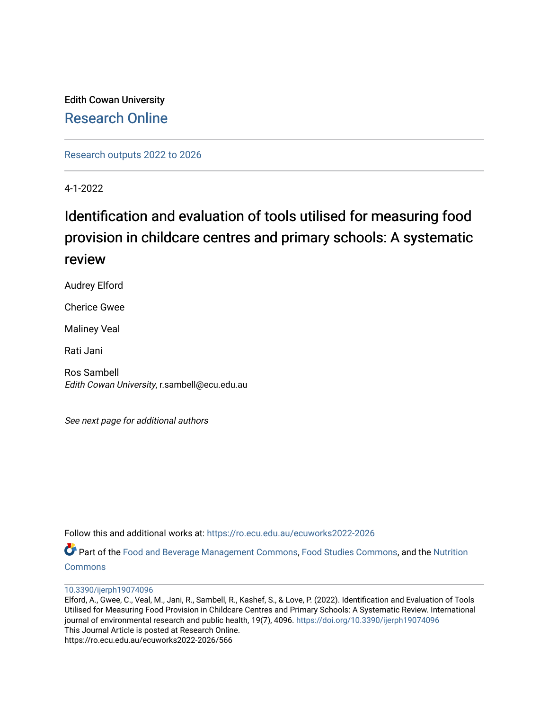# Edith Cowan University [Research Online](https://ro.ecu.edu.au/)

[Research outputs 2022 to 2026](https://ro.ecu.edu.au/ecuworks2022-2026) 

4-1-2022

# Identification and evaluation of tools utilised for measuring food provision in childcare centres and primary schools: A systematic review

Audrey Elford

Cherice Gwee

Maliney Veal

Rati Jani

Ros Sambell Edith Cowan University, r.sambell@ecu.edu.au

See next page for additional authors

Follow this and additional works at: [https://ro.ecu.edu.au/ecuworks2022-2026](https://ro.ecu.edu.au/ecuworks2022-2026?utm_source=ro.ecu.edu.au%2Fecuworks2022-2026%2F566&utm_medium=PDF&utm_campaign=PDFCoverPages)

Part of the [Food and Beverage Management Commons](https://network.bepress.com/hgg/discipline/1089?utm_source=ro.ecu.edu.au%2Fecuworks2022-2026%2F566&utm_medium=PDF&utm_campaign=PDFCoverPages), [Food Studies Commons](https://network.bepress.com/hgg/discipline/1386?utm_source=ro.ecu.edu.au%2Fecuworks2022-2026%2F566&utm_medium=PDF&utm_campaign=PDFCoverPages), and the [Nutrition](https://network.bepress.com/hgg/discipline/95?utm_source=ro.ecu.edu.au%2Fecuworks2022-2026%2F566&utm_medium=PDF&utm_campaign=PDFCoverPages) **[Commons](https://network.bepress.com/hgg/discipline/95?utm_source=ro.ecu.edu.au%2Fecuworks2022-2026%2F566&utm_medium=PDF&utm_campaign=PDFCoverPages)** 

[10.3390/ijerph19074096](http://dx.doi.org/10.3390/ijerph19074096) 

Elford, A., Gwee, C., Veal, M., Jani, R., Sambell, R., Kashef, S., & Love, P. (2022). Identification and Evaluation of Tools Utilised for Measuring Food Provision in Childcare Centres and Primary Schools: A Systematic Review. International journal of environmental research and public health, 19(7), 4096. <https://doi.org/10.3390/ijerph19074096> This Journal Article is posted at Research Online. https://ro.ecu.edu.au/ecuworks2022-2026/566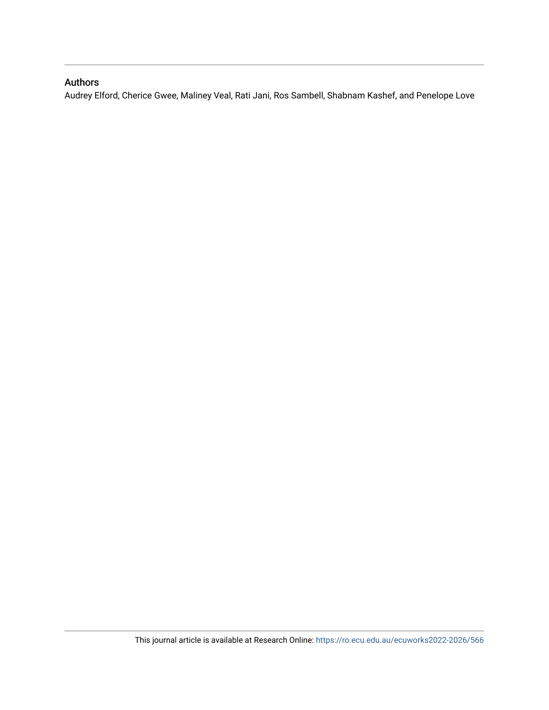# Authors

Audrey Elford, Cherice Gwee, Maliney Veal, Rati Jani, Ros Sambell, Shabnam Kashef, and Penelope Love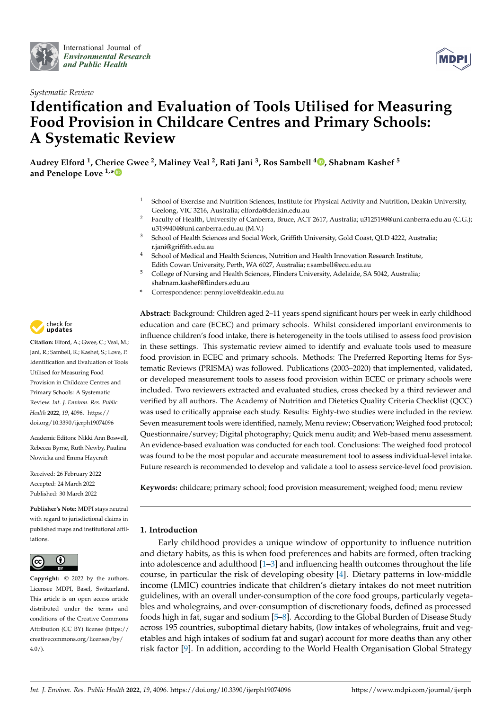

*Systematic Review*



# **Identification and Evaluation of Tools Utilised for Measuring Food Provision in Childcare Centres and Primary Schools: A Systematic Review**

**Audrey Elford <sup>1</sup> , Cherice Gwee <sup>2</sup> , Maliney Veal <sup>2</sup> , Rati Jani <sup>3</sup> , Ros Sambell <sup>4</sup> [,](https://orcid.org/0000-0002-8799-3441) Shabnam Kashef <sup>5</sup> and Penelope Love 1,[\\*](https://orcid.org/0000-0002-1244-3947)**

- <sup>1</sup> School of Exercise and Nutrition Sciences, Institute for Physical Activity and Nutrition, Deakin University, Geelong, VIC 3216, Australia; elforda@deakin.edu.au
- <sup>2</sup> Faculty of Health, University of Canberra, Bruce, ACT 2617, Australia; u3125198@uni.canberra.edu.au (C.G.); u3199404@uni.canberra.edu.au (M.V.)
- <sup>3</sup> School of Health Sciences and Social Work, Griffith University, Gold Coast, QLD 4222, Australia; r.jani@griffith.edu.au
- <sup>4</sup> School of Medical and Health Sciences, Nutrition and Health Innovation Research Institute, Edith Cowan University, Perth, WA 6027, Australia; r.sambell@ecu.edu.au
- <sup>5</sup> College of Nursing and Health Sciences, Flinders University, Adelaide, SA 5042, Australia; shabnam.kashef@flinders.edu.au
- **\*** Correspondence: penny.love@deakin.edu.au

**Abstract:** Background: Children aged 2–11 years spend significant hours per week in early childhood education and care (ECEC) and primary schools. Whilst considered important environments to influence children's food intake, there is heterogeneity in the tools utilised to assess food provision in these settings. This systematic review aimed to identify and evaluate tools used to measure food provision in ECEC and primary schools. Methods: The Preferred Reporting Items for Systematic Reviews (PRISMA) was followed. Publications (2003–2020) that implemented, validated, or developed measurement tools to assess food provision within ECEC or primary schools were included. Two reviewers extracted and evaluated studies, cross checked by a third reviewer and verified by all authors. The Academy of Nutrition and Dietetics Quality Criteria Checklist (QCC) was used to critically appraise each study. Results: Eighty-two studies were included in the review. Seven measurement tools were identified, namely, Menu review; Observation; Weighed food protocol; Questionnaire/survey; Digital photography; Quick menu audit; and Web-based menu assessment. An evidence-based evaluation was conducted for each tool. Conclusions: The weighed food protocol was found to be the most popular and accurate measurement tool to assess individual-level intake. Future research is recommended to develop and validate a tool to assess service-level food provision.

**Keywords:** childcare; primary school; food provision measurement; weighed food; menu review

## **1. Introduction**

Early childhood provides a unique window of opportunity to influence nutrition and dietary habits, as this is when food preferences and habits are formed, often tracking into adolescence and adulthood  $[1-3]$  $[1-3]$  and influencing health outcomes throughout the life course, in particular the risk of developing obesity [\[4\]](#page-33-0). Dietary patterns in low-middle income (LMIC) countries indicate that children's dietary intakes do not meet nutrition guidelines, with an overall under-consumption of the core food groups, particularly vegetables and wholegrains, and over-consumption of discretionary foods, defined as processed foods high in fat, sugar and sodium [\[5](#page-33-1)[–8\]](#page-33-2). According to the Global Burden of Disease Study across 195 countries, suboptimal dietary habits, (low intakes of wholegrains, fruit and vegetables and high intakes of sodium fat and sugar) account for more deaths than any other risk factor [\[9\]](#page-33-3). In addition, according to the World Health Organisation Global Strategy



**Citation:** Elford, A.; Gwee, C.; Veal, M.; Jani, R.; Sambell, R.; Kashef, S.; Love, P. Identification and Evaluation of Tools Utilised for Measuring Food Provision in Childcare Centres and Primary Schools: A Systematic Review. *Int. J. Environ. Res. Public Health* **2022**, *19*, 4096. [https://](https://doi.org/10.3390/ijerph19074096) [doi.org/10.3390/ijerph19074096](https://doi.org/10.3390/ijerph19074096)

Academic Editors: Nikki Ann Boswell, Rebecca Byrne, Ruth Newby, Paulina Nowicka and Emma Haycraft

Received: 26 February 2022 Accepted: 24 March 2022 Published: 30 March 2022

**Publisher's Note:** MDPI stays neutral with regard to jurisdictional claims in published maps and institutional affiliations.



**Copyright:** © 2022 by the authors. Licensee MDPI, Basel, Switzerland. This article is an open access article distributed under the terms and conditions of the Creative Commons Attribution (CC BY) license [\(https://](https://creativecommons.org/licenses/by/4.0/) [creativecommons.org/licenses/by/](https://creativecommons.org/licenses/by/4.0/)  $4.0/$ ).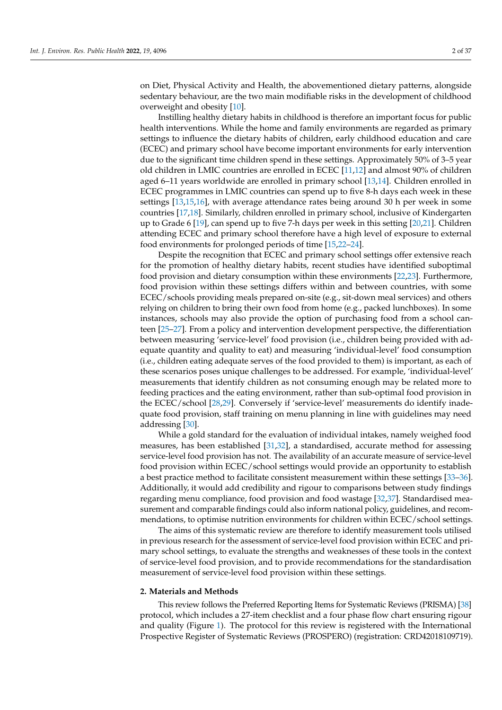on Diet, Physical Activity and Health, the abovementioned dietary patterns, alongside sedentary behaviour, are the two main modifiable risks in the development of childhood overweight and obesity [\[10\]](#page-33-4).

Instilling healthy dietary habits in childhood is therefore an important focus for public health interventions. While the home and family environments are regarded as primary settings to influence the dietary habits of children, early childhood education and care (ECEC) and primary school have become important environments for early intervention due to the significant time children spend in these settings. Approximately 50% of 3–5 year old children in LMIC countries are enrolled in ECEC [\[11](#page-33-5)[,12\]](#page-33-6) and almost 90% of children aged 6–11 years worldwide are enrolled in primary school [\[13,](#page-33-7)[14\]](#page-33-8). Children enrolled in ECEC programmes in LMIC countries can spend up to five 8-h days each week in these settings [\[13,](#page-33-7)[15,](#page-33-9)[16\]](#page-33-10), with average attendance rates being around 30 h per week in some countries [\[17,](#page-33-11)[18\]](#page-33-12). Similarly, children enrolled in primary school, inclusive of Kindergarten up to Grade 6 [\[19\]](#page-33-13), can spend up to five 7-h days per week in this setting [\[20,](#page-33-14)[21\]](#page-33-15). Children attending ECEC and primary school therefore have a high level of exposure to external food environments for prolonged periods of time [\[15,](#page-33-9)[22–](#page-33-16)[24\]](#page-33-17).

Despite the recognition that ECEC and primary school settings offer extensive reach for the promotion of healthy dietary habits, recent studies have identified suboptimal food provision and dietary consumption within these environments [\[22,](#page-33-16)[23\]](#page-33-18). Furthermore, food provision within these settings differs within and between countries, with some ECEC/schools providing meals prepared on-site (e.g., sit-down meal services) and others relying on children to bring their own food from home (e.g., packed lunchboxes). In some instances, schools may also provide the option of purchasing food from a school canteen [\[25–](#page-33-19)[27\]](#page-33-20). From a policy and intervention development perspective, the differentiation between measuring 'service-level' food provision (i.e., children being provided with adequate quantity and quality to eat) and measuring 'individual-level' food consumption (i.e., children eating adequate serves of the food provided to them) is important, as each of these scenarios poses unique challenges to be addressed. For example, 'individual-level' measurements that identify children as not consuming enough may be related more to feeding practices and the eating environment, rather than sub-optimal food provision in the ECEC/school [\[28](#page-33-21)[,29\]](#page-34-0). Conversely if 'service-level' measurements do identify inadequate food provision, staff training on menu planning in line with guidelines may need addressing [\[30\]](#page-34-1).

While a gold standard for the evaluation of individual intakes, namely weighed food measures, has been established [\[31,](#page-34-2)[32\]](#page-34-3), a standardised, accurate method for assessing service-level food provision has not. The availability of an accurate measure of service-level food provision within ECEC/school settings would provide an opportunity to establish a best practice method to facilitate consistent measurement within these settings [\[33](#page-34-4)[–36\]](#page-34-5). Additionally, it would add credibility and rigour to comparisons between study findings regarding menu compliance, food provision and food wastage [\[32](#page-34-3)[,37\]](#page-34-6). Standardised measurement and comparable findings could also inform national policy, guidelines, and recommendations, to optimise nutrition environments for children within ECEC/school settings.

The aims of this systematic review are therefore to identify measurement tools utilised in previous research for the assessment of service-level food provision within ECEC and primary school settings, to evaluate the strengths and weaknesses of these tools in the context of service-level food provision, and to provide recommendations for the standardisation measurement of service-level food provision within these settings.

#### **2. Materials and Methods**

This review follows the Preferred Reporting Items for Systematic Reviews (PRISMA) [\[38\]](#page-34-7) protocol, which includes a 27-item checklist and a four phase flow chart ensuring rigour and quality (Figure [1\)](#page-4-0). The protocol for this review is registered with the International Prospective Register of Systematic Reviews (PROSPERO) (registration: CRD42018109719).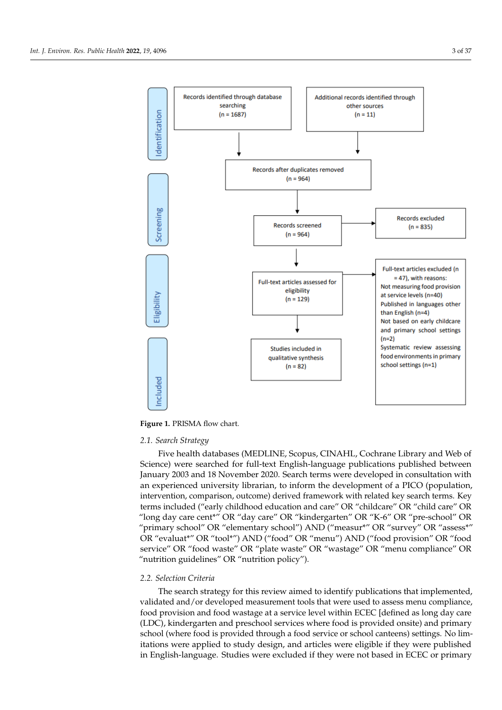<span id="page-4-0"></span>

tional Prospective Register of Systematic Reviews (PROSPERO) (registration:

**Figure 1.** PRISMA flow chart. **Figure 1.** PRISMA flow chart.

#### *2.1. Search Strategy*

Five health databases (MEDLINE, Scopus, CINAHL, Cochrane Library and Web of Five health databases (MEDLINE, Scopus, CINAHL, Cochrane Library and Web of Science) were searched for full-text English-language publications published between January 2003 and 18 November 2020. Search terms were developed in consultation with an experienced university librarian, to inform the development of a PICO (population, vention, comparison, outcome) derived framework with related key search terms. Key intervention, comparison, outcome) derived framework with related key search terms. Key terms included ("early childhood education and care" OR "childcare" OR "child care" OR terms included ("early childhood education and care" OR "childcare" OR "child care" OR  $\mu^{ij}$  OR "dex car" OR "light dependen" OR "K-6" OR "pre-school" OR "pre-school" OR "long day care cent\*" OR "day care" OR "kindergarten" OR "K-6" OR "pre-school" OR<br>" "primary school" OR "elementary school") AND ("measur\*" OR "survey" OR "assess\*" OR "evaluat\*" OR "tool\*") AND ("food" OR "menu") AND ("food provision" OR "food service" OR "food waste" OR "plate waste" OR "wastage" OR "menu compliance" OR "nutrition guidelines" OR "nutrition policy").

### *2.2. Selection Criteria*

The search strategy for this review aimed to identify publications that implemented, validated and/or developed measurement tools that were used to assess menu compliance, food provision and food wastage at a service level within ECEC [defined as long day care (LDC), kindergarten and preschool services where food is provided onsite) and primary school (where food is provided through a food service or school canteens) settings. No limitations were applied to study design, and articles were eligible if they were published in English-language. Studies were excluded if they were not based in ECEC or primary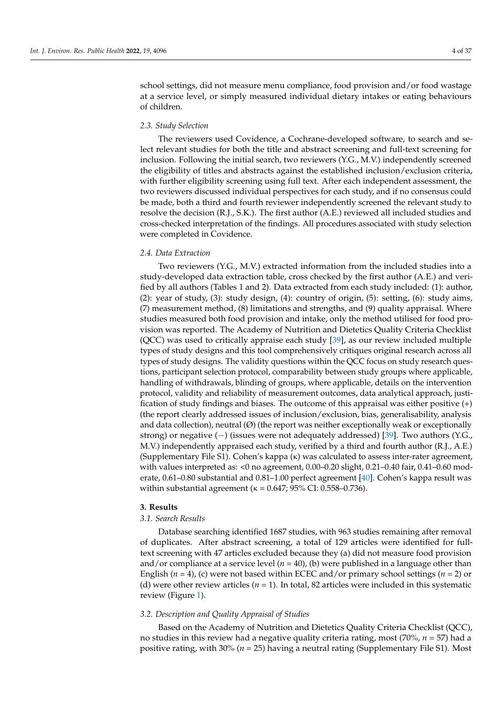school settings, did not measure menu compliance, food provision and/or food wastage at a service level, or simply measured individual dietary intakes or eating behaviours of children.

#### *2.3. Study Selection*

The reviewers used Covidence, a Cochrane-developed software, to search and select relevant studies for both the title and abstract screening and full-text screening for inclusion. Following the initial search, two reviewers (Y.G., M.V.) independently screened the eligibility of titles and abstracts against the established inclusion/exclusion criteria, with further eligibility screening using full text. After each independent assessment, the two reviewers discussed individual perspectives for each study, and if no consensus could be made, both a third and fourth reviewer independently screened the relevant study to resolve the decision (R.J., S.K.). The first author (A.E.) reviewed all included studies and cross-checked interpretation of the findings. All procedures associated with study selection were completed in Covidence.

#### *2.4. Data Extraction*

Two reviewers (Y.G., M.V.) extracted information from the included studies into a study-developed data extraction table, cross checked by the first author (A.E.) and verified by all authors (Tables 1 and 2). Data extracted from each study included: (1): author, (2): year of study, (3): study design, (4): country of origin, (5): setting, (6): study aims, (7) measurement method, (8) limitations and strengths, and (9) quality appraisal. Where studies measured both food provision and intake, only the method utilised for food provision was reported. The Academy of Nutrition and Dietetics Quality Criteria Checklist (QCC) was used to critically appraise each study [\[39\]](#page-34-8), as our review included multiple types of study designs and this tool comprehensively critiques original research across all types of study designs. The validity questions within the QCC focus on study research questions, participant selection protocol, comparability between study groups where applicable, handling of withdrawals, blinding of groups, where applicable, details on the intervention protocol, validity and reliability of measurement outcomes, data analytical approach, justification of study findings and biases. The outcome of this appraisal was either positive (+) (the report clearly addressed issues of inclusion/exclusion, bias, generalisability, analysis and data collection), neutral  $(\emptyset)$  (the report was neither exceptionally weak or exceptionally strong) or negative (−) (issues were not adequately addressed) [\[39\]](#page-34-8). Two authors (Y.G., M.V.) independently appraised each study, verified by a third and fourth author (R.J., A.E.) (Supplementary File S1). Cohen's kappa (κ) was calculated to assess inter-rater agreement, with values interpreted as: <0 no agreement, 0.00–0.20 slight, 0.21–0.40 fair, 0.41–0.60 moderate, 0.61–0.80 substantial and 0.81–1.00 perfect agreement [\[40\]](#page-34-9). Cohen's kappa result was within substantial agreement ( $κ = 0.647$ ; 95% CI: 0.558–0.736).

#### **3. Results**

#### *3.1. Search Results*

Database searching identified 1687 studies, with 963 studies remaining after removal of duplicates. After abstract screening, a total of 129 articles were identified for fulltext screening with 47 articles excluded because they (a) did not measure food provision and/or compliance at a service level  $(n = 40)$ , (b) were published in a language other than English (*n* = 4), (c) were not based within ECEC and/or primary school settings (*n* = 2) or (d) were other review articles ( $n = 1$ ). In total, 82 articles were included in this systematic review (Figure [1\)](#page-4-0).

### *3.2. Description and Quality Appraisal of Studies*

Based on the Academy of Nutrition and Dietetics Quality Criteria Checklist (QCC), no studies in this review had a negative quality criteria rating, most (70%, *n* = 57) had a positive rating, with 30% (*n* = 25) having a neutral rating (Supplementary File S1). Most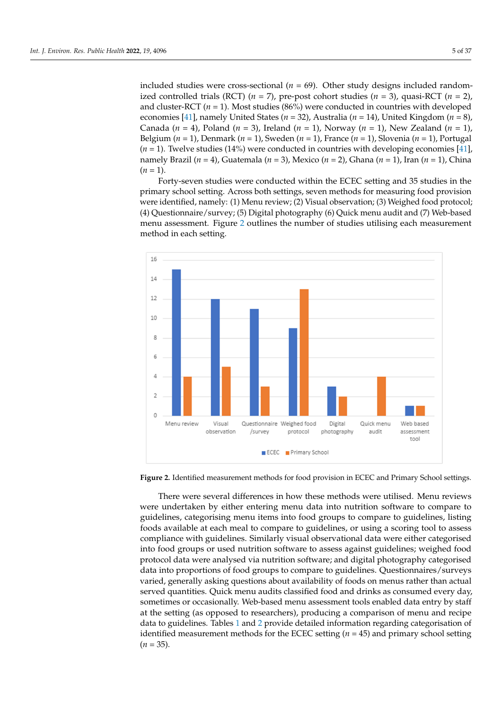included studies were cross-sectional  $(n = 69)$ . Other study designs included randomized controlled trials (RCT) ( $n = 7$ ), pre-post cohort studies ( $n = 3$ ), quasi-RCT ( $n = 2$ ), and cluster-RCT (*n* = 1). Most studies (86%) were conducted in countries with developed economies [\[41\]](#page-34-10), namely United States ( $n = 32$ ), Australia ( $n = 14$ ), United Kingdom ( $n = 8$ ), Canada ( $n = 4$ ), Poland ( $n = 3$ ), Ireland ( $n = 1$ ), Norway ( $n = 1$ ), New Zealand ( $n = 1$ ), Belgium ( $n = 1$ ), Denmark ( $n = 1$ ), Sweden ( $n = 1$ ), France ( $n = 1$ ), Slovenia ( $n = 1$ ), Portugal  $(n = 1)$ . Twelve studies (14%) were conducted in countries with developing economies [\[41\]](#page-34-10), namely Brazil ( $n = 4$ ), Guatemala ( $n = 3$ ), Mexico ( $n = 2$ ), Ghana ( $n = 1$ ), Iran ( $n = 1$ ), China  $(n = 1)$ .

Forty-seven studies were conducted within the ECEC setting and 35 studies in the Forty-seven studies were conducted within the ECEC setting and 35 studies in the primary school setting. Across both settings, seven methods for measuring food provision primary school setting. Across both settings, seven methods for measuring food provision were identified, namely: (1) Menu review; (2) Visual observation; (3) Weighed food protocol; (4) Questionnaire/survey; (5) Digital photography (6) Quick menu audit and (7) Web-based [me](#page-6-0)nu assessment. Figure 2 outlines the number of studies utilising each measurement method in each setting.

<span id="page-6-0"></span>

**Figure 2.** Identified measurement methods for food provision in ECEC and Primary School settings. **Figure 2.** Identified measurement methods for food provision in ECEC and Primary School settings.

There were several differences in how these methods were utilised. Menu reviews were undertaken by either entering menu data into nutrition software to compare to guidelines, categorising menu items into food groups to compare to guidelines, listing foods available at each meal to compare to guidelines, or using a scoring tool to assess compliance with guidelines. Similarly visual observational data were either categorised into food groups or used nutrition software to assess against guidelines; weighed food protocol data were analysed via nutrition software; and digital photography categorised data into proportions of food groups to compare to guidelines. Questionnaires/surveys varied, generally asking questions about availability of foods on menus rather than actual served quantities. Quick menu audits classified food and drinks as consumed every day, sometimes or occasionally. Web-based menu assessment tools enabled data entry by staff at the setting (as opposed to researchers), producing a comparison of menu and recipe data to guidelines. Tables [1](#page-16-0) and [2](#page-24-0) provide detailed information regarding categorisation of identified measurement methods for the ECEC setting  $(n = 45)$  and primary school setting  $(n = 35)$ .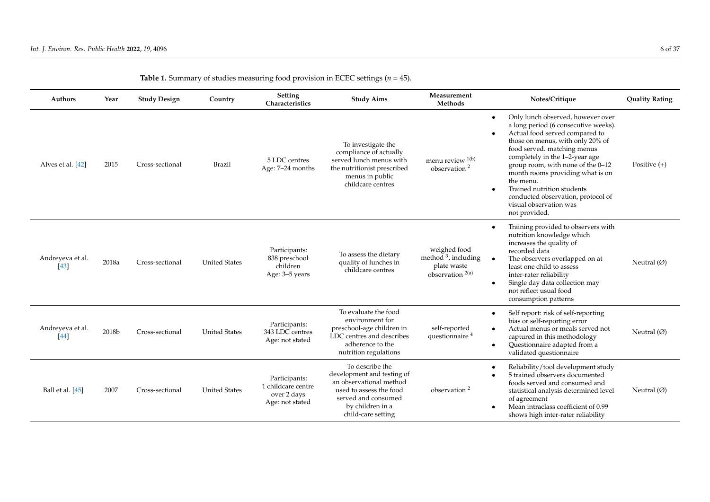| Authors                    | Year  | <b>Study Design</b> | Country              | Setting<br>Characteristics                                            | <b>Study Aims</b>                                                                                                                                                    | Measurement<br>Methods                                                               | Notes/Critique                                                                                                                                                                                                                                                                                                                                                                                                        | <b>Quality Rating</b> |
|----------------------------|-------|---------------------|----------------------|-----------------------------------------------------------------------|----------------------------------------------------------------------------------------------------------------------------------------------------------------------|--------------------------------------------------------------------------------------|-----------------------------------------------------------------------------------------------------------------------------------------------------------------------------------------------------------------------------------------------------------------------------------------------------------------------------------------------------------------------------------------------------------------------|-----------------------|
| Alves et al. [42]          | 2015  | Cross-sectional     | <b>Brazil</b>        | 5 LDC centres<br>Age: 7-24 months                                     | To investigate the<br>compliance of actually<br>served lunch menus with<br>the nutritionist prescribed<br>menus in public<br>childcare centres                       | menu review 1(b)<br>observation <sup>2</sup>                                         | Only lunch observed, however over<br>a long period (6 consecutive weeks).<br>Actual food served compared to<br>those on menus, with only 20% of<br>food served. matching menus<br>completely in the 1-2-year age<br>group room, with none of the 0-12<br>month rooms providing what is on<br>the menu.<br>Trained nutrition students<br>conducted observation, protocol of<br>visual observation was<br>not provided. | Positive $(+)$        |
| Andreyeva et al.<br>$[43]$ | 2018a | Cross-sectional     | <b>United States</b> | Participants:<br>838 preschool<br>children<br>Age: 3-5 years          | To assess the dietary<br>quality of lunches in<br>childcare centres                                                                                                  | weighed food<br>method $3$ , including<br>plate waste<br>observation <sup>2(a)</sup> | Training provided to observers with<br>nutrition knowledge which<br>increases the quality of<br>recorded data<br>The observers overlapped on at<br>least one child to assess<br>inter-rater reliability<br>Single day data collection may<br>not reflect usual food<br>consumption patterns                                                                                                                           | Neutral $(\emptyset)$ |
| Andreyeva et al.<br>[44]   | 2018b | Cross-sectional     | <b>United States</b> | Participants:<br>343 LDC centres<br>Age: not stated                   | To evaluate the food<br>environment for<br>preschool-age children in<br>LDC centres and describes<br>adherence to the<br>nutrition regulations                       | self-reported<br>questionnaire <sup>4</sup>                                          | Self report: risk of self-reporting<br>bias or self-reporting error<br>Actual menus or meals served not<br>captured in this methodology<br>Questionnaire adapted from a<br>validated questionnaire                                                                                                                                                                                                                    | Neutral $(\emptyset)$ |
| Ball et al. [45]           | 2007  | Cross-sectional     | <b>United States</b> | Participants:<br>1 childcare centre<br>over 2 days<br>Age: not stated | To describe the<br>development and testing of<br>an observational method<br>used to assess the food<br>served and consumed<br>by children in a<br>child-care setting | observation <sup>2</sup>                                                             | Reliability/tool development study<br>5 trained observers documented<br>foods served and consumed and<br>statistical analysis determined level<br>of agreement<br>Mean intraclass coefficient of 0.99<br>shows high inter-rater reliability                                                                                                                                                                           | Neutral $(\emptyset)$ |

| Table 1. Summary of studies measuring food provision in ECEC settings ( $n = 45$ ). |  |  |  |  |
|-------------------------------------------------------------------------------------|--|--|--|--|
|-------------------------------------------------------------------------------------|--|--|--|--|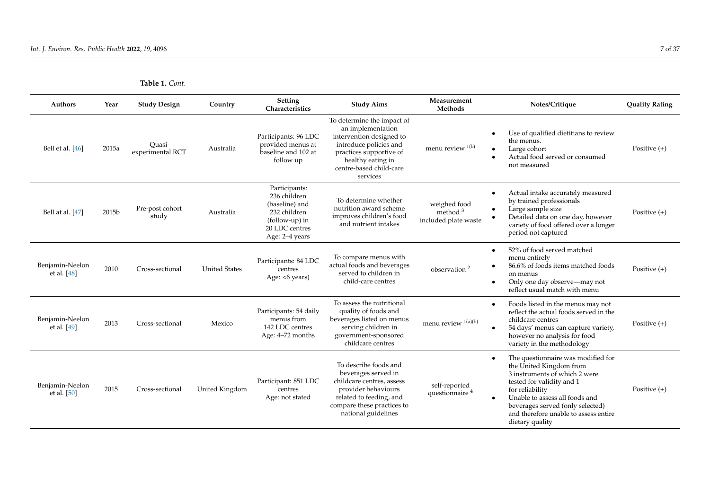| <b>Table 1.</b> Cont. |  |
|-----------------------|--|
|-----------------------|--|

| <b>Authors</b>                   | Year  | <b>Study Design</b>        | Country              | Setting<br>Characteristics                                                                                            | <b>Study Aims</b>                                                                                                                                                                            | Measurement<br>Methods                             | Notes/Critique                                                                                                                                                                                                                                                                                | <b>Quality Rating</b> |
|----------------------------------|-------|----------------------------|----------------------|-----------------------------------------------------------------------------------------------------------------------|----------------------------------------------------------------------------------------------------------------------------------------------------------------------------------------------|----------------------------------------------------|-----------------------------------------------------------------------------------------------------------------------------------------------------------------------------------------------------------------------------------------------------------------------------------------------|-----------------------|
| Bell et al. $[46]$               | 2015a | Quasi-<br>experimental RCT | Australia            | Participants: 96 LDC<br>provided menus at<br>baseline and 102 at<br>follow up                                         | To determine the impact of<br>an implementation<br>intervention designed to<br>introduce policies and<br>practices supportive of<br>healthy eating in<br>centre-based child-care<br>services | menu review 1(b)                                   | Use of qualified dietitians to review<br>$\bullet$<br>the menus.<br>Large cohort<br>Actual food served or consumed<br>$\bullet$<br>not measured                                                                                                                                               | Positive $(+)$        |
| Bell at al. [47]                 | 2015b | Pre-post cohort<br>study   | Australia            | Participants:<br>236 children<br>(baseline) and<br>232 children<br>(follow-up) in<br>20 LDC centres<br>Age: 2-4 years | To determine whether<br>nutrition award scheme<br>improves children's food<br>and nutrient intakes                                                                                           | weighed food<br>method $3$<br>included plate waste | Actual intake accurately measured<br>$\bullet$<br>by trained professionals<br>Large sample size<br>$\bullet$<br>Detailed data on one day, however<br>variety of food offered over a longer<br>period not captured                                                                             | Positive $(+)$        |
| Benjamin-Neelon<br>et al. $[48]$ | 2010  | Cross-sectional            | <b>United States</b> | Participants: 84 LDC<br>centres<br>Age: <6 years)                                                                     | To compare menus with<br>actual foods and beverages<br>served to children in<br>child-care centres                                                                                           | observation <sup>2</sup>                           | 52% of food served matched<br>$\bullet$<br>menu entirely<br>86.6% of foods items matched foods<br>on menus<br>Only one day observe-may not<br>reflect usual match with menu                                                                                                                   | Positive $(+)$        |
| Benjamin-Neelon<br>et al. [49]   | 2013  | Cross-sectional            | Mexico               | Participants: 54 daily<br>menus from<br>142 LDC centres<br>Age: 4–72 months                                           | To assess the nutritional<br>quality of foods and<br>beverages listed on menus<br>serving children in<br>government-sponsored<br>childcare centres                                           | menu review <sup>1(a)(b)</sup>                     | Foods listed in the menus may not<br>$\bullet$<br>reflect the actual foods served in the<br>childcare centres<br>54 days' menus can capture variety,<br>$\bullet$<br>however no analysis for food<br>variety in the methodology                                                               | Positive $(+)$        |
| Benjamin-Neelon<br>et al. [50]   | 2015  | Cross-sectional            | United Kingdom       | Participant: 851 LDC<br>centres<br>Age: not stated                                                                    | To describe foods and<br>beverages served in<br>childcare centres, assess<br>provider behaviours<br>related to feeding, and<br>compare these practices to<br>national guidelines             | self-reported<br>questionnaire <sup>4</sup>        | The questionnaire was modified for<br>$\bullet$<br>the United Kingdom from<br>3 instruments of which 2 were<br>tested for validity and 1<br>for reliability<br>Unable to assess all foods and<br>beverages served (only selected)<br>and therefore unable to assess entire<br>dietary quality | Positive $(+)$        |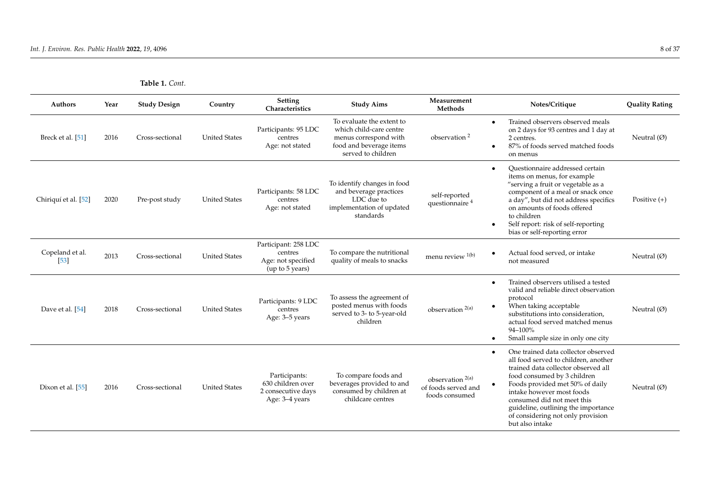| <b>Authors</b>            | Year | <b>Study Design</b> | Country              | Setting<br>Characteristics                                                 | <b>Study Aims</b>                                                                                                              | Measurement<br>Methods                                               | Notes/Critique                                                                                                                                                                                                                                                                                                                                 | <b>Quality Rating</b> |
|---------------------------|------|---------------------|----------------------|----------------------------------------------------------------------------|--------------------------------------------------------------------------------------------------------------------------------|----------------------------------------------------------------------|------------------------------------------------------------------------------------------------------------------------------------------------------------------------------------------------------------------------------------------------------------------------------------------------------------------------------------------------|-----------------------|
| Breck et al. [51]         | 2016 | Cross-sectional     | <b>United States</b> | Participants: 95 LDC<br>centres<br>Age: not stated                         | To evaluate the extent to<br>which child-care centre<br>menus correspond with<br>food and beverage items<br>served to children | observation <sup>2</sup>                                             | Trained observers observed meals<br>$\bullet$<br>on 2 days for 93 centres and 1 day at<br>2 centres.<br>87% of foods served matched foods<br>on menus                                                                                                                                                                                          | Neutral $(\emptyset)$ |
| Chiriquí et al. [52]      | 2020 | Pre-post study      | <b>United States</b> | Participants: 58 LDC<br>centres<br>Age: not stated                         | To identify changes in food<br>and beverage practices<br>LDC due to<br>implementation of updated<br>standards                  | self-reported<br>questionnaire <sup>4</sup>                          | Ouestionnaire addressed certain<br>items on menus, for example<br>"serving a fruit or vegetable as a<br>component of a meal or snack once<br>a day", but did not address specifics<br>on amounts of foods offered<br>to children<br>Self report: risk of self-reporting<br>bias or self-reporting error                                        | Positive $(+)$        |
| Copeland et al.<br>$[53]$ | 2013 | Cross-sectional     | <b>United States</b> | Participant: 258 LDC<br>centres<br>Age: not specified<br>(up to 5 years)   | To compare the nutritional<br>quality of meals to snacks                                                                       | menu review 1(b)                                                     | Actual food served, or intake<br>not measured                                                                                                                                                                                                                                                                                                  | Neutral $(\emptyset)$ |
| Dave et al. [54]          | 2018 | Cross-sectional     | <b>United States</b> | Participants: 9 LDC<br>centres<br>Age: 3-5 years                           | To assess the agreement of<br>posted menus with foods<br>served to 3- to 5-year-old<br>children                                | observation <sup>2(a)</sup>                                          | Trained observers utilised a tested<br>valid and reliable direct observation<br>protocol<br>When taking acceptable<br>substitutions into consideration.<br>actual food served matched menus<br>94-100%<br>Small sample size in only one city                                                                                                   | Neutral $(\emptyset)$ |
| Dixon et al. [55]         | 2016 | Cross-sectional     | <b>United States</b> | Participants:<br>630 children over<br>2 consecutive days<br>Age: 3–4 years | To compare foods and<br>beverages provided to and<br>consumed by children at<br>childcare centres                              | observation <sup>2(a)</sup><br>of foods served and<br>foods consumed | One trained data collector observed<br>all food served to children, another<br>trained data collector observed all<br>food consumed by 3 children<br>Foods provided met 50% of daily<br>intake however most foods<br>consumed did not meet this<br>guideline, outlining the importance<br>of considering not only provision<br>but also intake | Neutral $(\emptyset)$ |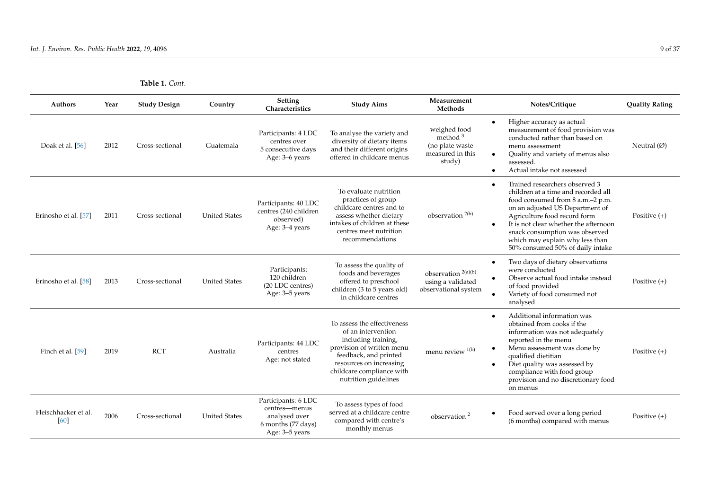| <b>Table 1.</b> Cont. |  |
|-----------------------|--|
|-----------------------|--|

| <b>Authors</b>               | Year | <b>Study Design</b> | Country              | Setting<br>Characteristics                                                                    | <b>Study Aims</b>                                                                                                                                                                                              | Measurement<br>Methods                                                      | Notes/Critique                                                                                                                                                                                                                                                                                                                              | <b>Quality Rating</b> |
|------------------------------|------|---------------------|----------------------|-----------------------------------------------------------------------------------------------|----------------------------------------------------------------------------------------------------------------------------------------------------------------------------------------------------------------|-----------------------------------------------------------------------------|---------------------------------------------------------------------------------------------------------------------------------------------------------------------------------------------------------------------------------------------------------------------------------------------------------------------------------------------|-----------------------|
| Doak et al. [56]             | 2012 | Cross-sectional     | Guatemala            | Participants: 4 LDC<br>centres over<br>5 consecutive days<br>Age: 3–6 years                   | To analyse the variety and<br>diversity of dietary items<br>and their different origins<br>offered in childcare menus                                                                                          | weighed food<br>method $3$<br>(no plate waste<br>measured in this<br>study) | Higher accuracy as actual<br>$\bullet$<br>measurement of food provision was<br>conducted rather than based on<br>menu assessment<br>Quality and variety of menus also<br>$\bullet$<br>assessed.<br>Actual intake not assessed                                                                                                               | Neutral $(\emptyset)$ |
| Erinosho et al. [57]         | 2011 | Cross-sectional     | <b>United States</b> | Participants: 40 LDC<br>centres (240 children<br>observed)<br>Age: 3-4 years                  | To evaluate nutrition<br>practices of group<br>childcare centres and to<br>assess whether dietary<br>intakes of children at these<br>centres meet nutrition<br>recommendations                                 | observation $2(b)$                                                          | Trained researchers observed 3<br>children at a time and recorded all<br>food consumed from 8 a.m.-2 p.m.<br>on an adjusted US Department of<br>Agriculture food record form<br>It is not clear whether the afternoon<br>$\bullet$<br>snack consumption was observed<br>which may explain why less than<br>50% consumed 50% of daily intake | Positive $(+)$        |
| Erinosho et al. [58]         | 2013 | Cross-sectional     | <b>United States</b> | Participants:<br>120 children<br>(20 LDC centres)<br>Age: 3–5 years                           | To assess the quality of<br>foods and beverages<br>offered to preschool<br>children (3 to 5 years old)<br>in childcare centres                                                                                 | observation $2(a)(b)$<br>using a validated<br>observational system          | Two days of dietary observations<br>$\bullet$<br>were conducted<br>Observe actual food intake instead<br>of food provided<br>Variety of food consumed not<br>analysed                                                                                                                                                                       | Positive $(+)$        |
| Finch et al. [59]            | 2019 | <b>RCT</b>          | Australia            | Participants: 44 LDC<br>centres<br>Age: not stated                                            | To assess the effectiveness<br>of an intervention<br>including training,<br>provision of written menu<br>feedback, and printed<br>resources on increasing<br>childcare compliance with<br>nutrition guidelines | menu review 1(b)                                                            | Additional information was<br>$\bullet$<br>obtained from cooks if the<br>information was not adequately<br>reported in the menu<br>Menu assessment was done by<br>$\bullet$<br>qualified dietitian<br>Diet quality was assessed by<br>compliance with food group<br>provision and no discretionary food<br>on menus                         | Positive $(+)$        |
| Fleischhacker et al.<br>[60] | 2006 | Cross-sectional     | <b>United States</b> | Participants: 6 LDC<br>centres-menus<br>analysed over<br>6 months (77 days)<br>Age: 3–5 years | To assess types of food<br>served at a childcare centre<br>compared with centre's<br>monthly menus                                                                                                             | observation <sup>2</sup>                                                    | Food served over a long period<br>(6 months) compared with menus                                                                                                                                                                                                                                                                            | Positive $(+)$        |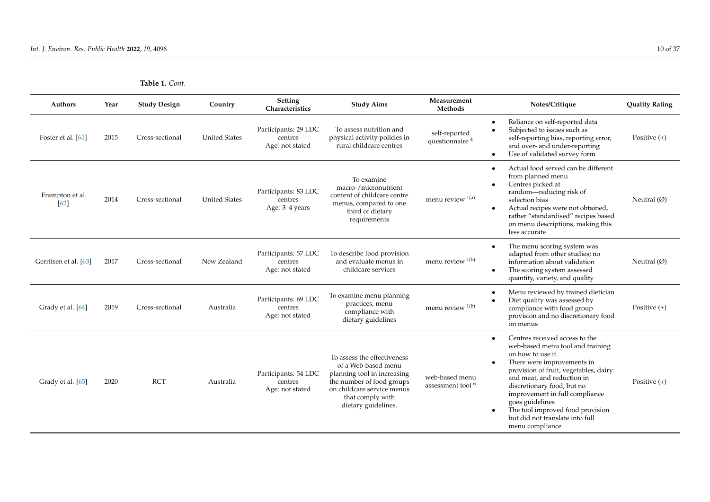| Table 1. Cont. |  |
|----------------|--|
|----------------|--|

| <b>Authors</b>          | Year | <b>Study Design</b> | Country              | Setting<br>Characteristics                         | <b>Study Aims</b>                                                                                                                                                                       | Measurement<br>Methods                         | Notes/Critique                                                                                                                                                                                                                                                                                                                                                                         | <b>Quality Rating</b> |
|-------------------------|------|---------------------|----------------------|----------------------------------------------------|-----------------------------------------------------------------------------------------------------------------------------------------------------------------------------------------|------------------------------------------------|----------------------------------------------------------------------------------------------------------------------------------------------------------------------------------------------------------------------------------------------------------------------------------------------------------------------------------------------------------------------------------------|-----------------------|
| Foster et al. [61]      | 2015 | Cross-sectional     | <b>United States</b> | Participants: 29 LDC<br>centres<br>Age: not stated | To assess nutrition and<br>physical activity policies in<br>rural childcare centres                                                                                                     | self-reported<br>questionnaire <sup>4</sup>    | Reliance on self-reported data<br>$\bullet$<br>Subjected to issues such as<br>$\bullet$<br>self-reporting bias, reporting error,<br>and over- and under-reporting<br>Use of validated survey form<br>$\bullet$                                                                                                                                                                         | Positive $(+)$        |
| Frampton et al.<br>[62] | 2014 | Cross-sectional     | <b>United States</b> | Participants: 83 LDC<br>centres<br>Age: 3-4 years  | To examine<br>macro-/micronutrient<br>content of childcare centre<br>menus, compared to one<br>third of dietary<br>requirements                                                         | menu review $1(a)$                             | Actual food served can be different<br>$\bullet$<br>from planned menu<br>Centres picked at<br>$\bullet$<br>random—reducing risk of<br>selection bias<br>Actual recipes were not obtained,<br>$\bullet$<br>rather "standardised" recipes based<br>on menu descriptions, making this<br>less accurate                                                                                    | Neutral $(\emptyset)$ |
| Gerritsen et al. [63]   | 2017 | Cross-sectional     | New Zealand          | Participants: 57 LDC<br>centres<br>Age: not stated | To describe food provision<br>and evaluate menus in<br>childcare services                                                                                                               | menu review 1(b)                               | The menu scoring system was<br>$\bullet$<br>adapted from other studies; no<br>information about validation<br>The scoring system assessed<br>quantity, variety, and quality                                                                                                                                                                                                            | Neutral $(\emptyset)$ |
| Grady et al. [64]       | 2019 | Cross-sectional     | Australia            | Participants: 69 LDC<br>centres<br>Age: not stated | To examine menu planning<br>practices, menu<br>compliance with<br>dietary guidelines                                                                                                    | menu review 1(b)                               | Menu reviewed by trained dietician<br>$\bullet$<br>Diet quality was assessed by<br>compliance with food group<br>provision and no discretionary food<br>on menus                                                                                                                                                                                                                       | Positive $(+)$        |
| Grady et al. [65]       | 2020 | <b>RCT</b>          | Australia            | Participants: 54 LDC<br>centres<br>Age: not stated | To assess the effectiveness<br>of a Web-based menu<br>planning tool in increasing<br>the number of food groups<br>on childcare service menus<br>that comply with<br>dietary guidelines. | web-based menu<br>assessment tool <sup>6</sup> | Centres received access to the<br>web-based menu tool and training<br>on how to use it.<br>There were improvements in<br>provision of fruit, vegetables, dairy<br>and meat, and reduction in<br>discretionary food, but no<br>improvement in full compliance<br>goes guidelines<br>The tool improved food provision<br>$\bullet$<br>but did not translate into full<br>menu compliance | Positive $(+)$        |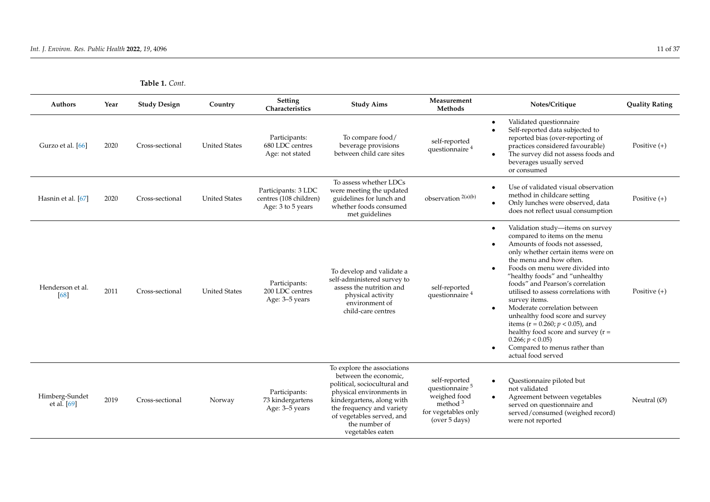| <b>Table 1.</b> Cont. |  |
|-----------------------|--|
|                       |  |

| <b>Authors</b>                  | Year | <b>Study Design</b> | Country              | Setting<br>Characteristics                                         | <b>Study Aims</b>                                                                                                                                                                                                                            | Measurement<br>Methods                                                                                            | Notes/Critique                                                                                                                                                                                                                                                                                                                                                                                                                                                                                                                                                                                   | <b>Quality Rating</b> |
|---------------------------------|------|---------------------|----------------------|--------------------------------------------------------------------|----------------------------------------------------------------------------------------------------------------------------------------------------------------------------------------------------------------------------------------------|-------------------------------------------------------------------------------------------------------------------|--------------------------------------------------------------------------------------------------------------------------------------------------------------------------------------------------------------------------------------------------------------------------------------------------------------------------------------------------------------------------------------------------------------------------------------------------------------------------------------------------------------------------------------------------------------------------------------------------|-----------------------|
| Gurzo et al. [66]               | 2020 | Cross-sectional     | <b>United States</b> | Participants:<br>680 LDC centres<br>Age: not stated                | To compare food/<br>beverage provisions<br>between child care sites                                                                                                                                                                          | self-reported<br>questionnaire <sup>4</sup>                                                                       | Validated questionnaire<br>$\bullet$<br>Self-reported data subjected to<br>$\bullet$<br>reported bias (over-reporting of<br>practices considered favourable)<br>The survey did not assess foods and<br>beverages usually served<br>or consumed                                                                                                                                                                                                                                                                                                                                                   | Positive $(+)$        |
| Hasnin et al. [67]              | 2020 | Cross-sectional     | <b>United States</b> | Participants: 3 LDC<br>centres (108 children)<br>Age: 3 to 5 years | To assess whether LDCs<br>were meeting the updated<br>guidelines for lunch and<br>whether foods consumed<br>met guidelines                                                                                                                   | observation <sup>2(a)(b)</sup>                                                                                    | Use of validated visual observation<br>method in childcare setting<br>Only lunches were observed, data<br>does not reflect usual consumption                                                                                                                                                                                                                                                                                                                                                                                                                                                     | Positive $(+)$        |
| Henderson et al.<br>[68]        | 2011 | Cross-sectional     | <b>United States</b> | Participants:<br>200 LDC centres<br>Age: 3-5 years                 | To develop and validate a<br>self-administered survey to<br>assess the nutrition and<br>physical activity<br>environment of<br>child-care centres                                                                                            | self-reported<br>questionnaire <sup>4</sup>                                                                       | Validation study-items on survey<br>$\bullet$<br>compared to items on the menu<br>Amounts of foods not assessed,<br>only whether certain items were on<br>the menu and how often.<br>Foods on menu were divided into<br>"healthy foods" and "unhealthy<br>foods" and Pearson's correlation<br>utilised to assess correlations with<br>survey items.<br>Moderate correlation between<br>$\bullet$<br>unhealthy food score and survey<br>items ( $r = 0.260$ ; $p < 0.05$ ), and<br>healthy food score and survey $(r =$<br>0.266; p < 0.05<br>Compared to menus rather than<br>actual food served | Positive $(+)$        |
| Himberg-Sundet<br>et al. $[69]$ | 2019 | Cross-sectional     | Norway               | Participants:<br>73 kindergartens<br>Age: 3–5 years                | To explore the associations<br>between the economic,<br>political, sociocultural and<br>physical environments in<br>kindergartens, along with<br>the frequency and variety<br>of vegetables served, and<br>the number of<br>vegetables eaten | self-reported<br>questionnaire <sup>5</sup><br>weighed food<br>method $3$<br>for vegetables only<br>(over 5 days) | Questionnaire piloted but<br>not validated<br>Agreement between vegetables<br>served on questionnaire and<br>served/consumed (weighed record)<br>were not reported                                                                                                                                                                                                                                                                                                                                                                                                                               | Neutral $(\emptyset)$ |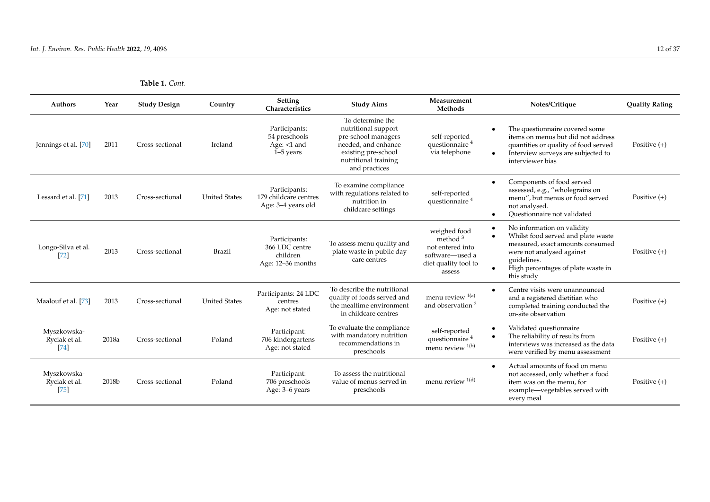| <b>Table 1.</b> Cont. |  |
|-----------------------|--|
|-----------------------|--|

| Authors                              | Year  | <b>Study Design</b> | Country              | Setting<br>Characteristics                                       | <b>Study Aims</b>                                                                                                                                     | Measurement<br><b>Methods</b>                                                                       | Notes/Critique                                                                                                                                                                                                    | <b>Ouality Rating</b> |
|--------------------------------------|-------|---------------------|----------------------|------------------------------------------------------------------|-------------------------------------------------------------------------------------------------------------------------------------------------------|-----------------------------------------------------------------------------------------------------|-------------------------------------------------------------------------------------------------------------------------------------------------------------------------------------------------------------------|-----------------------|
| Jennings et al. [70]                 | 2011  | Cross-sectional     | Ireland              | Participants:<br>54 preschools<br>Age: $<1$ and<br>$1-5$ years   | To determine the<br>nutritional support<br>pre-school managers<br>needed, and enhance<br>existing pre-school<br>nutritional training<br>and practices | self-reported<br>questionnaire <sup>4</sup><br>via telephone                                        | The questionnaire covered some<br>items on menus but did not address<br>quantities or quality of food served<br>Interview surveys are subjected to<br>interviewer bias                                            | Positive $(+)$        |
| Lessard et al. [71]                  | 2013  | Cross-sectional     | <b>United States</b> | Participants:<br>179 childcare centres<br>Age: 3-4 years old     | To examine compliance<br>with regulations related to<br>nutrition in<br>childcare settings                                                            | self-reported<br>questionnaire <sup>4</sup>                                                         | Components of food served<br>assessed, e.g., "wholegrains on<br>menu", but menus or food served<br>not analysed.<br>Questionnaire not validated                                                                   | Positive $(+)$        |
| Longo-Silva et al.<br>72             | 2013  | Cross-sectional     | Brazil               | Participants:<br>366 LDC centre<br>children<br>Age: 12-36 months | To assess menu quality and<br>plate waste in public day<br>care centres                                                                               | weighed food<br>method $3$<br>not entered into<br>software-used a<br>diet quality tool to<br>assess | No information on validity<br>Whilst food served and plate waste<br>$\bullet$<br>measured, exact amounts consumed<br>were not analysed against<br>guidelines.<br>High percentages of plate waste in<br>this study | Positive $(+)$        |
| Maalouf et al. [73]                  | 2013  | Cross-sectional     | <b>United States</b> | Participants: 24 LDC<br>centres<br>Age: not stated               | To describe the nutritional<br>quality of foods served and<br>the mealtime environment<br>in childcare centres                                        | menu review 1(a)<br>and observation <sup>2</sup>                                                    | Centre visits were unannounced<br>and a registered dietitian who<br>completed training conducted the<br>on-site observation                                                                                       | Positive $(+)$        |
| Myszkowska-<br>Ryciak et al.<br>[74] | 2018a | Cross-sectional     | Poland               | Participant:<br>706 kindergartens<br>Age: not stated             | To evaluate the compliance<br>with mandatory nutrition<br>recommendations in<br>preschools                                                            | self-reported<br>questionnaire <sup>4</sup><br>menu review $1(b)$                                   | Validated questionnaire<br>The reliability of results from<br>interviews was increased as the data<br>were verified by menu assessment                                                                            | Positive $(+)$        |
| Myszkowska-<br>Ryciak et al.<br>[75] | 2018b | Cross-sectional     | Poland               | Participant:<br>706 preschools<br>Age: 3-6 years                 | To assess the nutritional<br>value of menus served in<br>preschools                                                                                   | menu review $1(d)$                                                                                  | Actual amounts of food on menu<br>not accessed, only whether a food<br>item was on the menu, for<br>example—vegetables served with<br>every meal                                                                  | Positive $(+)$        |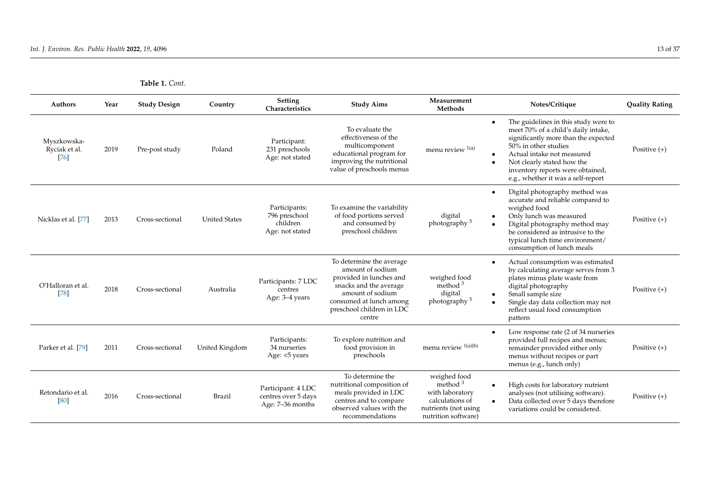| Authors                              | Year | <b>Study Design</b> | Country              | Setting<br>Characteristics                                    | <b>Study Aims</b>                                                                                                                                                                       | Measurement<br>Methods                                                                                          | Notes/Critique                                                                                                                                                                                                                                                                    | <b>Quality Rating</b> |
|--------------------------------------|------|---------------------|----------------------|---------------------------------------------------------------|-----------------------------------------------------------------------------------------------------------------------------------------------------------------------------------------|-----------------------------------------------------------------------------------------------------------------|-----------------------------------------------------------------------------------------------------------------------------------------------------------------------------------------------------------------------------------------------------------------------------------|-----------------------|
| Myszkowska-<br>Ryciak et al.<br>[76] | 2019 | Pre-post study      | Poland               | Participant:<br>231 preschools<br>Age: not stated             | To evaluate the<br>effectiveness of the<br>multicomponent<br>educational program for<br>improving the nutritional<br>value of preschools menus                                          | menu review $1(a)$                                                                                              | The guidelines in this study were to<br>meet 70% of a child's daily intake,<br>significantly more than the expected<br>50% in other studies<br>Actual intake not measured<br>Not clearly stated how the<br>inventory reports were obtained,<br>e.g., whether it was a self-report | Positive $(+)$        |
| Nicklas et al. [77]                  | 2013 | Cross-sectional     | <b>United States</b> | Participants:<br>796 preschool<br>children<br>Age: not stated | To examine the variability<br>of food portions served<br>and consumed by<br>preschool children                                                                                          | digital<br>photography <sup>5</sup>                                                                             | Digital photography method was<br>accurate and reliable compared to<br>weighed food<br>Only lunch was measured<br>Digital photography method may<br>be considered as intrusive to the<br>typical lunch time environment/<br>consumption of lunch meals                            | Positive $(+)$        |
| O'Halloran et al.<br>$[78]$          | 2018 | Cross-sectional     | Australia            | Participants: 7 LDC<br>centres<br>Age: 3-4 years              | To determine the average<br>amount of sodium<br>provided in lunches and<br>snacks and the average<br>amount of sodium<br>consumed at lunch among<br>preschool children in LDC<br>centre | weighed food<br>method $3$<br>digital<br>photography <sup>5</sup>                                               | Actual consumption was estimated<br>by calculating average serves from 3<br>plates minus plate waste from<br>digital photography<br>Small sample size<br>Single day data collection may not<br>reflect usual food consumption<br>pattern                                          | Positive $(+)$        |
| Parker et al. [79]                   | 2011 | Cross-sectional     | United Kingdom       | Participants:<br>34 nurseries<br>Age: <5 years                | To explore nutrition and<br>food provision in<br>preschools                                                                                                                             | menu review <sup>1(a)(b)</sup>                                                                                  | Low response rate (2 of 34 nurseries<br>provided full recipes and menus;<br>remainder provided either only<br>menus without recipes or part<br>menus (e.g., lunch only)                                                                                                           | Positive $(+)$        |
| Retondario et al.<br>[80]            | 2016 | Cross-sectional     | <b>Brazil</b>        | Participant: 4 LDC<br>centres over 5 days<br>Age: 7-36 months | To determine the<br>nutritional composition of<br>meals provided in LDC<br>centres and to compare<br>observed values with the<br>recommendations                                        | weighed food<br>method $3$<br>with laboratory<br>calculations of<br>nutrients (not using<br>nutrition software) | High costs for laboratory nutrient<br>$\bullet$<br>analyses (not utilising software).<br>Data collected over 5 days therefore<br>variations could be considered.                                                                                                                  | Positive $(+)$        |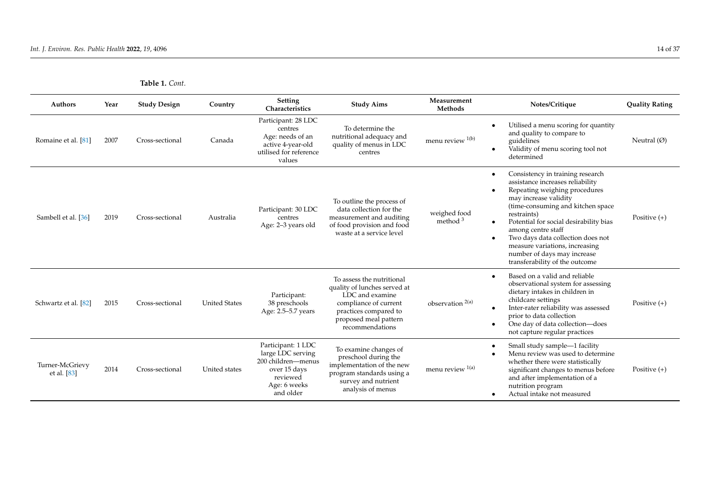| <b>Table 1.</b> Cont. |  |
|-----------------------|--|
|-----------------------|--|

| Authors                          | Year | <b>Study Design</b> | Country              | <b>Setting</b><br>Characteristics                                                                                      | <b>Study Aims</b>                                                                                                                                                          | Measurement<br>Methods      | Notes/Critique                                                                                                                                                                                                                                                                                                                                                                                           | <b>Quality Rating</b> |
|----------------------------------|------|---------------------|----------------------|------------------------------------------------------------------------------------------------------------------------|----------------------------------------------------------------------------------------------------------------------------------------------------------------------------|-----------------------------|----------------------------------------------------------------------------------------------------------------------------------------------------------------------------------------------------------------------------------------------------------------------------------------------------------------------------------------------------------------------------------------------------------|-----------------------|
| Romaine et al. [81]              | 2007 | Cross-sectional     | Canada               | Participant: 28 LDC<br>centres<br>Age: needs of an<br>active 4-year-old<br>utilised for reference<br>values            | To determine the<br>nutritional adequacy and<br>quality of menus in LDC<br>centres                                                                                         | menu review $1(b)$          | Utilised a menu scoring for quantity<br>and quality to compare to<br>guidelines<br>Validity of menu scoring tool not<br>determined                                                                                                                                                                                                                                                                       | Neutral $(\emptyset)$ |
| Sambell et al. [36]              | 2019 | Cross-sectional     | Australia            | Participant: 30 LDC<br>centres<br>Age: 2–3 years old                                                                   | To outline the process of<br>data collection for the<br>measurement and auditing<br>of food provision and food<br>waste at a service level                                 | weighed food<br>method $3$  | Consistency in training research<br>assistance increases reliability<br>Repeating weighing procedures<br>may increase validity<br>(time-consuming and kitchen space)<br>restraints)<br>Potential for social desirability bias<br>$\bullet$<br>among centre staff<br>Two days data collection does not<br>measure variations, increasing<br>number of days may increase<br>transferability of the outcome | Positive $(+)$        |
| Schwartz et al. [82]             | 2015 | Cross-sectional     | <b>United States</b> | Participant:<br>38 preschools<br>Age: 2.5-5.7 years                                                                    | To assess the nutritional<br>quality of lunches served at<br>LDC and examine<br>compliance of current<br>practices compared to<br>proposed meal pattern<br>recommendations | observation <sup>2(a)</sup> | Based on a valid and reliable<br>observational system for assessing<br>dietary intakes in children in<br>childcare settings<br>Inter-rater reliability was assessed<br>prior to data collection<br>One day of data collection-does<br>not capture regular practices                                                                                                                                      | Positive $(+)$        |
| Turner-McGrievy<br>et al. $[83]$ | 2014 | Cross-sectional     | United states        | Participant: 1 LDC<br>large LDC serving<br>200 children-menus<br>over 15 days<br>reviewed<br>Age: 6 weeks<br>and older | To examine changes of<br>preschool during the<br>implementation of the new<br>program standards using a<br>survey and nutrient<br>analysis of menus                        | menu review $1(a)$          | Small study sample-1 facility<br>Menu review was used to determine<br>whether there were statistically<br>significant changes to menus before<br>and after implementation of a<br>nutrition program<br>Actual intake not measured                                                                                                                                                                        | Positive $(+)$        |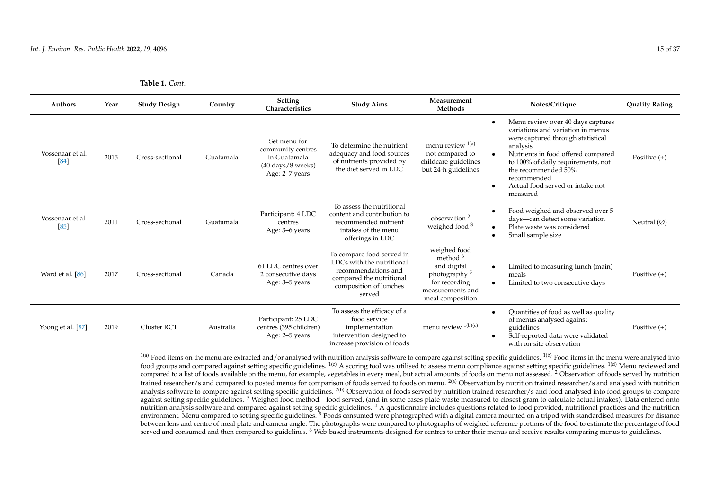**Table 1.** *Cont.*

| Authors                  | Year | <b>Study Design</b> | Country   | <b>Setting</b><br>Characteristics                                                                          | <b>Study Aims</b>                                                                                                                             | Measurement<br>Methods                                                                                                         | Notes/Critique                                                                                                                                                                                                                                                                                                      | <b>Quality Rating</b> |
|--------------------------|------|---------------------|-----------|------------------------------------------------------------------------------------------------------------|-----------------------------------------------------------------------------------------------------------------------------------------------|--------------------------------------------------------------------------------------------------------------------------------|---------------------------------------------------------------------------------------------------------------------------------------------------------------------------------------------------------------------------------------------------------------------------------------------------------------------|-----------------------|
| Vossenaar et al.<br>[84] | 2015 | Cross-sectional     | Guatamala | Set menu for<br>community centres<br>in Guatamala<br>$(40 \text{ days}/8 \text{ weeks})$<br>Age: 2–7 years | To determine the nutrient<br>adequacy and food sources<br>of nutrients provided by<br>the diet served in LDC                                  | menu review 1(a)<br>not compared to<br>childcare guidelines<br>but 24-h guidelines                                             | Menu review over 40 days captures<br>$\bullet$<br>variations and variation in menus<br>were captured through statistical<br>analysis<br>Nutrients in food offered compared<br>to 100% of daily requirements, not<br>the recommended 50%<br>recommended<br>Actual food served or intake not<br>$\bullet$<br>measured | Positive $(+)$        |
| Vossenaar et al.<br>[85] | 2011 | Cross-sectional     | Guatamala | Participant: 4 LDC<br>centres<br>Age: 3–6 years                                                            | To assess the nutritional<br>content and contribution to<br>recommended nutrient<br>intakes of the menu<br>offerings in LDC                   | observation <sup>2</sup><br>weighed food <sup>3</sup>                                                                          | Food weighed and observed over 5<br>days-can detect some variation<br>Plate waste was considered<br>$\bullet$<br>Small sample size                                                                                                                                                                                  | Neutral $(\emptyset)$ |
| Ward et al. [86]         | 2017 | Cross-sectional     | Canada    | 61 LDC centres over<br>2 consecutive days<br>Age: 3–5 years                                                | To compare food served in<br>LDCs with the nutritional<br>recommendations and<br>compared the nutritional<br>composition of lunches<br>served | weighed food<br>method $3$<br>and digital<br>photography <sup>5</sup><br>for recording<br>measurements and<br>meal composition | Limited to measuring lunch (main)<br>$\bullet$<br>meals<br>Limited to two consecutive days<br>$\bullet$                                                                                                                                                                                                             | Positive $(+)$        |
| Yoong et al. [87]        | 2019 | <b>Cluster RCT</b>  | Australia | Participant: 25 LDC<br>centres (395 children)<br>Age: 2–5 years                                            | To assess the efficacy of a<br>food service<br>implementation<br>intervention designed to<br>increase provision of foods                      | menu review <sup>1(b)(c)</sup>                                                                                                 | Quantities of food as well as quality<br>$\bullet$<br>of menus analysed against<br>guidelines<br>Self-reported data were validated<br>with on-site observation                                                                                                                                                      | Positive $(+)$        |

<span id="page-16-0"></span> $1(a)$  Food items on the menu are extracted and/or analysed with nutrition analysis software to compare against setting specific guidelines.  $1(b)$  Food items in the menu were analysed into food groups and compared against setting specific guidelines. <sup>1(c)</sup> A scoring tool was utilised to assess menu compliance against setting specific guidelines. <sup>1(d)</sup> Menu reviewed and compared to a list of foods available on the menu, for example, vegetables in every meal, but actual amounts of foods on menu not assessed. <sup>2</sup> Observation of foods served by nutrition trained researcher/s and compared to posted menus for comparison of foods served to foods on menu. <sup>2(a)</sup> Observation by nutrition trained researcher/s and analysed with nutrition analysis software to compare against setting specific guidelines. <sup>2(b)</sup> Observation of foods served by nutrition trained researcher/s and food analysed into food groups to compare against setting specific guidelines.<sup>3</sup> Weighed food method—food served, (and in some cases plate waste measured to closest gram to calculate actual intakes). Data entered onto nutrition analysis software and compared against setting specific guidelines.<sup>4</sup> A questionnaire includes questions related to food provided, nutritional practices and the nutrition environment. Menu compared to setting specific guidelines.<sup>5</sup> Foods consumed were photographed with a digital camera mounted on a tripod with standardised measures for distance between lens and centre of meal plate and camera angle. The photographs were compared to photographs of weighed reference portions of the food to estimate the percentage of food served and consumed and then compared to guidelines. <sup>6</sup> Web-based instruments designed for centres to enter their menus and receive results comparing menus to guidelines.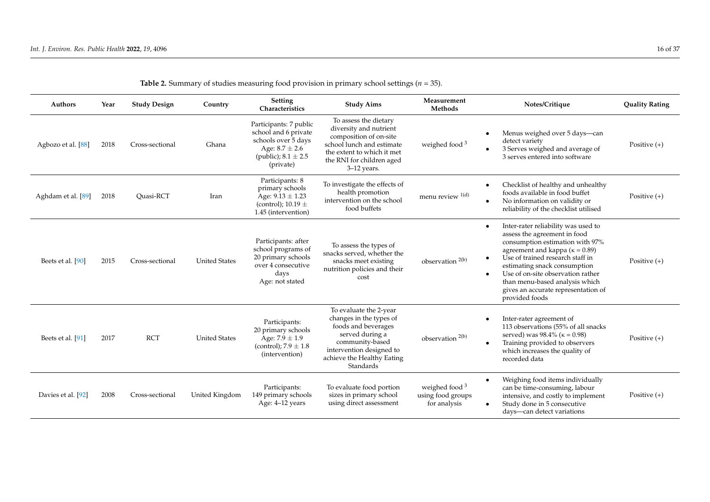| Authors            | Year | <b>Study Design</b> | Country              | Setting<br>Characteristics                                                                                                          | <b>Study Aims</b>                                                                                                                                                                     | Measurement<br>Methods                                | Notes/Critique                                                                                                                                                                                                                                                                                                                                                     | <b>Quality Rating</b> |
|--------------------|------|---------------------|----------------------|-------------------------------------------------------------------------------------------------------------------------------------|---------------------------------------------------------------------------------------------------------------------------------------------------------------------------------------|-------------------------------------------------------|--------------------------------------------------------------------------------------------------------------------------------------------------------------------------------------------------------------------------------------------------------------------------------------------------------------------------------------------------------------------|-----------------------|
| Agbozo et al. [88] | 2018 | Cross-sectional     | Ghana                | Participants: 7 public<br>school and 6 private<br>schools over 5 days<br>Age: $8.7 \pm 2.6$<br>(public); $8.1 \pm 2.5$<br>(private) | To assess the dietary<br>diversity and nutrient<br>composition of on-site<br>school lunch and estimate<br>the extent to which it met<br>the RNI for children aged<br>$3-12$ years.    | weighed food <sup>3</sup>                             | Menus weighed over 5 days—can<br>$\bullet$<br>detect variety<br>3 Serves weighed and average of<br>3 serves entered into software                                                                                                                                                                                                                                  | Positive $(+)$        |
| Aghdam et al. [89] | 2018 | Ouasi-RCT           | Iran                 | Participants: 8<br>primary schools<br>Age: $9.13 \pm 1.23$<br>(control); $10.19 \pm$<br>1.45 (intervention)                         | To investigate the effects of<br>health promotion<br>intervention on the school<br>food buffets                                                                                       | menu review $^{1(d)}$                                 | Checklist of healthy and unhealthy<br>$\bullet$<br>foods available in food buffet<br>No information on validity or<br>$\bullet$<br>reliability of the checklist utilised                                                                                                                                                                                           | Positive $(+)$        |
| Beets et al. [90]  | 2015 | Cross-sectional     | <b>United States</b> | Participants: after<br>school programs of<br>20 primary schools<br>over 4 consecutive<br>days<br>Age: not stated                    | To assess the types of<br>snacks served, whether the<br>snacks meet existing<br>nutrition policies and their<br>cost                                                                  | observation <sup>2(b)</sup>                           | Inter-rater reliability was used to<br>assess the agreement in food<br>consumption estimation with 97%<br>agreement and kappa ( $\kappa = 0.89$ )<br>Use of trained research staff in<br>estimating snack consumption<br>Use of on-site observation rather<br>$\bullet$<br>than menu-based analysis which<br>gives an accurate representation of<br>provided foods | Positive $(+)$        |
| Beets et al. [91]  | 2017 | <b>RCT</b>          | <b>United States</b> | Participants:<br>20 primary schools<br>Age: $7.9 \pm 1.9$<br>(control); $7.9 \pm 1.8$<br>(intervention)                             | To evaluate the 2-year<br>changes in the types of<br>foods and beverages<br>served during a<br>community-based<br>intervention designed to<br>achieve the Healthy Eating<br>Standards | observation <sup>2(b)</sup>                           | Inter-rater agreement of<br>113 observations (55% of all snacks<br>served) was 98.4% ( $\kappa$ = 0.98)<br>Training provided to observers<br>which increases the quality of<br>recorded data                                                                                                                                                                       | Positive $(+)$        |
| Davies et al. [92] | 2008 | Cross-sectional     | United Kingdom       | Participants:<br>149 primary schools<br>Age: 4-12 years                                                                             | To evaluate food portion<br>sizes in primary school<br>using direct assessment                                                                                                        | weighed food $3$<br>using food groups<br>for analysis | Weighing food items individually<br>can be time-consuming, labour<br>intensive, and costly to implement<br>Study done in 5 consecutive<br>days-can detect variations                                                                                                                                                                                               | Positive $(+)$        |

**Table 2.** Summary of studies measuring food provision in primary school settings (*n* = 35).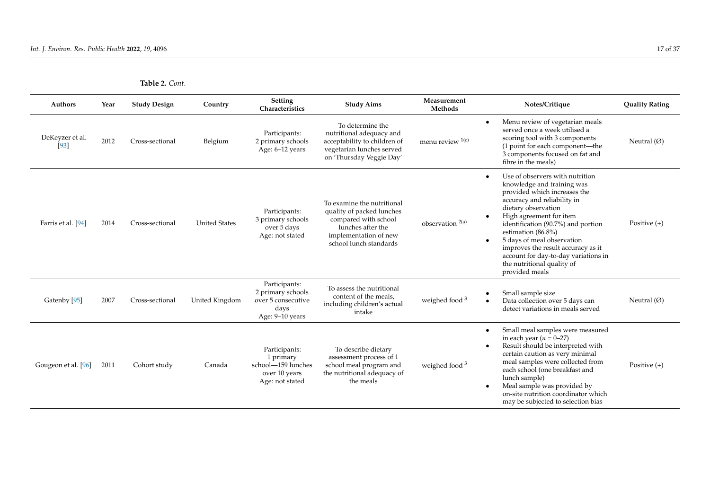| Authors                   | Year | <b>Study Design</b> | Country              | <b>Setting</b><br>Characteristics                                                    | <b>Study Aims</b>                                                                                                                                       | Measurement<br>Methods      | Notes/Critique                                                                                                                                                                                                                                                                                                                                                                                                                   | <b>Quality Rating</b> |
|---------------------------|------|---------------------|----------------------|--------------------------------------------------------------------------------------|---------------------------------------------------------------------------------------------------------------------------------------------------------|-----------------------------|----------------------------------------------------------------------------------------------------------------------------------------------------------------------------------------------------------------------------------------------------------------------------------------------------------------------------------------------------------------------------------------------------------------------------------|-----------------------|
| DeKeyzer et al.<br>$[93]$ | 2012 | Cross-sectional     | Belgium              | Participants:<br>2 primary schools<br>Age: 6-12 years                                | To determine the<br>nutritional adequacy and<br>acceptability to children of<br>vegetarian lunches served<br>on 'Thursday Veggie Day'                   | menu review $1(c)$          | Menu review of vegetarian meals<br>$\bullet$<br>served once a week utilised a<br>scoring tool with 3 components<br>(1 point for each component—the<br>3 components focused on fat and<br>fibre in the meals)                                                                                                                                                                                                                     | Neutral $(\emptyset)$ |
| Farris et al. [94]        | 2014 | Cross-sectional     | <b>United States</b> | Participants:<br>3 primary schools<br>over 5 days<br>Age: not stated                 | To examine the nutritional<br>quality of packed lunches<br>compared with school<br>lunches after the<br>implementation of new<br>school lunch standards | observation <sup>2(a)</sup> | Use of observers with nutrition<br>$\bullet$<br>knowledge and training was<br>provided which increases the<br>accuracy and reliability in<br>dietary observation<br>High agreement for item<br>identification (90.7%) and portion<br>estimation (86.8%)<br>5 days of meal observation<br>$\bullet$<br>improves the result accuracy as it<br>account for day-to-day variations in<br>the nutritional quality of<br>provided meals | Positive $(+)$        |
| Gatenby [95]              | 2007 | Cross-sectional     | United Kingdom       | Participants:<br>2 primary schools<br>over 5 consecutive<br>days<br>Age: 9-10 years  | To assess the nutritional<br>content of the meals,<br>including children's actual<br>intake                                                             | weighed food <sup>3</sup>   | Small sample size<br>$\bullet$<br>Data collection over 5 days can<br>$\bullet$<br>detect variations in meals served                                                                                                                                                                                                                                                                                                              | Neutral $(\emptyset)$ |
| Gougeon et al. [96]       | 2011 | Cohort study        | Canada               | Participants:<br>1 primary<br>school-159 lunches<br>over 10 years<br>Age: not stated | To describe dietary<br>assessment process of 1<br>school meal program and<br>the nutritional adequacy of<br>the meals                                   | weighed food <sup>3</sup>   | Small meal samples were measured<br>$\bullet$<br>in each year $(n = 0-27)$<br>Result should be interpreted with<br>$\bullet$<br>certain caution as very minimal<br>meal samples were collected from<br>each school (one breakfast and<br>lunch sample)<br>Meal sample was provided by<br>on-site nutrition coordinator which<br>may be subjected to selection bias                                                               | Positive $(+)$        |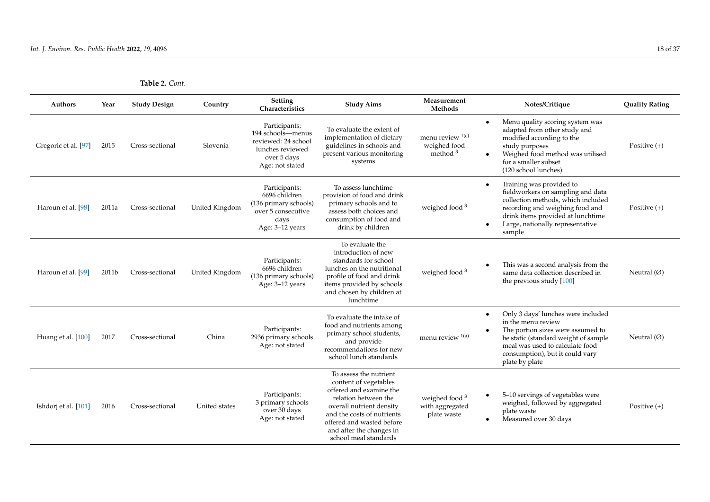| Authors              | Year  | <b>Study Design</b> | Country        | Setting<br>Characteristics                                                                                      | <b>Study Aims</b>                                                                                                                                                                                                                              | Measurement<br>Methods                                      | Notes/Critique                                                                                                                                                                                                                             | <b>Quality Rating</b> |
|----------------------|-------|---------------------|----------------|-----------------------------------------------------------------------------------------------------------------|------------------------------------------------------------------------------------------------------------------------------------------------------------------------------------------------------------------------------------------------|-------------------------------------------------------------|--------------------------------------------------------------------------------------------------------------------------------------------------------------------------------------------------------------------------------------------|-----------------------|
| Gregoric et al. [97] | 2015  | Cross-sectional     | Slovenia       | Participants:<br>194 schools-menus<br>reviewed: 24 school<br>lunches reviewed<br>over 5 days<br>Age: not stated | To evaluate the extent of<br>implementation of dietary<br>guidelines in schools and<br>present various monitoring<br>systems                                                                                                                   | menu review $1(c)$<br>weighed food<br>method $3$            | Menu quality scoring system was<br>$\bullet$<br>adapted from other study and<br>modified according to the<br>study purposes<br>Weighed food method was utilised<br>for a smaller subset<br>(120 school lunches)                            | Positive $(+)$        |
| Haroun et al. [98]   | 2011a | Cross-sectional     | United Kingdom | Participants:<br>6696 children<br>(136 primary schools)<br>over 5 consecutive<br>days<br>Age: 3-12 years        | To assess lunchtime<br>provision of food and drink<br>primary schools and to<br>assess both choices and<br>consumption of food and<br>drink by children                                                                                        | weighed food <sup>3</sup>                                   | Training was provided to<br>fieldworkers on sampling and data<br>collection methods, which included<br>recording and weighing food and<br>drink items provided at lunchtime<br>Large, nationally representative<br>sample                  | Positive $(+)$        |
| Haroun et al. [99]   | 2011b | Cross-sectional     | United Kingdom | Participants:<br>6696 children<br>(136 primary schools)<br>Age: 3-12 years                                      | To evaluate the<br>introduction of new<br>standards for school<br>lunches on the nutritional<br>profile of food and drink<br>items provided by schools<br>and chosen by children at<br>lunchtime                                               | weighed food $3$                                            | This was a second analysis from the<br>same data collection described in<br>the previous study $[100]$                                                                                                                                     | Neutral $(\emptyset)$ |
| Huang et al. [100]   | 2017  | Cross-sectional     | China          | Participants:<br>2936 primary schools<br>Age: not stated                                                        | To evaluate the intake of<br>food and nutrients among<br>primary school students,<br>and provide<br>recommendations for new<br>school lunch standards                                                                                          | menu review 1(a)                                            | Only 3 days' lunches were included<br>$\bullet$<br>in the menu review<br>The portion sizes were assumed to<br>be static (standard weight of sample<br>meal was used to calculate food<br>consumption), but it could vary<br>plate by plate | Neutral $(\emptyset)$ |
| Ishdorj et al. [101] | 2016  | Cross-sectional     | United states  | Participants:<br>3 primary schools<br>over 30 days<br>Age: not stated                                           | To assess the nutrient<br>content of vegetables<br>offered and examine the<br>relation between the<br>overall nutrient density<br>and the costs of nutrients<br>offered and wasted before<br>and after the changes in<br>school meal standards | weighed food <sup>3</sup><br>with aggregated<br>plate waste | 5–10 servings of vegetables were<br>weighed, followed by aggregated<br>plate waste<br>Measured over 30 days<br>$\bullet$                                                                                                                   | Positive $(+)$        |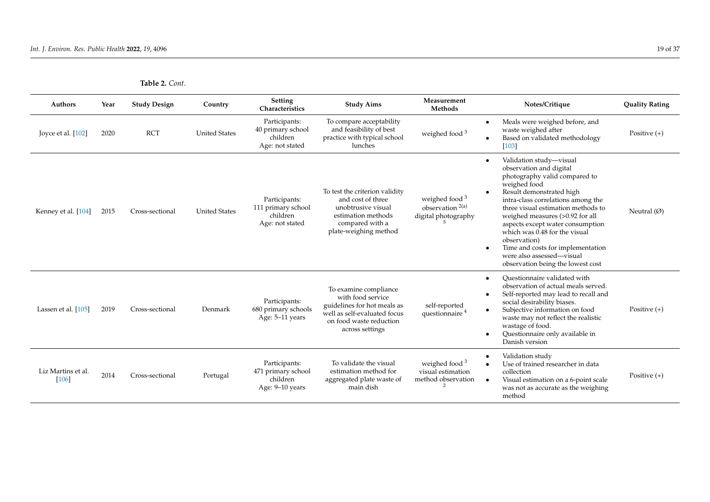| Authors                       | Year | <b>Study Design</b> | Country              | <b>Setting</b><br>Characteristics                                  | <b>Study Aims</b>                                                                                                                                       | Measurement<br>Methods                                                 | Notes/Critique                                                                                                                                                                                                                                                                                                                                                                                                                                                                    | <b>Quality Rating</b> |
|-------------------------------|------|---------------------|----------------------|--------------------------------------------------------------------|---------------------------------------------------------------------------------------------------------------------------------------------------------|------------------------------------------------------------------------|-----------------------------------------------------------------------------------------------------------------------------------------------------------------------------------------------------------------------------------------------------------------------------------------------------------------------------------------------------------------------------------------------------------------------------------------------------------------------------------|-----------------------|
| Joyce et al. $[102]$          | 2020 | <b>RCT</b>          | <b>United States</b> | Participants:<br>40 primary school<br>children<br>Age: not stated  | To compare acceptability<br>and feasibility of best<br>practice with typical school<br>lunches                                                          | weighed food <sup>3</sup>                                              | Meals were weighed before, and<br>$\bullet$<br>waste weighed after<br>Based on validated methodology<br>$\bullet$<br>$[103]$                                                                                                                                                                                                                                                                                                                                                      | Positive $(+)$        |
| Kenney et al. [104]           | 2015 | Cross-sectional     | <b>United States</b> | Participants:<br>111 primary school<br>children<br>Age: not stated | To test the criterion validity<br>and cost of three<br>unobtrusive visual<br>estimation methods<br>compared with a<br>plate-weighing method             | weighed food <sup>3</sup><br>observation $2(a)$<br>digital photography | Validation study-visual<br>$\bullet$<br>observation and digital<br>photography valid compared to<br>weighed food<br>Result demonstrated high<br>$\bullet$<br>intra-class correlations among the<br>three visual estimation methods to<br>weighed measures (>0.92 for all<br>aspects except water consumption<br>which was 0.48 for the visual<br>observation)<br>Time and costs for implementation<br>$\bullet$<br>were also assessed-visual<br>observation being the lowest cost | Neutral $(\emptyset)$ |
| Lassen et al. [105]           | 2019 | Cross-sectional     | Denmark              | Participants:<br>680 primary schools<br>Age: 5-11 years            | To examine compliance<br>with food service<br>guidelines for hot meals as<br>well as self-evaluated focus<br>on food waste reduction<br>across settings | self-reported<br>questionnaire <sup>4</sup>                            | Ouestionnaire validated with<br>$\bullet$<br>observation of actual meals served.<br>Self-reported may lead to recall and<br>$\bullet$<br>social desirability biases.<br>Subjective information on food<br>$\bullet$<br>waste may not reflect the realistic<br>wastage of food.<br>Questionnaire only available in<br>$\bullet$<br>Danish version                                                                                                                                  | Positive $(+)$        |
| Liz Martins et al.<br>$[106]$ | 2014 | Cross-sectional     | Portugal             | Participants:<br>471 primary school<br>children<br>Age: 9-10 years | To validate the visual<br>estimation method for<br>aggregated plate waste of<br>main dish                                                               | weighed food $3$<br>visual estimation<br>method observation            | Validation study<br>$\bullet$<br>Use of trained researcher in data<br>$\bullet$<br>collection<br>Visual estimation on a 6-point scale<br>was not as accurate as the weighing<br>method                                                                                                                                                                                                                                                                                            | Positive $(+)$        |

| Table 2. Cont. |  |
|----------------|--|
|                |  |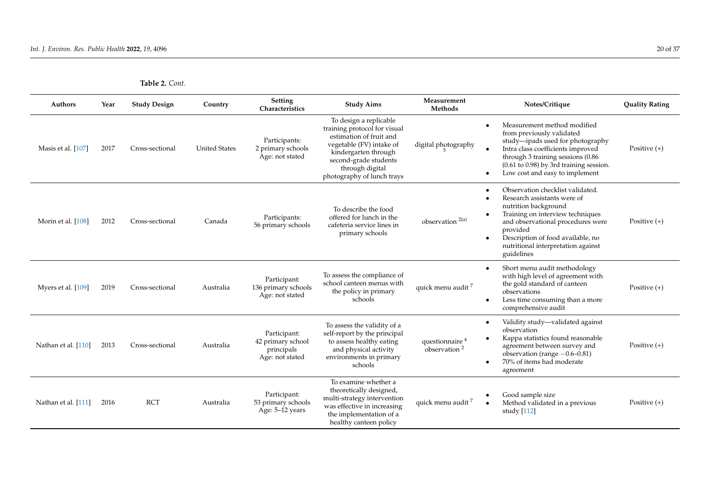| <b>Table 2.</b> Cont. |  |
|-----------------------|--|
|-----------------------|--|

| <b>Authors</b>      | Year | <b>Study Design</b> | Country              | Setting<br>Characteristics                                         | <b>Study Aims</b>                                                                                                                                                                                               | Measurement<br>Methods                        | Notes/Critique                                                                                                                                                                                                                                                        | <b>Quality Rating</b> |
|---------------------|------|---------------------|----------------------|--------------------------------------------------------------------|-----------------------------------------------------------------------------------------------------------------------------------------------------------------------------------------------------------------|-----------------------------------------------|-----------------------------------------------------------------------------------------------------------------------------------------------------------------------------------------------------------------------------------------------------------------------|-----------------------|
| Masis et al. [107]  | 2017 | Cross-sectional     | <b>United States</b> | Participants:<br>2 primary schools<br>Age: not stated              | To design a replicable<br>training protocol for visual<br>estimation of fruit and<br>vegetable (FV) intake of<br>kindergarten through<br>second-grade students<br>through digital<br>photography of lunch trays | digital photography                           | Measurement method modified<br>from previously validated<br>study-ipads used for photography<br>Intra class coefficients improved<br>through 3 training sessions (0.86)<br>$(0.61$ to $0.98)$ by 3rd training session.<br>Low cost and easy to implement              | Positive $(+)$        |
| Morin et al. [108]  | 2012 | Cross-sectional     | Canada               | Participants:<br>56 primary schools                                | To describe the food<br>offered for lunch in the<br>cafeteria service lines in<br>primary schools                                                                                                               | observation <sup>2(a)</sup>                   | Observation checklist validated.<br>Research assistants were of<br>nutrition background<br>Training on interview techniques<br>and observational procedures were<br>provided<br>Description of food available, no<br>nutritional interpretation against<br>guidelines | Positive $(+)$        |
| Myers et al. [109]  | 2019 | Cross-sectional     | Australia            | Participant:<br>136 primary schools<br>Age: not stated             | To assess the compliance of<br>school canteen menus with<br>the policy in primary<br>schools                                                                                                                    | quick menu audit <sup>7</sup>                 | Short menu audit methodology<br>$\bullet$<br>with high level of agreement with<br>the gold standard of canteen<br>observations<br>Less time consuming than a more<br>comprehensive audit                                                                              | Positive $(+)$        |
| Nathan et al. [110] | 2013 | Cross-sectional     | Australia            | Participant:<br>42 primary school<br>principals<br>Age: not stated | To assess the validity of a<br>self-report by the principal<br>to assess healthy eating<br>and physical activity<br>environments in primary<br>schools                                                          | questionnaire <sup>4</sup><br>observation $2$ | Validity study-validated against<br>$\bullet$<br>observation<br>Kappa statistics found reasonable<br>agreement between survey and<br>observation (range $-0.6-0.81$ )<br>70% of items had moderate<br>agreement                                                       | Positive $(+)$        |
| Nathan et al. [111] | 2016 | <b>RCT</b>          | Australia            | Participant:<br>53 primary schools<br>Age: 5-12 years              | To examine whether a<br>theoretically designed,<br>multi-strategy intervention<br>was effective in increasing<br>the implementation of a<br>healthy canteen policy                                              | quick menu audit <sup>7</sup>                 | Good sample size<br>Method validated in a previous<br>study [112]                                                                                                                                                                                                     | Positive $(+)$        |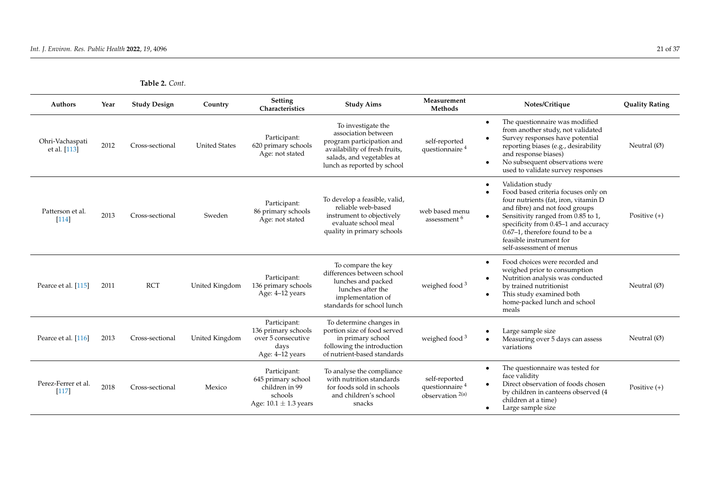| Authors                         | Year | <b>Study Design</b> | Country              | <b>Setting</b><br>Characteristics                                                            | <b>Study Aims</b>                                                                                                                                                   | Measurement<br>Methods                                            | Notes/Critique                                                                                                                                                                                                                                                                                                                      | <b>Quality Rating</b> |
|---------------------------------|------|---------------------|----------------------|----------------------------------------------------------------------------------------------|---------------------------------------------------------------------------------------------------------------------------------------------------------------------|-------------------------------------------------------------------|-------------------------------------------------------------------------------------------------------------------------------------------------------------------------------------------------------------------------------------------------------------------------------------------------------------------------------------|-----------------------|
| Ohri-Vachaspati<br>et al. [113] | 2012 | Cross-sectional     | <b>United States</b> | Participant:<br>620 primary schools<br>Age: not stated                                       | To investigate the<br>association between<br>program participation and<br>availability of fresh fruits,<br>salads, and vegetables at<br>lunch as reported by school | self-reported<br>questionnaire <sup>4</sup>                       | The questionnaire was modified<br>$\bullet$<br>from another study, not validated<br>Survey responses have potential<br>$\bullet$<br>reporting biases (e.g., desirability<br>and response biases)<br>No subsequent observations were<br>$\bullet$<br>used to validate survey responses                                               | Neutral $(\emptyset)$ |
| Patterson et al.<br>$[114]$     | 2013 | Cross-sectional     | Sweden               | Participant:<br>86 primary schools<br>Age: not stated                                        | To develop a feasible, valid,<br>reliable web-based<br>instrument to objectively<br>evaluate school meal<br>quality in primary schools                              | web based menu<br>assessment <sup>6</sup>                         | Validation study<br>$\bullet$<br>Food based criteria focuses only on<br>four nutrients (fat, iron, vitamin D<br>and fibre) and not food groups<br>Sensitivity ranged from 0.85 to 1,<br>$\bullet$<br>specificity from 0.45-1 and accuracy<br>0.67-1, therefore found to be a<br>feasible instrument for<br>self-assessment of menus | Positive $(+)$        |
| Pearce et al. [115]             | 2011 | <b>RCT</b>          | United Kingdom       | Participant:<br>136 primary schools<br>Age: 4-12 years                                       | To compare the key<br>differences between school<br>lunches and packed<br>lunches after the<br>implementation of<br>standards for school lunch                      | weighed food <sup>3</sup>                                         | Food choices were recorded and<br>$\bullet$<br>weighed prior to consumption<br>Nutrition analysis was conducted<br>$\bullet$<br>by trained nutritionist<br>This study examined both<br>$\bullet$<br>home-packed lunch and school<br>meals                                                                                           | Neutral $(\emptyset)$ |
| Pearce et al. [116]             | 2013 | Cross-sectional     | United Kingdom       | Participant:<br>136 primary schools<br>over 5 consecutive<br>days<br>Age: 4-12 years         | To determine changes in<br>portion size of food served<br>in primary school<br>following the introduction<br>of nutrient-based standards                            | weighed food <sup>3</sup>                                         | Large sample size<br>Measuring over 5 days can assess<br>variations                                                                                                                                                                                                                                                                 | Neutral $(\emptyset)$ |
| Perez-Ferrer et al.<br>$[117]$  | 2018 | Cross-sectional     | Mexico               | Participant:<br>645 primary school<br>children in 99<br>schools<br>Age: $10.1 \pm 1.3$ years | To analyse the compliance<br>with nutrition standards<br>for foods sold in schools<br>and children's school<br>snacks                                               | self-reported<br>questionnaire <sup>4</sup><br>observation $2(a)$ | The questionnaire was tested for<br>$\bullet$<br>face validity<br>Direct observation of foods chosen<br>$\bullet$<br>by children in canteens observed (4<br>children at a time)<br>Large sample size<br>٠                                                                                                                           | Positive $(+)$        |

**Table 2.** *Cont.*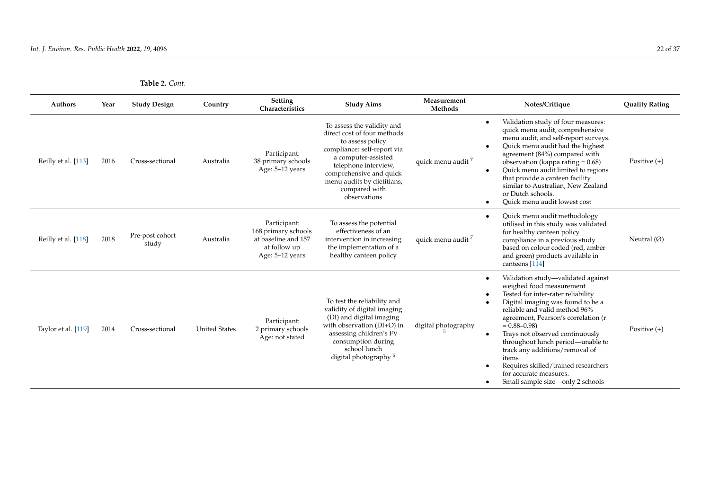| <b>Authors</b>      | Year | <b>Study Design</b>      | Country              | <b>Setting</b><br>Characteristics                                                             | <b>Study Aims</b>                                                                                                                                                                                                                                     | Measurement<br>Methods        | Notes/Critique                                                                                                                                                                                                                                                                                                                                                                                                                                                             | <b>Quality Rating</b> |
|---------------------|------|--------------------------|----------------------|-----------------------------------------------------------------------------------------------|-------------------------------------------------------------------------------------------------------------------------------------------------------------------------------------------------------------------------------------------------------|-------------------------------|----------------------------------------------------------------------------------------------------------------------------------------------------------------------------------------------------------------------------------------------------------------------------------------------------------------------------------------------------------------------------------------------------------------------------------------------------------------------------|-----------------------|
| Reilly et al. [113] | 2016 | Cross-sectional          | Australia            | Participant:<br>38 primary schools<br>Age: 5-12 years                                         | To assess the validity and<br>direct cost of four methods<br>to assess policy<br>compliance: self-report via<br>a computer-assisted<br>telephone interview,<br>comprehensive and quick<br>menu audits by dietitians,<br>compared with<br>observations | quick menu audit <sup>7</sup> | Validation study of four measures:<br>$\bullet$<br>quick menu audit, comprehensive<br>menu audit, and self-report surveys.<br>Quick menu audit had the highest<br>$\bullet$<br>agreement (84%) compared with<br>observation (kappa rating $= 0.68$ )<br>Quick menu audit limited to regions<br>$\bullet$<br>that provide a canteen facility<br>similar to Australian, New Zealand<br>or Dutch schools.<br>Quick menu audit lowest cost<br>$\bullet$                        | Positive $(+)$        |
| Reilly et al. [118] | 2018 | Pre-post cohort<br>study | Australia            | Participant:<br>168 primary schools<br>at baseline and 157<br>at follow up<br>Age: 5-12 years | To assess the potential<br>effectiveness of an<br>intervention in increasing<br>the implementation of a<br>healthy canteen policy                                                                                                                     | quick menu audit <sup>7</sup> | Quick menu audit methodology<br>$\bullet$<br>utilised in this study was validated<br>for healthy canteen policy<br>compliance in a previous study<br>based on colour coded (red, amber<br>and green) products available in<br>canteens [114]                                                                                                                                                                                                                               | Neutral $(\emptyset)$ |
| Taylor et al. [119] | 2014 | Cross-sectional          | <b>United States</b> | Participant:<br>2 primary schools<br>Age: not stated                                          | To test the reliability and<br>validity of digital imaging<br>(DI) and digital imaging<br>with observation (DI+O) in<br>assessing children's FV<br>consumption during<br>school lunch<br>digital photography <sup>6</sup>                             | digital photography           | Validation study—validated against<br>$\bullet$<br>weighed food measurement<br>Tested for inter-rater reliability<br>Digital imaging was found to be a<br>reliable and valid method 96%<br>agreement, Pearson's correlation (r<br>$= 0.88 - 0.98$<br>Trays not observed continuously<br>throughout lunch period—unable to<br>track any additions/removal of<br>items<br>Requires skilled/trained researchers<br>for accurate measures.<br>Small sample size—only 2 schools | Positive $(+)$        |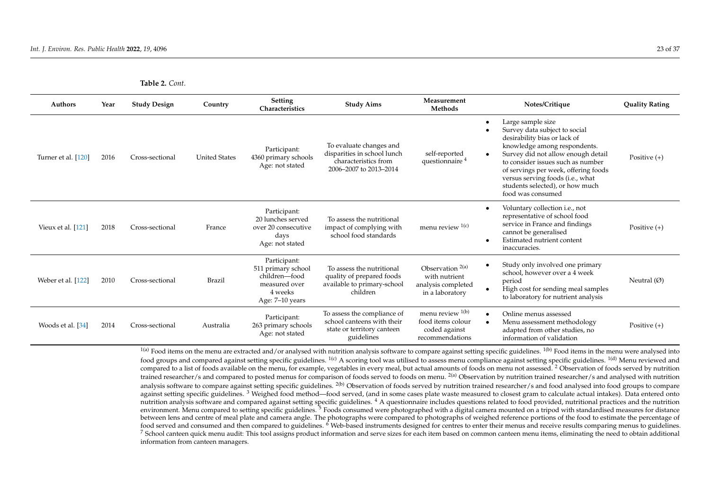| <b>Authors</b>      | Year | <b>Study Design</b> | Country              | <b>Setting</b><br>Characteristics                                                                  | <b>Study Aims</b>                                                                                        | Measurement<br>Methods                                                       | Notes/Critique                                                                                                                                                                                                                                                                                                                    | <b>Quality Rating</b> |
|---------------------|------|---------------------|----------------------|----------------------------------------------------------------------------------------------------|----------------------------------------------------------------------------------------------------------|------------------------------------------------------------------------------|-----------------------------------------------------------------------------------------------------------------------------------------------------------------------------------------------------------------------------------------------------------------------------------------------------------------------------------|-----------------------|
| Turner et al. [120] | 2016 | Cross-sectional     | <b>United States</b> | Participant:<br>4360 primary schools<br>Age: not stated                                            | To evaluate changes and<br>disparities in school lunch<br>characteristics from<br>2006-2007 to 2013-2014 | self-reported<br>questionnaire <sup>4</sup>                                  | Large sample size<br>Survey data subject to social<br>desirability bias or lack of<br>knowledge among respondents.<br>Survey did not allow enough detail<br>to consider issues such as number<br>of servings per week, offering foods<br>versus serving foods (i.e., what<br>students selected), or how much<br>food was consumed | Positive $(+)$        |
| Vieux et al. [121]  | 2018 | Cross-sectional     | France               | Participant:<br>20 lunches served<br>over 20 consecutive<br>days<br>Age: not stated                | To assess the nutritional<br>impact of complying with<br>school food standards                           | menu review $1(c)$                                                           | Voluntary collection i.e., not<br>representative of school food<br>service in France and findings<br>cannot be generalised<br>Estimated nutrient content<br>inaccuracies.                                                                                                                                                         | Positive $(+)$        |
| Weber et al. [122]  | 2010 | Cross-sectional     | <b>Brazil</b>        | Participant:<br>511 primary school<br>children-food<br>measured over<br>4 weeks<br>Age: 7–10 years | To assess the nutritional<br>quality of prepared foods<br>available to primary-school<br>children        | Observation $2(a)$<br>with nutrient<br>analysis completed<br>in a laboratory | Study only involved one primary<br>school, however over a 4 week<br>period<br>High cost for sending meal samples<br>to laboratory for nutrient analysis                                                                                                                                                                           | Neutral $(\emptyset)$ |
| Woods et al. [34]   | 2014 | Cross-sectional     | Australia            | Participant:<br>263 primary schools<br>Age: not stated                                             | To assess the compliance of<br>school canteens with their<br>state or territory canteen<br>guidelines    | menu review $1(b)$<br>food items colour<br>coded against<br>recommendations  | Online menus assessed<br>Menu assessment methodology<br>adapted from other studies, no<br>information of validation                                                                                                                                                                                                               | Positive $(+)$        |

<span id="page-24-0"></span> $1(a)$  Food items on the menu are extracted and/or analysed with nutrition analysis software to compare against setting specific guidelines.  $1(b)$  Food items in the menu were analysed into food groups and compared against setting specific guidelines. <sup>1(c)</sup> A scoring tool was utilised to assess menu compliance against setting specific guidelines. <sup>1(d)</sup> Menu reviewed and compared to a list of foods available on the menu, for example, vegetables in every meal, but actual amounts of foods on menu not assessed. <sup>2</sup> Observation of foods served by nutrition trained researcher/s and compared to posted menus for comparison of foods served to foods on menu. <sup>2(a)</sup> Observation by nutrition trained researcher/s and analysed with nutrition trained researcher/s and analysed with nut analysis software to compare against setting specific guidelines. <sup>2(b)</sup> Observation of foods served by nutrition trained researcher/s and food analysed into food groups to compare against setting specific guidelines.<sup>3</sup> Weighed food method—food served, (and in some cases plate waste measured to closest gram to calculate actual intakes). Data entered onto nutrition analysis software and compared against setting specific guidelines.<sup>4</sup> A questionnaire includes questions related to food provided, nutritional practices and the nutrition environment. Menu compared to setting specific guidelines.<sup>5</sup> Foods consumed were photographed with a digital camera mounted on a tripod with standardised measures for distance between lens and centre of meal plate and camera angle. The photographs were compared to photographs of weighed reference portions of the food to estimate the percentage of food served and consumed and then compared to guidelines. <sup>6</sup> Web-based instruments designed for centres to enter their menus and receive results comparing menus to guidelines.  $^7$  School canteen quick menu audit: This tool assigns product information and serve sizes for each item based on common canteen menu items, eliminating the need to obtain additional information from canteen managers.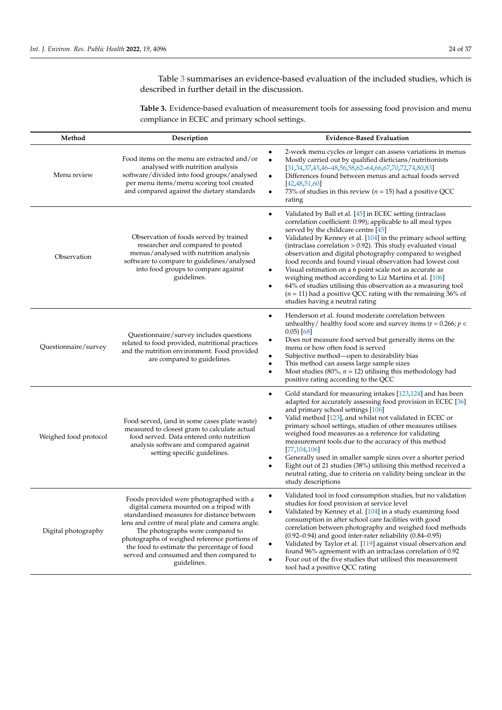Table [3](#page-26-0) summarises an evidence-based evaluation of the included studies, which is described in further detail in the discussion.

**Table 3.** Evidence-based evaluation of measurement tools for assessing food provision and menu compliance in ECEC and primary school settings.

| Method                | Description                                                                                                                                                                                                                                                                                                                                                                       | <b>Evidence-Based Evaluation</b>                                                                                                                                                                                                                                                                                                                                                                                                                                                                                                                                                                                                                                                                                                                        |
|-----------------------|-----------------------------------------------------------------------------------------------------------------------------------------------------------------------------------------------------------------------------------------------------------------------------------------------------------------------------------------------------------------------------------|---------------------------------------------------------------------------------------------------------------------------------------------------------------------------------------------------------------------------------------------------------------------------------------------------------------------------------------------------------------------------------------------------------------------------------------------------------------------------------------------------------------------------------------------------------------------------------------------------------------------------------------------------------------------------------------------------------------------------------------------------------|
| Menu review           | Food items on the menu are extracted and/or<br>analysed with nutrition analysis<br>software/divided into food groups/analysed<br>per menu items/menu scoring tool created<br>and compared against the dietary standards                                                                                                                                                           | 2-week menu cycles or longer can assess variations in menus<br>Mostly carried out by qualified dieticians/nutritionists<br>$\bullet$<br>$[31,34,37,43,46-48,56,58,62-64,66,67,70,72,74,80,83]$<br>Differences found between menus and actual foods served<br>٠<br>[42, 48, 51, 60]<br>73% of studies in this review ( $n = 15$ ) had a positive QCC<br>٠<br>rating                                                                                                                                                                                                                                                                                                                                                                                      |
| Observation           | Observation of foods served by trained<br>researcher and compared to posted<br>menus/analysed with nutrition analysis<br>software to compare to guidelines/analysed<br>into food groups to compare against<br>guidelines.                                                                                                                                                         | Validated by Ball et al. [45] in ECEC setting (intraclass<br>$\bullet$<br>correlation coefficient: 0.99); applicable to all meal types<br>served by the childcare centre $[45]$<br>Validated by Kenney et al. [104] in the primary school setting<br>٠<br>$(intraclass correlation > 0.92)$ . This study evaluated visual<br>observation and digital photography compared to weighed<br>food records and found visual observation had lowest cost<br>Visual estimation on a 6 point scale not as accurate as<br>٠<br>weighing method according to Liz Martins et al. [106]<br>64% of studies utilising this observation as a measuring tool<br>٠<br>( $n = 11$ ) had a positive QCC rating with the remaining 36% of<br>studies having a neutral rating |
| Questionnaire/survey  | Questionnaire/survey includes questions<br>related to food provided, nutritional practices<br>and the nutrition environment. Food provided<br>are compared to guidelines.                                                                                                                                                                                                         | Henderson et al. found moderate correlation between<br>٠<br>unhealthy/ healthy food score and survey items ( $r = 0.266$ ; $p <$<br>$(0.05)$ [68]<br>Does not measure food served but generally items on the<br>٠<br>menu or how often food is served<br>Subjective method-open to desirability bias<br>This method can assess large sample sizes<br>٠<br>Most studies (80%, $n = 12$ ) utilising this methodology had<br>$\bullet$<br>positive rating according to the QCC                                                                                                                                                                                                                                                                             |
| Weighed food protocol | Food served, (and in some cases plate waste)<br>measured to closest gram to calculate actual<br>food served. Data entered onto nutrition<br>analysis software and compared against<br>setting specific guidelines.                                                                                                                                                                | Gold standard for measuring intakes [123,124] and has been<br>٠<br>adapted for accurately assessing food provision in ECEC [36]<br>and primary school settings [106]<br>Valid method [123], and whilst not validated in ECEC or<br>٠<br>primary school settings, studies of other measures utilises<br>weighed food measures as a reference for validating<br>measurement tools due to the accuracy of this method<br>[77, 104, 106]<br>Generally used in smaller sample sizes over a shorter period<br>٠<br>Eight out of 21 studies (38%) utilising this method received a<br>٠<br>neutral rating, due to criteria on validity being unclear in the<br>study descriptions                                                                              |
| Digital photography   | Foods provided were photographed with a<br>digital camera mounted on a tripod with<br>standardised measures for distance between<br>lens and centre of meal plate and camera angle.<br>The photographs were compared to<br>photographs of weighed reference portions of<br>the food to estimate the percentage of food<br>served and consumed and then compared to<br>guidelines. | Validated tool in food consumption studies, but no validation<br>٠<br>studies for food provision at service level<br>Validated by Kenney et al. [104] in a study examining food<br>consumption in after school care facilities with good<br>correlation between photography and weighed food methods<br>$(0.92-0.94)$ and good inter-rater reliability $(0.84-0.95)$<br>Validated by Taylor et al. [119] against visual observation and<br>٠<br>found 96% agreement with an intraclass correlation of 0.92<br>Four out of the five studies that utilised this measurement<br>٠<br>tool had a positive QCC rating                                                                                                                                        |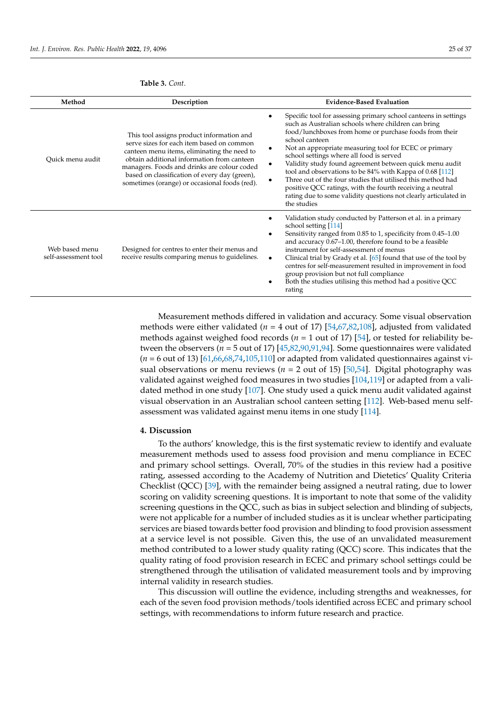| Method                                 | Description                                                                                                                                                                                                                                                                                                                          | <b>Evidence-Based Evaluation</b>                                                                                                                                                                                                                                                                                                                                                                                                                                                                                                                                                                                                                                          |
|----------------------------------------|--------------------------------------------------------------------------------------------------------------------------------------------------------------------------------------------------------------------------------------------------------------------------------------------------------------------------------------|---------------------------------------------------------------------------------------------------------------------------------------------------------------------------------------------------------------------------------------------------------------------------------------------------------------------------------------------------------------------------------------------------------------------------------------------------------------------------------------------------------------------------------------------------------------------------------------------------------------------------------------------------------------------------|
| Quick menu audit                       | This tool assigns product information and<br>serve sizes for each item based on common<br>canteen menu items, eliminating the need to<br>obtain additional information from canteen<br>managers. Foods and drinks are colour coded<br>based on classification of every day (green),<br>sometimes (orange) or occasional foods (red). | Specific tool for assessing primary school canteens in settings<br>٠<br>such as Australian schools where children can bring<br>food/lunchboxes from home or purchase foods from their<br>school canteen<br>Not an appropriate measuring tool for ECEC or primary<br>٠<br>school settings where all food is served<br>Validity study found agreement between quick menu audit<br>$\bullet$<br>tool and observations to be 84% with Kappa of 0.68 [112]<br>Three out of the four studies that utilised this method had<br>٠<br>positive QCC ratings, with the fourth receiving a neutral<br>rating due to some validity questions not clearly articulated in<br>the studies |
| Web based menu<br>self-assessment tool | Designed for centres to enter their menus and<br>receive results comparing menus to guidelines.                                                                                                                                                                                                                                      | Validation study conducted by Patterson et al. in a primary<br>٠<br>school setting [114]<br>Sensitivity ranged from 0.85 to 1, specificity from 0.45–1.00<br>٠<br>and accuracy 0.67–1.00, therefore found to be a feasible<br>instrument for self-assessment of menus<br>Clinical trial by Grady et al. [65] found that use of the tool by<br>$\bullet$<br>centres for self-measurement resulted in improvement in food<br>group provision but not full compliance<br>Both the studies utilising this method had a positive QCC<br>٠                                                                                                                                      |

### <span id="page-26-0"></span>**Table 3.** *Cont.*

Measurement methods differed in validation and accuracy. Some visual observation methods were either validated (*n* = 4 out of 17) [\[54,](#page-34-34)[67,](#page-35-31)[82,](#page-36-28)[108\]](#page-37-21), adjusted from validated methods against weighed food records ( $n = 1$  out of 17) [\[54\]](#page-34-34), or tested for reliability between the observers ( $n = 5$  out of 17) [ $45,82,90,91,94$  $45,82,90,91,94$  $45,82,90,91,94$  $45,82,90,91,94$  $45,82,90,91,94$ ]. Some questionnaires were validated  $(n = 6$  out of 13) [\[61](#page-35-40)[,66](#page-35-30)[,68](#page-35-37)[,74](#page-35-34)[,105,](#page-36-32)[110\]](#page-37-22) or adapted from validated questionnaires against visual observations or menu reviews ( $n = 2$  out of 15) [\[50](#page-34-35)[,54\]](#page-34-34). Digital photography was validated against weighed food measures in two studies [\[104,](#page-36-26)[119\]](#page-37-18) or adapted from a validated method in one study [\[107\]](#page-37-23). One study used a quick menu audit validated against visual observation in an Australian school canteen setting [\[112\]](#page-37-19). Web-based menu selfassessment was validated against menu items in one study [\[114\]](#page-37-20).

rating

#### **4. Discussion**

To the authors' knowledge, this is the first systematic review to identify and evaluate measurement methods used to assess food provision and menu compliance in ECEC and primary school settings. Overall, 70% of the studies in this review had a positive rating, assessed according to the Academy of Nutrition and Dietetics' Quality Criteria Checklist (QCC) [\[39\]](#page-34-8), with the remainder being assigned a neutral rating, due to lower scoring on validity screening questions. It is important to note that some of the validity screening questions in the QCC, such as bias in subject selection and blinding of subjects, were not applicable for a number of included studies as it is unclear whether participating services are biased towards better food provision and blinding to food provision assessment at a service level is not possible. Given this, the use of an unvalidated measurement method contributed to a lower study quality rating (QCC) score. This indicates that the quality rating of food provision research in ECEC and primary school settings could be strengthened through the utilisation of validated measurement tools and by improving internal validity in research studies.

This discussion will outline the evidence, including strengths and weaknesses, for each of the seven food provision methods/tools identified across ECEC and primary school settings, with recommendations to inform future research and practice.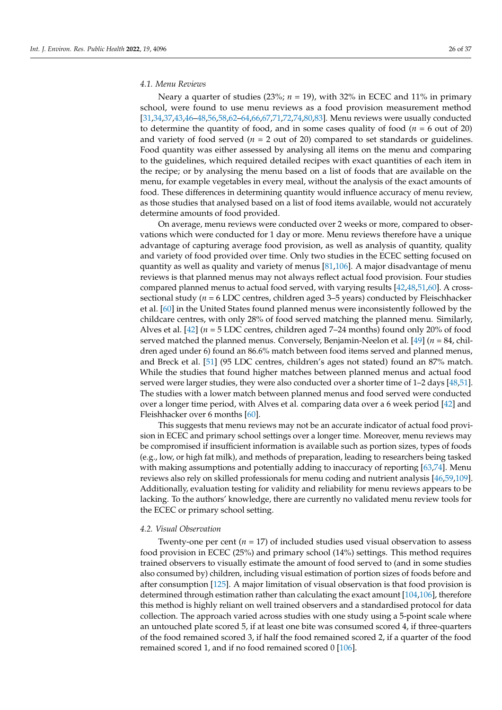#### *4.1. Menu Reviews*

Neary a quarter of studies (23%;  $n = 19$ ), with 32% in ECEC and 11% in primary school, were found to use menu reviews as a food provision measurement method [\[31,](#page-34-2)[34](#page-34-27)[,37](#page-34-6)[,43](#page-34-28)[,46](#page-34-29)[–48,](#page-34-30)[56](#page-35-26)[,58](#page-35-27)[,62](#page-35-28)[–64,](#page-35-29)[66,](#page-35-30)[67](#page-35-31)[,71](#page-35-41)[,72,](#page-35-33)[74,](#page-35-34)[80,](#page-35-35)[83\]](#page-36-25). Menu reviews were usually conducted to determine the quantity of food, and in some cases quality of food (*n* = 6 out of 20) and variety of food served ( $n = 2$  out of 20) compared to set standards or guidelines. Food quantity was either assessed by analysing all items on the menu and comparing to the guidelines, which required detailed recipes with exact quantities of each item in the recipe; or by analysing the menu based on a list of foods that are available on the menu, for example vegetables in every meal, without the analysis of the exact amounts of food. These differences in determining quantity would influence accuracy of menu review, as those studies that analysed based on a list of food items available, would not accurately determine amounts of food provided.

On average, menu reviews were conducted over 2 weeks or more, compared to observations which were conducted for 1 day or more. Menu reviews therefore have a unique advantage of capturing average food provision, as well as analysis of quantity, quality and variety of food provided over time. Only two studies in the ECEC setting focused on quantity as well as quality and variety of menus  $[81,106]$  $[81,106]$ . A major disadvantage of menu reviews is that planned menus may not always reflect actual food provision. Four studies compared planned menus to actual food served, with varying results [\[42](#page-34-31)[,48](#page-34-30)[,51](#page-34-32)[,60\]](#page-35-36). A crosssectional study (*n* = 6 LDC centres, children aged 3–5 years) conducted by Fleischhacker et al. [\[60\]](#page-35-36) in the United States found planned menus were inconsistently followed by the childcare centres, with only 28% of food served matching the planned menu. Similarly, Alves et al.  $[42]$  ( $n = 5$  LDC centres, children aged 7–24 months) found only 20% of food served matched the planned menus. Conversely, Benjamin-Neelon et al. [\[49\]](#page-34-36) (*n* = 84, children aged under 6) found an 86.6% match between food items served and planned menus, and Breck et al. [\[51\]](#page-34-32) (95 LDC centres, children's ages not stated) found an 87% match. While the studies that found higher matches between planned menus and actual food served were larger studies, they were also conducted over a shorter time of 1–2 days [\[48](#page-34-30)[,51\]](#page-34-32). The studies with a lower match between planned menus and food served were conducted over a longer time period, with Alves et al. comparing data over a 6 week period [\[42\]](#page-34-31) and Fleishhacker over 6 months [\[60\]](#page-35-36).

This suggests that menu reviews may not be an accurate indicator of actual food provision in ECEC and primary school settings over a longer time. Moreover, menu reviews may be compromised if insufficient information is available such as portion sizes, types of foods (e.g., low, or high fat milk), and methods of preparation, leading to researchers being tasked with making assumptions and potentially adding to inaccuracy of reporting [\[63](#page-35-43)[,74\]](#page-35-34). Menu reviews also rely on skilled professionals for menu coding and nutrient analysis [\[46](#page-34-29)[,59](#page-35-44)[,109\]](#page-37-24). Additionally, evaluation testing for validity and reliability for menu reviews appears to be lacking. To the authors' knowledge, there are currently no validated menu review tools for the ECEC or primary school setting.

#### *4.2. Visual Observation*

Twenty-one per cent  $(n = 17)$  of included studies used visual observation to assess food provision in ECEC (25%) and primary school (14%) settings. This method requires trained observers to visually estimate the amount of food served to (and in some studies also consumed by) children, including visual estimation of portion sizes of foods before and after consumption [\[125\]](#page-37-25). A major limitation of visual observation is that food provision is determined through estimation rather than calculating the exact amount [\[104,](#page-36-26)[106\]](#page-36-27), therefore this method is highly reliant on well trained observers and a standardised protocol for data collection. The approach varied across studies with one study using a 5-point scale where an untouched plate scored 5, if at least one bite was consumed scored 4, if three-quarters of the food remained scored 3, if half the food remained scored 2, if a quarter of the food remained scored 1, and if no food remained scored 0 [\[106\]](#page-36-27).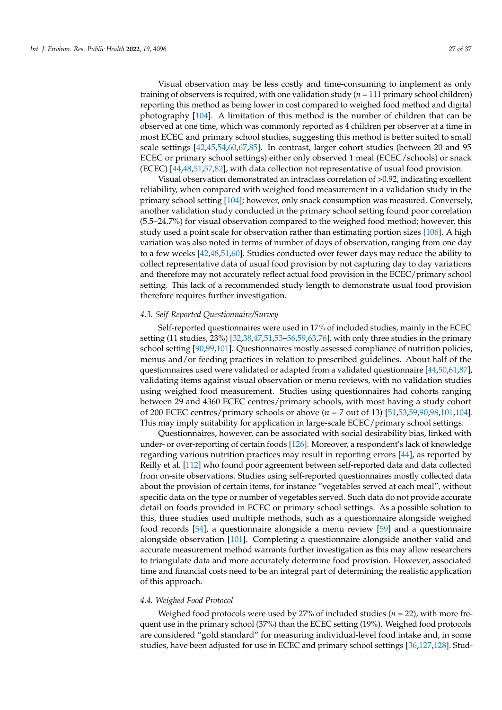Visual observation may be less costly and time-consuming to implement as only training of observers is required, with one validation study (*n* = 111 primary school children) reporting this method as being lower in cost compared to weighed food method and digital photography [\[104\]](#page-36-26). A limitation of this method is the number of children that can be observed at one time, which was commonly reported as 4 children per observer at a time in most ECEC and primary school studies, suggesting this method is better suited to small scale settings [\[42,](#page-34-31)[45](#page-34-33)[,54,](#page-34-34)[60](#page-35-36)[,67,](#page-35-31)[85\]](#page-36-33). In contrast, larger cohort studies (between 20 and 95 ECEC or primary school settings) either only observed 1 meal (ECEC/schools) or snack (ECEC) [\[44](#page-34-37)[,48,](#page-34-30)[51,](#page-34-32)[57,](#page-35-45)[82\]](#page-36-28), with data collection not representative of usual food provision.

Visual observation demonstrated an intraclass correlation of >0.92, indicating excellent reliability, when compared with weighed food measurement in a validation study in the primary school setting [\[104\]](#page-36-26); however, only snack consumption was measured. Conversely, another validation study conducted in the primary school setting found poor correlation (5.5–24.7%) for visual observation compared to the weighed food method; however, this study used a point scale for observation rather than estimating portion sizes [\[106\]](#page-36-27). A high variation was also noted in terms of number of days of observation, ranging from one day to a few weeks [\[42,](#page-34-31)[48,](#page-34-30)[51,](#page-34-32)[60\]](#page-35-36). Studies conducted over fewer days may reduce the ability to collect representative data of usual food provision by not capturing day to day variations and therefore may not accurately reflect actual food provision in the ECEC/primary school setting. This lack of a recommended study length to demonstrate usual food provision therefore requires further investigation.

#### *4.3. Self-Reported Questionnaire/Survey*

Self-reported questionnaires were used in 17% of included studies, mainly in the ECEC setting (11 studies, 23%) [\[32](#page-34-3)[,38](#page-34-7)[,47](#page-34-38)[,51,](#page-34-32)[53](#page-34-39)[–56](#page-35-26)[,59](#page-35-44)[,63,](#page-35-43)[76\]](#page-35-46), with only three studies in the primary school setting [\[90](#page-36-29)[,99,](#page-36-34)[101\]](#page-36-35). Questionnaires mostly assessed compliance of nutrition policies, menus and/or feeding practices in relation to prescribed guidelines. About half of the questionnaires used were validated or adapted from a validated questionnaire [\[44,](#page-34-37)[50](#page-34-35)[,61](#page-35-40)[,87\]](#page-36-36), validating items against visual observation or menu reviews, with no validation studies using weighed food measurement. Studies using questionnaires had cohorts ranging between 29 and 4360 ECEC centres/primary schools, with most having a study cohort of 200 ECEC centres/primary schools or above (*n* = 7 out of 13) [\[51,](#page-34-32)[53,](#page-34-39)[59,](#page-35-44)[90,](#page-36-29)[98,](#page-36-37)[101,](#page-36-35)[104\]](#page-36-26). This may imply suitability for application in large-scale ECEC/primary school settings.

Questionnaires, however, can be associated with social desirability bias, linked with under- or over-reporting of certain foods [\[126\]](#page-37-26). Moreover, a respondent's lack of knowledge regarding various nutrition practices may result in reporting errors [\[44\]](#page-34-37), as reported by Reilly et al. [\[112\]](#page-37-19) who found poor agreement between self-reported data and data collected from on-site observations. Studies using self-reported questionnaires mostly collected data about the provision of certain items, for instance "vegetables served at each meal", without specific data on the type or number of vegetables served. Such data do not provide accurate detail on foods provided in ECEC or primary school settings. As a possible solution to this, three studies used multiple methods, such as a questionnaire alongside weighed food records [\[54\]](#page-34-34), a questionnaire alongside a menu review [\[59\]](#page-35-44) and a questionnaire alongside observation [\[101\]](#page-36-35). Completing a questionnaire alongside another valid and accurate measurement method warrants further investigation as this may allow researchers to triangulate data and more accurately determine food provision. However, associated time and financial costs need to be an integral part of determining the realistic application of this approach.

#### *4.4. Weighed Food Protocol*

Weighed food protocols were used by 27% of included studies (*n* = 22), with more frequent use in the primary school (37%) than the ECEC setting (19%). Weighed food protocols are considered "gold standard" for measuring individual-level food intake and, in some studies, have been adjusted for use in ECEC and primary school settings [\[36](#page-34-5)[,127](#page-37-27)[,128\]](#page-37-28). Stud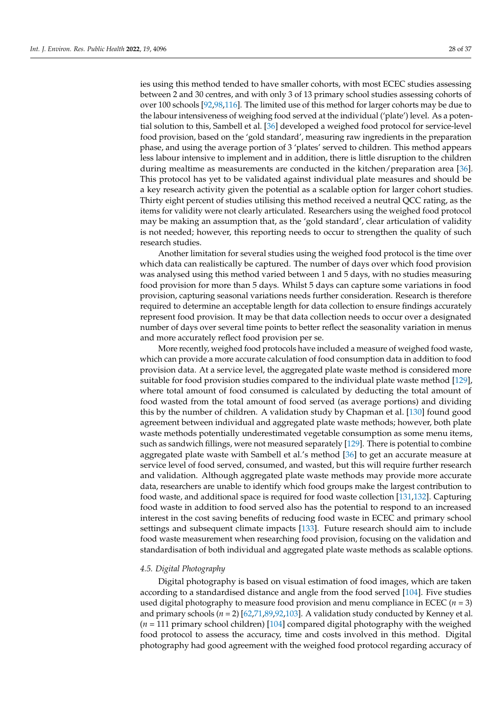ies using this method tended to have smaller cohorts, with most ECEC studies assessing between 2 and 30 centres, and with only 3 of 13 primary school studies assessing cohorts of over 100 schools [\[92](#page-36-38)[,98,](#page-36-37)[116\]](#page-37-29). The limited use of this method for larger cohorts may be due to the labour intensiveness of weighing food served at the individual ('plate') level. As a potential solution to this, Sambell et al. [\[36\]](#page-34-5) developed a weighed food protocol for service-level food provision, based on the 'gold standard', measuring raw ingredients in the preparation phase, and using the average portion of 3 'plates' served to children. This method appears less labour intensive to implement and in addition, there is little disruption to the children during mealtime as measurements are conducted in the kitchen/preparation area [\[36\]](#page-34-5). This protocol has yet to be validated against individual plate measures and should be a key research activity given the potential as a scalable option for larger cohort studies. Thirty eight percent of studies utilising this method received a neutral QCC rating, as the items for validity were not clearly articulated. Researchers using the weighed food protocol may be making an assumption that, as the 'gold standard', clear articulation of validity is not needed; however, this reporting needs to occur to strengthen the quality of such research studies.

Another limitation for several studies using the weighed food protocol is the time over which data can realistically be captured. The number of days over which food provision was analysed using this method varied between 1 and 5 days, with no studies measuring food provision for more than 5 days. Whilst 5 days can capture some variations in food provision, capturing seasonal variations needs further consideration. Research is therefore required to determine an acceptable length for data collection to ensure findings accurately represent food provision. It may be that data collection needs to occur over a designated number of days over several time points to better reflect the seasonality variation in menus and more accurately reflect food provision per se.

More recently, weighed food protocols have included a measure of weighed food waste, which can provide a more accurate calculation of food consumption data in addition to food provision data. At a service level, the aggregated plate waste method is considered more suitable for food provision studies compared to the individual plate waste method [\[129\]](#page-37-30), where total amount of food consumed is calculated by deducting the total amount of food wasted from the total amount of food served (as average portions) and dividing this by the number of children. A validation study by Chapman et al. [\[130\]](#page-37-31) found good agreement between individual and aggregated plate waste methods; however, both plate waste methods potentially underestimated vegetable consumption as some menu items, such as sandwich fillings, were not measured separately [\[129\]](#page-37-30). There is potential to combine aggregated plate waste with Sambell et al.'s method [\[36\]](#page-34-5) to get an accurate measure at service level of food served, consumed, and wasted, but this will require further research and validation. Although aggregated plate waste methods may provide more accurate data, researchers are unable to identify which food groups make the largest contribution to food waste, and additional space is required for food waste collection [\[131,](#page-37-32)[132\]](#page-37-33). Capturing food waste in addition to food served also has the potential to respond to an increased interest in the cost saving benefits of reducing food waste in ECEC and primary school settings and subsequent climate impacts [\[133\]](#page-38-0). Future research should aim to include food waste measurement when researching food provision, focusing on the validation and standardisation of both individual and aggregated plate waste methods as scalable options.

#### *4.5. Digital Photography*

Digital photography is based on visual estimation of food images, which are taken according to a standardised distance and angle from the food served [\[104\]](#page-36-26). Five studies used digital photography to measure food provision and menu compliance in ECEC  $(n = 3)$ and primary schools  $(n = 2)$  [\[62](#page-35-28)[,71](#page-35-41)[,89](#page-36-39)[,92,](#page-36-38)[103\]](#page-36-40). A validation study conducted by Kenney et al. (*n* = 111 primary school children) [\[104\]](#page-36-26) compared digital photography with the weighed food protocol to assess the accuracy, time and costs involved in this method. Digital photography had good agreement with the weighed food protocol regarding accuracy of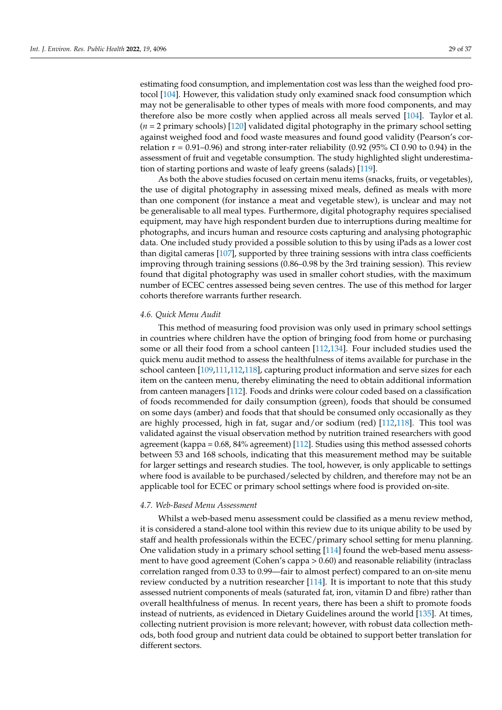estimating food consumption, and implementation cost was less than the weighed food protocol [\[104\]](#page-36-26). However, this validation study only examined snack food consumption which may not be generalisable to other types of meals with more food components, and may therefore also be more costly when applied across all meals served [\[104\]](#page-36-26). Taylor et al. (*n* = 2 primary schools) [\[120\]](#page-37-34) validated digital photography in the primary school setting against weighed food and food waste measures and found good validity (Pearson's correlation  $r = 0.91 - 0.96$ ) and strong inter-rater reliability (0.92 (95% CI 0.90 to 0.94) in the assessment of fruit and vegetable consumption. The study highlighted slight underestimation of starting portions and waste of leafy greens (salads) [\[119\]](#page-37-18).

As both the above studies focused on certain menu items (snacks, fruits, or vegetables), the use of digital photography in assessing mixed meals, defined as meals with more than one component (for instance a meat and vegetable stew), is unclear and may not be generalisable to all meal types. Furthermore, digital photography requires specialised equipment, may have high respondent burden due to interruptions during mealtime for photographs, and incurs human and resource costs capturing and analysing photographic data. One included study provided a possible solution to this by using iPads as a lower cost than digital cameras [\[107\]](#page-37-23), supported by three training sessions with intra class coefficients improving through training sessions (0.86–0.98 by the 3rd training session). This review found that digital photography was used in smaller cohort studies, with the maximum number of ECEC centres assessed being seven centres. The use of this method for larger cohorts therefore warrants further research.

#### *4.6. Quick Menu Audit*

This method of measuring food provision was only used in primary school settings in countries where children have the option of bringing food from home or purchasing some or all their food from a school canteen [\[112](#page-37-19)[,134\]](#page-38-1). Four included studies used the quick menu audit method to assess the healthfulness of items available for purchase in the school canteen [\[109](#page-37-24)[,111](#page-37-35)[,112](#page-37-19)[,118\]](#page-37-36), capturing product information and serve sizes for each item on the canteen menu, thereby eliminating the need to obtain additional information from canteen managers [\[112\]](#page-37-19). Foods and drinks were colour coded based on a classification of foods recommended for daily consumption (green), foods that should be consumed on some days (amber) and foods that that should be consumed only occasionally as they are highly processed, high in fat, sugar and/or sodium (red) [\[112,](#page-37-19)[118\]](#page-37-36). This tool was validated against the visual observation method by nutrition trained researchers with good agreement (kappa = 0.68, 84% agreement) [\[112\]](#page-37-19). Studies using this method assessed cohorts between 53 and 168 schools, indicating that this measurement method may be suitable for larger settings and research studies. The tool, however, is only applicable to settings where food is available to be purchased/selected by children, and therefore may not be an applicable tool for ECEC or primary school settings where food is provided on-site.

#### *4.7. Web-Based Menu Assessment*

Whilst a web-based menu assessment could be classified as a menu review method, it is considered a stand-alone tool within this review due to its unique ability to be used by staff and health professionals within the ECEC/primary school setting for menu planning. One validation study in a primary school setting [\[114\]](#page-37-20) found the web-based menu assessment to have good agreement (Cohen's cappa > 0.60) and reasonable reliability (intraclass correlation ranged from 0.33 to 0.99—fair to almost perfect) compared to an on-site menu review conducted by a nutrition researcher [\[114\]](#page-37-20). It is important to note that this study assessed nutrient components of meals (saturated fat, iron, vitamin D and fibre) rather than overall healthfulness of menus. In recent years, there has been a shift to promote foods instead of nutrients, as evidenced in Dietary Guidelines around the world [\[135\]](#page-38-2). At times, collecting nutrient provision is more relevant; however, with robust data collection methods, both food group and nutrient data could be obtained to support better translation for different sectors.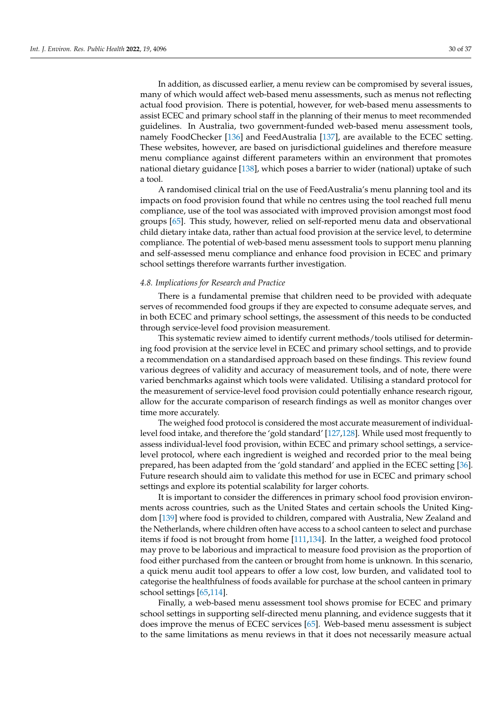In addition, as discussed earlier, a menu review can be compromised by several issues, many of which would affect web-based menu assessments, such as menus not reflecting actual food provision. There is potential, however, for web-based menu assessments to assist ECEC and primary school staff in the planning of their menus to meet recommended guidelines. In Australia, two government-funded web-based menu assessment tools, namely FoodChecker [\[136\]](#page-38-3) and FeedAustralia [\[137\]](#page-38-4), are available to the ECEC setting. These websites, however, are based on jurisdictional guidelines and therefore measure menu compliance against different parameters within an environment that promotes national dietary guidance [\[138\]](#page-38-5), which poses a barrier to wider (national) uptake of such a tool.

A randomised clinical trial on the use of FeedAustralia's menu planning tool and its impacts on food provision found that while no centres using the tool reached full menu compliance, use of the tool was associated with improved provision amongst most food groups [\[65\]](#page-35-39). This study, however, relied on self-reported menu data and observational child dietary intake data, rather than actual food provision at the service level, to determine compliance. The potential of web-based menu assessment tools to support menu planning and self-assessed menu compliance and enhance food provision in ECEC and primary school settings therefore warrants further investigation.

#### *4.8. Implications for Research and Practice*

There is a fundamental premise that children need to be provided with adequate serves of recommended food groups if they are expected to consume adequate serves, and in both ECEC and primary school settings, the assessment of this needs to be conducted through service-level food provision measurement.

This systematic review aimed to identify current methods/tools utilised for determining food provision at the service level in ECEC and primary school settings, and to provide a recommendation on a standardised approach based on these findings. This review found various degrees of validity and accuracy of measurement tools, and of note, there were varied benchmarks against which tools were validated. Utilising a standard protocol for the measurement of service-level food provision could potentially enhance research rigour, allow for the accurate comparison of research findings as well as monitor changes over time more accurately.

The weighed food protocol is considered the most accurate measurement of individuallevel food intake, and therefore the 'gold standard' [\[127,](#page-37-27)[128\]](#page-37-28). While used most frequently to assess individual-level food provision, within ECEC and primary school settings, a servicelevel protocol, where each ingredient is weighed and recorded prior to the meal being prepared, has been adapted from the 'gold standard' and applied in the ECEC setting [\[36\]](#page-34-5). Future research should aim to validate this method for use in ECEC and primary school settings and explore its potential scalability for larger cohorts.

It is important to consider the differences in primary school food provision environments across countries, such as the United States and certain schools the United Kingdom [\[139\]](#page-38-6) where food is provided to children, compared with Australia, New Zealand and the Netherlands, where children often have access to a school canteen to select and purchase items if food is not brought from home [\[111](#page-37-35)[,134\]](#page-38-1). In the latter, a weighed food protocol may prove to be laborious and impractical to measure food provision as the proportion of food either purchased from the canteen or brought from home is unknown. In this scenario, a quick menu audit tool appears to offer a low cost, low burden, and validated tool to categorise the healthfulness of foods available for purchase at the school canteen in primary school settings [\[65](#page-35-39)[,114\]](#page-37-20).

Finally, a web-based menu assessment tool shows promise for ECEC and primary school settings in supporting self-directed menu planning, and evidence suggests that it does improve the menus of ECEC services [\[65\]](#page-35-39). Web-based menu assessment is subject to the same limitations as menu reviews in that it does not necessarily measure actual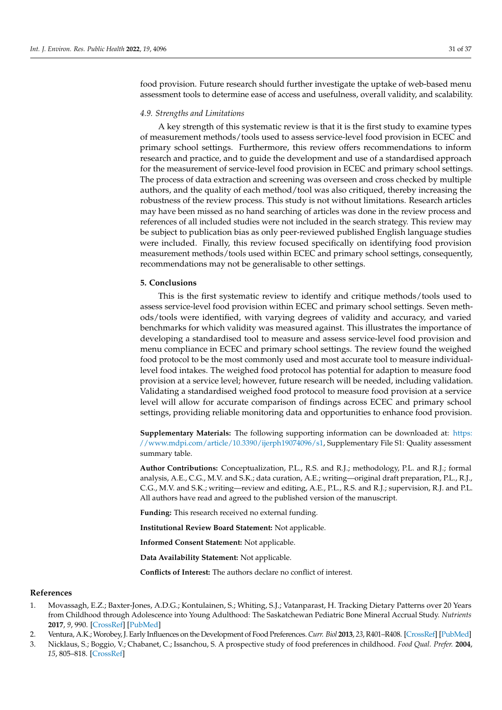food provision. Future research should further investigate the uptake of web-based menu assessment tools to determine ease of access and usefulness, overall validity, and scalability.

#### *4.9. Strengths and Limitations*

A key strength of this systematic review is that it is the first study to examine types of measurement methods/tools used to assess service-level food provision in ECEC and primary school settings. Furthermore, this review offers recommendations to inform research and practice, and to guide the development and use of a standardised approach for the measurement of service-level food provision in ECEC and primary school settings. The process of data extraction and screening was overseen and cross checked by multiple authors, and the quality of each method/tool was also critiqued, thereby increasing the robustness of the review process. This study is not without limitations. Research articles may have been missed as no hand searching of articles was done in the review process and references of all included studies were not included in the search strategy. This review may be subject to publication bias as only peer-reviewed published English language studies were included. Finally, this review focused specifically on identifying food provision measurement methods/tools used within ECEC and primary school settings, consequently, recommendations may not be generalisable to other settings.

#### **5. Conclusions**

This is the first systematic review to identify and critique methods/tools used to assess service-level food provision within ECEC and primary school settings. Seven methods/tools were identified, with varying degrees of validity and accuracy, and varied benchmarks for which validity was measured against. This illustrates the importance of developing a standardised tool to measure and assess service-level food provision and menu compliance in ECEC and primary school settings. The review found the weighed food protocol to be the most commonly used and most accurate tool to measure individuallevel food intakes. The weighed food protocol has potential for adaption to measure food provision at a service level; however, future research will be needed, including validation. Validating a standardised weighed food protocol to measure food provision at a service level will allow for accurate comparison of findings across ECEC and primary school settings, providing reliable monitoring data and opportunities to enhance food provision.

**Supplementary Materials:** The following supporting information can be downloaded at: [https:](https://www.mdpi.com/article/10.3390/ijerph19074096/s1) [//www.mdpi.com/article/10.3390/ijerph19074096/s1,](https://www.mdpi.com/article/10.3390/ijerph19074096/s1) Supplementary File S1: Quality assessment summary table.

**Author Contributions:** Conceptualization, P.L., R.S. and R.J.; methodology, P.L. and R.J.; formal analysis, A.E., C.G., M.V. and S.K.; data curation, A.E.; writing—original draft preparation, P.L., R.J., C.G., M.V. and S.K.; writing—review and editing, A.E., P.L., R.S. and R.J.; supervision, R.J. and P.L. All authors have read and agreed to the published version of the manuscript.

**Funding:** This research received no external funding.

**Institutional Review Board Statement:** Not applicable.

**Informed Consent Statement:** Not applicable.

**Data Availability Statement:** Not applicable.

**Conflicts of Interest:** The authors declare no conflict of interest.

#### **References**

- <span id="page-32-0"></span>1. Movassagh, E.Z.; Baxter-Jones, A.D.G.; Kontulainen, S.; Whiting, S.J.; Vatanparast, H. Tracking Dietary Patterns over 20 Years from Childhood through Adolescence into Young Adulthood: The Saskatchewan Pediatric Bone Mineral Accrual Study. *Nutrients* **2017**, *9*, 990. [\[CrossRef\]](http://doi.org/10.3390/nu9090990) [\[PubMed\]](http://www.ncbi.nlm.nih.gov/pubmed/28885565)
- 2. Ventura, A.K.; Worobey, J. Early Influences on the Development of Food Preferences.*Curr. Biol* **2013**, *23*, R401–R408. [\[CrossRef\]](http://doi.org/10.1016/j.cub.2013.02.037) [\[PubMed\]](http://www.ncbi.nlm.nih.gov/pubmed/23660363)
- <span id="page-32-1"></span>3. Nicklaus, S.; Boggio, V.; Chabanet, C.; Issanchou, S. A prospective study of food preferences in childhood. *Food Qual. Prefer.* **2004**, *15*, 805–818. [\[CrossRef\]](http://doi.org/10.1016/j.foodqual.2004.02.010)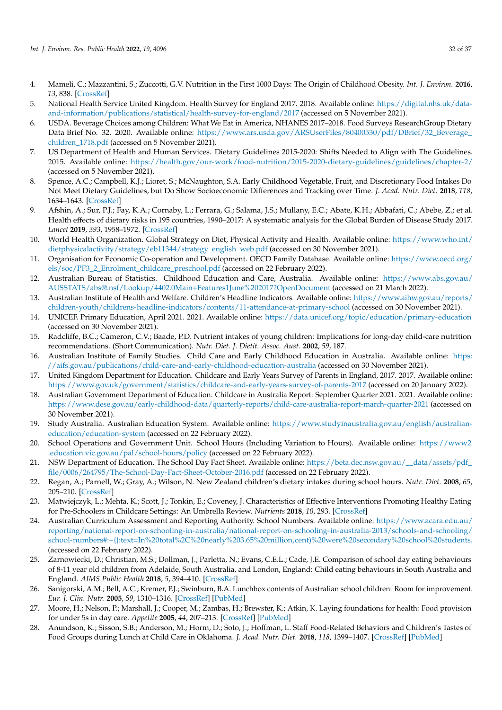- <span id="page-33-0"></span>4. Mameli, C.; Mazzantini, S.; Zuccotti, G.V. Nutrition in the First 1000 Days: The Origin of Childhood Obesity. *Int. J. Environ.* **2016**, *13*, 838. [\[CrossRef\]](http://doi.org/10.3390/ijerph13090838)
- <span id="page-33-1"></span>5. National Health Service United Kingdom. Health Survey for England 2017. 2018. Available online: [https://digital.nhs.uk/data](https://digital.nhs.uk/data-and-information/publications/statistical/health-survey-for-england/2017)[and-information/publications/statistical/health-survey-for-england/2017](https://digital.nhs.uk/data-and-information/publications/statistical/health-survey-for-england/2017) (accessed on 5 November 2021).
- 6. USDA. Beverage Choices among Children: What We Eat in America, NHANES 2017–2018. Food Surveys ResearchGroup Dietary Data Brief No. 32. 2020. Available online: [https://www.ars.usda.gov/ARSUserFiles/80400530/pdf/DBrief/32\\_Beverage\\_](https://www.ars.usda.gov/ARSUserFiles/80400530/pdf/DBrief/32_Beverage_children_1718.pdf) [children\\_1718.pdf](https://www.ars.usda.gov/ARSUserFiles/80400530/pdf/DBrief/32_Beverage_children_1718.pdf) (accessed on 5 November 2021).
- 7. US Department of Health and Human Services. Dietary Guidelines 2015-2020: Shifts Needed to Align with The Guidelines. 2015. Available online: <https://health.gov/our-work/food-nutrition/2015-2020-dietary-guidelines/guidelines/chapter-2/> (accessed on 5 November 2021).
- <span id="page-33-2"></span>8. Spence, A.C.; Campbell, K.J.; Lioret, S.; McNaughton, S.A. Early Childhood Vegetable, Fruit, and Discretionary Food Intakes Do Not Meet Dietary Guidelines, but Do Show Socioeconomic Differences and Tracking over Time. *J. Acad. Nutr. Diet.* **2018**, *118*, 1634–1643. [\[CrossRef\]](http://doi.org/10.1016/j.jand.2017.12.009)
- <span id="page-33-3"></span>9. Afshin, A.; Sur, P.J.; Fay, K.A.; Cornaby, L.; Ferrara, G.; Salama, J.S.; Mullany, E.C.; Abate, K.H.; Abbafati, C.; Abebe, Z.; et al. Health effects of dietary risks in 195 countries, 1990–2017: A systematic analysis for the Global Burden of Disease Study 2017. *Lancet* **2019**, *393*, 1958–1972. [\[CrossRef\]](http://doi.org/10.1016/S0140-6736(19)30041-8)
- <span id="page-33-4"></span>10. World Health Organization. Global Strategy on Diet, Physical Activity and Health. Available online: [https://www.who.int/](https://www.who.int/dietphysicalactivity/strategy/eb11344/strategy_english_web.pdf) [dietphysicalactivity/strategy/eb11344/strategy\\_english\\_web.pdf](https://www.who.int/dietphysicalactivity/strategy/eb11344/strategy_english_web.pdf) (accessed on 30 November 2021).
- <span id="page-33-5"></span>11. Organisation for Economic Co-operation and Development. OECD Family Database. Available online: [https://www.oecd.org/](https://www.oecd.org/els/soc/PF3_2_Enrolment_childcare_preschool.pdf) [els/soc/PF3\\_2\\_Enrolment\\_childcare\\_preschool.pdf](https://www.oecd.org/els/soc/PF3_2_Enrolment_childcare_preschool.pdf) (accessed on 22 February 2022).
- <span id="page-33-6"></span>12. Australian Bureau of Statistics. Childhood Education and Care, Australia. Available online: [https://www.abs.gov.au/](https://www.abs.gov.au/AUSSTATS/abs@.nsf/Lookup/4402.0Main+Features1June%202017?OpenDocument) [AUSSTATS/abs@.nsf/Lookup/4402.0Main+Features1June%202017?OpenDocument](https://www.abs.gov.au/AUSSTATS/abs@.nsf/Lookup/4402.0Main+Features1June%202017?OpenDocument) (accessed on 21 March 2022).
- <span id="page-33-7"></span>13. Australian Institute of Health and Welfare. Children's Headline Indicators. Available online: [https://www.aihw.gov.au/reports/](https://www.aihw.gov.au/reports/children-youth/childrens-headline-indicators/contents/11-attendance-at-primary-school) [children-youth/childrens-headline-indicators/contents/11-attendance-at-primary-school](https://www.aihw.gov.au/reports/children-youth/childrens-headline-indicators/contents/11-attendance-at-primary-school) (accessed on 30 November 2021).
- <span id="page-33-8"></span>14. UNICEF. Primary Education, April 2021. 2021. Available online: <https://data.unicef.org/topic/education/primary-education> (accessed on 30 November 2021).
- <span id="page-33-9"></span>15. Radcliffe, B.C.; Cameron, C.V.; Baade, P.D. Nutrient intakes of young children: Implications for long-day child-care nutrition recommendations. (Short Communication). *Nutr. Diet. J. Dietit. Assoc. Aust.* **2002**, *59*, 187.
- <span id="page-33-10"></span>16. Australian Institute of Family Studies. Child Care and Early Childhood Education in Australia. Available online: [https:](https://aifs.gov.au/publications/child-care-and-early-childhood-education-australia) [//aifs.gov.au/publications/child-care-and-early-childhood-education-australia](https://aifs.gov.au/publications/child-care-and-early-childhood-education-australia) (accessed on 30 November 2021).
- <span id="page-33-11"></span>17. United Kingdom Department for Education. Childcare and Early Years Survey of Parents in England, 2017. 2017. Available online: <https://www.gov.uk/government/statistics/childcare-and-early-years-survey-of-parents-2017> (accessed on 20 January 2022).
- <span id="page-33-12"></span>18. Australian Government Department of Education. Childcare in Australia Report: September Quarter 2021. 2021. Available online: <https://www.dese.gov.au/early-childhood-data/quarterly-reports/child-care-australia-report-march-quarter-2021> (accessed on 30 November 2021).
- <span id="page-33-13"></span>19. Study Australia. Australian Education System. Available online: [https://www.studyinaustralia.gov.au/english/australian](https://www.studyinaustralia.gov.au/english/australian-education/education-system)[education/education-system](https://www.studyinaustralia.gov.au/english/australian-education/education-system) (accessed on 22 February 2022).
- <span id="page-33-14"></span>20. School Operations and Government Unit. School Hours (Including Variation to Hours). Available online: [https://www2](https://www2.education.vic.gov.au/pal/school-hours/policy) [.education.vic.gov.au/pal/school-hours/policy](https://www2.education.vic.gov.au/pal/school-hours/policy) (accessed on 22 February 2022).
- <span id="page-33-15"></span>21. NSW Department of Education. The School Day Fact Sheet. Available online: [https://beta.dec.nsw.gov.au/\\_\\_data/assets/pdf\\_](https://beta.dec.nsw.gov.au/__data/assets/pdf_file/0006/264795/The-School-Day-Fact-Sheet-October-2016.pdf) [file/0006/264795/The-School-Day-Fact-Sheet-October-2016.pdf](https://beta.dec.nsw.gov.au/__data/assets/pdf_file/0006/264795/The-School-Day-Fact-Sheet-October-2016.pdf) (accessed on 22 February 2022).
- <span id="page-33-16"></span>22. Regan, A.; Parnell, W.; Gray, A.; Wilson, N. New Zealand children's dietary intakes during school hours. *Nutr. Diet.* **2008**, *65*, 205–210. [\[CrossRef\]](http://doi.org/10.1111/j.1747-0080.2008.00288.x)
- <span id="page-33-18"></span>23. Matwiejczyk, L.; Mehta, K.; Scott, J.; Tonkin, E.; Coveney, J. Characteristics of Effective Interventions Promoting Healthy Eating for Pre-Schoolers in Childcare Settings: An Umbrella Review. *Nutrients* **2018**, *10*, 293. [\[CrossRef\]](http://doi.org/10.3390/nu10030293)
- <span id="page-33-17"></span>24. Australian Curriculum Assessment and Reporting Authority. School Numbers. Available online: [https://www.acara.edu.au/](https://www.acara.edu.au/reporting/national-report-on-schooling-in-australia/national-report-on-schooling-in-australia-2013/schools-and-schooling/school-numbers#:~{}:text=In%20total%2C%20nearly%203.65%20million,cent)%20were%20secondary%20school%20students.) [reporting/national-report-on-schooling-in-australia/national-report-on-schooling-in-australia-2013/schools-and-schooling/](https://www.acara.edu.au/reporting/national-report-on-schooling-in-australia/national-report-on-schooling-in-australia-2013/schools-and-schooling/school-numbers#:~{}:text=In%20total%2C%20nearly%203.65%20million,cent)%20were%20secondary%20school%20students.) [school-numbers#:~{}:text=In%20total%2C%20nearly%203.65%20million,cent\)%20were%20secondary%20school%20students.](https://www.acara.edu.au/reporting/national-report-on-schooling-in-australia/national-report-on-schooling-in-australia-2013/schools-and-schooling/school-numbers#:~{}:text=In%20total%2C%20nearly%203.65%20million,cent)%20were%20secondary%20school%20students.) (accessed on 22 February 2022).
- <span id="page-33-19"></span>25. Zarnowiecki, D.; Christian, M.S.; Dollman, J.; Parletta, N.; Evans, C.E.L.; Cade, J.E. Comparison of school day eating behaviours of 8-11 year old children from Adelaide, South Australia, and London, England: Child eating behaviours in South Australia and England. *AIMS Public Health* **2018**, *5*, 394–410. [\[CrossRef\]](http://doi.org/10.3934/publichealth.2018.4.394)
- 26. Sanigorski, A.M.; Bell, A.C.; Kremer, P.J.; Swinburn, B.A. Lunchbox contents of Australian school children: Room for improvement. *Eur. J. Clin. Nutr.* **2005**, *59*, 1310–1316. [\[CrossRef\]](http://doi.org/10.1038/sj.ejcn.1602244) [\[PubMed\]](http://www.ncbi.nlm.nih.gov/pubmed/16034359)
- <span id="page-33-20"></span>27. Moore, H.; Nelson, P.; Marshall, J.; Cooper, M.; Zambas, H.; Brewster, K.; Atkin, K. Laying foundations for health: Food provision for under 5s in day care. *Appetite* **2005**, *44*, 207–213. [\[CrossRef\]](http://doi.org/10.1016/j.appet.2004.08.009) [\[PubMed\]](http://www.ncbi.nlm.nih.gov/pubmed/15808895)
- <span id="page-33-21"></span>28. Anundson, K.; Sisson, S.B.; Anderson, M.; Horm, D.; Soto, J.; Hoffman, L. Staff Food-Related Behaviors and Children's Tastes of Food Groups during Lunch at Child Care in Oklahoma. *J. Acad. Nutr. Diet.* **2018**, *118*, 1399–1407. [\[CrossRef\]](http://doi.org/10.1016/j.jand.2017.07.023) [\[PubMed\]](http://www.ncbi.nlm.nih.gov/pubmed/28988838)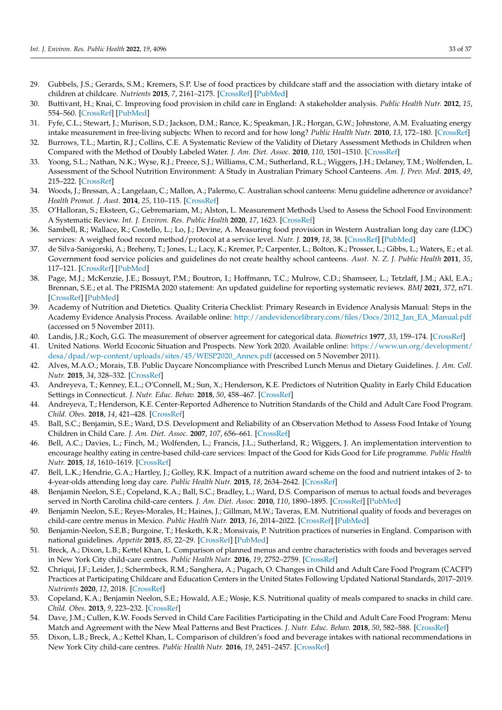- <span id="page-34-26"></span><span id="page-34-25"></span><span id="page-34-0"></span>29. Gubbels, J.S.; Gerards, S.M.; Kremers, S.P. Use of food practices by childcare staff and the association with dietary intake of children at childcare. *Nutrients* **2015**, *7*, 2161–2175. [\[CrossRef\]](http://doi.org/10.3390/nu7042161) [\[PubMed\]](http://www.ncbi.nlm.nih.gov/pubmed/25825829)
- <span id="page-34-1"></span>30. Buttivant, H.; Knai, C. Improving food provision in child care in England: A stakeholder analysis. *Public Health Nutr.* **2012**, *15*, 554–560. [\[CrossRef\]](http://doi.org/10.1017/S1368980011001704) [\[PubMed\]](http://www.ncbi.nlm.nih.gov/pubmed/21859504)
- <span id="page-34-2"></span>31. Fyfe, C.L.; Stewart, J.; Murison, S.D.; Jackson, D.M.; Rance, K.; Speakman, J.R.; Horgan, G.W.; Johnstone, A.M. Evaluating energy intake measurement in free-living subjects: When to record and for how long? *Public Health Nutr.* **2010**, *13*, 172–180. [\[CrossRef\]](http://doi.org/10.1017/S1368980009991443)
- <span id="page-34-3"></span>32. Burrows, T.L.; Martin, R.J.; Collins, C.E. A Systematic Review of the Validity of Dietary Assessment Methods in Children when Compared with the Method of Doubly Labeled Water. *J. Am. Diet. Assoc.* **2010**, *110*, 1501–1510. [\[CrossRef\]](http://doi.org/10.1016/j.jada.2010.07.008)
- <span id="page-34-12"></span><span id="page-34-11"></span><span id="page-34-4"></span>33. Yoong, S.L.; Nathan, N.K.; Wyse, R.J.; Preece, S.J.; Williams, C.M.; Sutherland, R.L.; Wiggers, J.H.; Delaney, T.M.; Wolfenden, L. Assessment of the School Nutrition Environment: A Study in Australian Primary School Canteens. *Am. J. Prev. Med.* **2015**, *49*, 215–222. [\[CrossRef\]](http://doi.org/10.1016/j.amepre.2015.02.002)
- <span id="page-34-27"></span><span id="page-34-13"></span>34. Woods, J.; Bressan, A.; Langelaan, C.; Mallon, A.; Palermo, C. Australian school canteens: Menu guideline adherence or avoidance? *Health Promot. J. Aust.* **2014**, *25*, 110–115. [\[CrossRef\]](http://doi.org/10.1071/HE14009)
- <span id="page-34-14"></span>35. O'Halloran, S.; Eksteen, G.; Gebremariam, M.; Alston, L. Measurement Methods Used to Assess the School Food Environment: A Systematic Review. *Int. J. Environ. Res. Public Health* **2020**, *17*, 1623. [\[CrossRef\]](http://doi.org/10.3390/ijerph17051623)
- <span id="page-34-15"></span><span id="page-34-5"></span>36. Sambell, R.; Wallace, R.; Costello, L.; Lo, J.; Devine, A. Measuring food provision in Western Australian long day care (LDC) services: A weighed food record method/protocol at a service level. *Nutr. J.* **2019**, *18*, 38. [\[CrossRef\]](http://doi.org/10.1186/s12937-019-0462-2) [\[PubMed\]](http://www.ncbi.nlm.nih.gov/pubmed/31311569)
- <span id="page-34-16"></span><span id="page-34-6"></span>37. de Silva-Sanigorski, A.; Breheny, T.; Jones, L.; Lacy, K.; Kremer, P.; Carpenter, L.; Bolton, K.; Prosser, L.; Gibbs, L.; Waters, E.; et al. Government food service policies and guidelines do not create healthy school canteens. *Aust. N. Z. J. Public Health* **2011**, *35*, 117–121. [\[CrossRef\]](http://doi.org/10.1111/j.1753-6405.2010.00694.x) [\[PubMed\]](http://www.ncbi.nlm.nih.gov/pubmed/21463405)
- <span id="page-34-17"></span><span id="page-34-7"></span>38. Page, M.J.; McKenzie, J.E.; Bossuyt, P.M.; Boutron, I.; Hoffmann, T.C.; Mulrow, C.D.; Shamseer, L.; Tetzlaff, J.M.; Akl, E.A.; Brennan, S.E.; et al. The PRISMA 2020 statement: An updated guideline for reporting systematic reviews. *BMJ* **2021**, *372*, n71. [\[CrossRef\]](http://doi.org/10.1136/bmj.n71) [\[PubMed\]](http://www.ncbi.nlm.nih.gov/pubmed/33782057)
- <span id="page-34-19"></span><span id="page-34-18"></span><span id="page-34-8"></span>39. Academy of Nutrition and Dietetics. Quality Criteria Checklist: Primary Research in Evidence Analysis Manual: Steps in the Academy Evidence Analysis Process. Available online: [http://andevidencelibrary.com/files/Docs/2012\\_Jan\\_EA\\_Manual.pdf](http://andevidencelibrary.com/files/Docs/2012_Jan_EA_Manual.pdf) (accessed on 5 November 2011).
- <span id="page-34-20"></span><span id="page-34-9"></span>40. Landis, J.R.; Koch, G.G. The measurement of observer agreement for categorical data. *Biometrics* **1977**, *33*, 159–174. [\[CrossRef\]](http://doi.org/10.2307/2529310)
- <span id="page-34-10"></span>41. United Nations. World Ecoconic Situation and Prospects. New York 2020. Available online: [https://www.un.org/development/](https://www.un.org/development/desa/dpad/wp-content/uploads/sites/45/WESP2020_Annex.pdf) [desa/dpad/wp-content/uploads/sites/45/WESP2020\\_Annex.pdf](https://www.un.org/development/desa/dpad/wp-content/uploads/sites/45/WESP2020_Annex.pdf) (accessed on 5 November 2011).
- <span id="page-34-31"></span><span id="page-34-21"></span>42. Alves, M.A.O.; Morais, T.B. Public Daycare Noncompliance with Prescribed Lunch Menus and Dietary Guidelines. *J. Am. Coll. Nutr.* **2015**, *34*, 328–332. [\[CrossRef\]](http://doi.org/10.1080/07315724.2014.943852)
- <span id="page-34-28"></span><span id="page-34-22"></span>43. Andreyeva, T.; Kenney, E.L.; O'Connell, M.; Sun, X.; Henderson, K.E. Predictors of Nutrition Quality in Early Child Education Settings in Connecticut. *J. Nutr. Educ. Behav.* **2018**, *50*, 458–467. [\[CrossRef\]](http://doi.org/10.1016/j.jneb.2017.12.016)
- <span id="page-34-37"></span><span id="page-34-23"></span>44. Andreyeva, T.; Henderson, K.E. Center-Reported Adherence to Nutrition Standards of the Child and Adult Care Food Program. *Child. Obes.* **2018**, *14*, 421–428. [\[CrossRef\]](http://doi.org/10.1089/chi.2018.0076)
- <span id="page-34-33"></span><span id="page-34-24"></span>45. Ball, S.C.; Benjamin, S.E.; Ward, D.S. Development and Reliability of an Observation Method to Assess Food Intake of Young Children in Child Care. *J. Am. Diet. Assoc.* **2007**, *107*, 656–661. [\[CrossRef\]](http://doi.org/10.1016/j.jada.2007.01.003)
- <span id="page-34-29"></span>46. Bell, A.C.; Davies, L.; Finch, M.; Wolfenden, L.; Francis, J.L.; Sutherland, R.; Wiggers, J. An implementation intervention to encourage healthy eating in centre-based child-care services: Impact of the Good for Kids Good for Life programme. *Public Health Nutr.* **2015**, *18*, 1610–1619. [\[CrossRef\]](http://doi.org/10.1017/S1368980013003364)
- <span id="page-34-38"></span>47. Bell, L.K.; Hendrie, G.A.; Hartley, J.; Golley, R.K. Impact of a nutrition award scheme on the food and nutrient intakes of 2- to 4-year-olds attending long day care. *Public Health Nutr.* **2015**, *18*, 2634–2642. [\[CrossRef\]](http://doi.org/10.1017/S1368980014003127)
- <span id="page-34-30"></span>48. Benjamin Neelon, S.E.; Copeland, K.A.; Ball, S.C.; Bradley, L.; Ward, D.S. Comparison of menus to actual foods and beverages served in North Carolina child-care centers. *J. Am. Diet. Assoc.* **2010**, *110*, 1890–1895. [\[CrossRef\]](http://doi.org/10.1016/j.jada.2010.09.012) [\[PubMed\]](http://www.ncbi.nlm.nih.gov/pubmed/21111096)
- <span id="page-34-36"></span>49. Benjamin Neelon, S.E.; Reyes-Morales, H.; Haines, J.; Gillman, M.W.; Taveras, E.M. Nutritional quality of foods and beverages on child-care centre menus in Mexico. *Public Health Nutr.* **2013**, *16*, 2014–2022. [\[CrossRef\]](http://doi.org/10.1017/S1368980012004387) [\[PubMed\]](http://www.ncbi.nlm.nih.gov/pubmed/23036360)
- <span id="page-34-35"></span>50. Benjamin-Neelon, S.E.B.; Burgoine, T.; Hesketh, K.R.; Monsivais, P. Nutrition practices of nurseries in England. Comparison with national guidelines. *Appetite* **2015**, *85*, 22–29. [\[CrossRef\]](http://doi.org/10.1016/j.appet.2014.11.002) [\[PubMed\]](http://www.ncbi.nlm.nih.gov/pubmed/25450898)
- <span id="page-34-32"></span>51. Breck, A.; Dixon, L.B.; Kettel Khan, L. Comparison of planned menus and centre characteristics with foods and beverages served in New York City child-care centres. *Public Health Nutr.* **2016**, *19*, 2752–2759. [\[CrossRef\]](http://doi.org/10.1017/S1368980016000720)
- 52. Chriqui, J.F.; Leider, J.; Schermbeck, R.M.; Sanghera, A.; Pugach, O. Changes in Child and Adult Care Food Program (CACFP) Practices at Participating Childcare and Education Centers in the United States Following Updated National Standards, 2017–2019. *Nutrients* **2020**, *12*, 2018. [\[CrossRef\]](http://doi.org/10.3390/nu12092818)
- <span id="page-34-39"></span>53. Copeland, K.A.; Benjamin Neelon, S.E.; Howald, A.E.; Wosje, K.S. Nutritional quality of meals compared to snacks in child care. *Child. Obes.* **2013**, *9*, 223–232. [\[CrossRef\]](http://doi.org/10.1089/chi.2012.0138)
- <span id="page-34-34"></span>54. Dave, J.M.; Cullen, K.W. Foods Served in Child Care Facilities Participating in the Child and Adult Care Food Program: Menu Match and Agreement with the New Meal Patterns and Best Practices. *J. Nutr. Educ. Behav.* **2018**, *50*, 582–588. [\[CrossRef\]](http://doi.org/10.1016/j.jneb.2018.01.010)
- 55. Dixon, L.B.; Breck, A.; Kettel Khan, L. Comparison of children's food and beverage intakes with national recommendations in New York City child-care centres. *Public Health Nutr.* **2016**, *19*, 2451–2457. [\[CrossRef\]](http://doi.org/10.1017/S1368980016001129)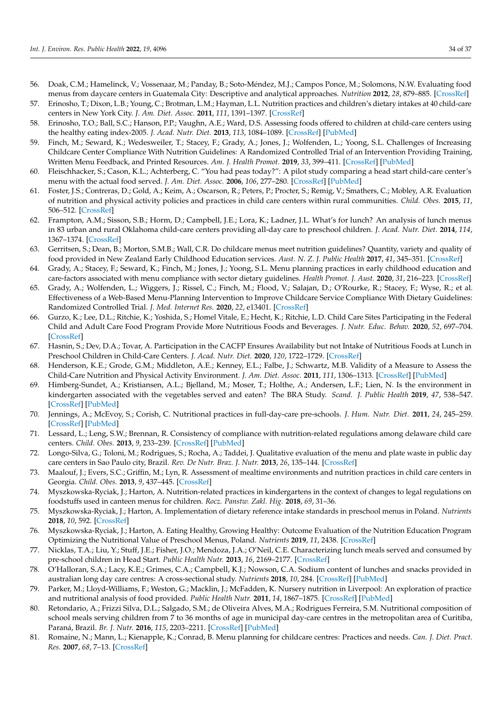- <span id="page-35-26"></span><span id="page-35-9"></span><span id="page-35-8"></span><span id="page-35-7"></span><span id="page-35-6"></span><span id="page-35-5"></span><span id="page-35-4"></span><span id="page-35-3"></span><span id="page-35-2"></span><span id="page-35-1"></span><span id="page-35-0"></span>56. Doak, C.M.; Hamelinck, V.; Vossenaar, M.; Panday, B.; Soto-Méndez, M.J.; Campos Ponce, M.; Solomons, N.W. Evaluating food menus from daycare centers in Guatemala City: Descriptive and analytical approaches. *Nutrition* **2012**, *28*, 879–885. [\[CrossRef\]](http://doi.org/10.1016/j.nut.2011.11.015)
- <span id="page-35-45"></span><span id="page-35-10"></span>57. Erinosho, T.; Dixon, L.B.; Young, C.; Brotman, L.M.; Hayman, L.L. Nutrition practices and children's dietary intakes at 40 child-care centers in New York City. *J. Am. Diet. Assoc.* **2011**, *111*, 1391–1397. [\[CrossRef\]](http://doi.org/10.1016/j.jada.2011.06.001)
- <span id="page-35-27"></span>58. Erinosho, T.O.; Ball, S.C.; Hanson, P.P.; Vaughn, A.E.; Ward, D.S. Assessing foods offered to children at child-care centers using the healthy eating index-2005. *J. Acad. Nutr. Diet.* **2013**, *113*, 1084–1089. [\[CrossRef\]](http://doi.org/10.1016/j.jand.2013.04.026) [\[PubMed\]](http://www.ncbi.nlm.nih.gov/pubmed/23773561)
- <span id="page-35-44"></span><span id="page-35-12"></span><span id="page-35-11"></span>59. Finch, M.; Seward, K.; Wedesweiler, T.; Stacey, F.; Grady, A.; Jones, J.; Wolfenden, L.; Yoong, S.L. Challenges of Increasing Childcare Center Compliance With Nutrition Guidelines: A Randomized Controlled Trial of an Intervention Providing Training, Written Menu Feedback, and Printed Resources. *Am. J. Health Promot.* **2019**, *33*, 399–411. [\[CrossRef\]](http://doi.org/10.1177/0890117118786859) [\[PubMed\]](http://www.ncbi.nlm.nih.gov/pubmed/30004247)
- <span id="page-35-36"></span><span id="page-35-13"></span>60. Fleischhacker, S.; Cason, K.L.; Achterberg, C. "You had peas today?": A pilot study comparing a head start child-care center's menu with the actual food served. *J. Am. Diet. Assoc.* **2006**, *106*, 277–280. [\[CrossRef\]](http://doi.org/10.1016/j.jada.2005.10.038) [\[PubMed\]](http://www.ncbi.nlm.nih.gov/pubmed/16442878)
- <span id="page-35-40"></span><span id="page-35-14"></span>61. Foster, J.S.; Contreras, D.; Gold, A.; Keim, A.; Oscarson, R.; Peters, P.; Procter, S.; Remig, V.; Smathers, C.; Mobley, A.R. Evaluation of nutrition and physical activity policies and practices in child care centers within rural communities. *Child. Obes.* **2015**, *11*, 506–512. [\[CrossRef\]](http://doi.org/10.1089/chi.2015.0030)
- <span id="page-35-28"></span><span id="page-35-15"></span>62. Frampton, A.M.; Sisson, S.B.; Horm, D.; Campbell, J.E.; Lora, K.; Ladner, J.L. What's for lunch? An analysis of lunch menus in 83 urban and rural Oklahoma child-care centers providing all-day care to preschool children. *J. Acad. Nutr. Diet.* **2014**, *114*, 1367–1374. [\[CrossRef\]](http://doi.org/10.1016/j.jand.2013.09.025)
- <span id="page-35-43"></span><span id="page-35-16"></span>63. Gerritsen, S.; Dean, B.; Morton, S.M.B.; Wall, C.R. Do childcare menus meet nutrition guidelines? Quantity, variety and quality of food provided in New Zealand Early Childhood Education services. *Aust. N. Z. J. Public Health* **2017**, *41*, 345–351. [\[CrossRef\]](http://doi.org/10.1111/1753-6405.12667)
- <span id="page-35-29"></span><span id="page-35-17"></span>64. Grady, A.; Stacey, F.; Seward, K.; Finch, M.; Jones, J.; Yoong, S.L. Menu planning practices in early childhood education and care-factors associated with menu compliance with sector dietary guidelines. *Health Promot. J. Aust.* **2020**, *31*, 216–223. [\[CrossRef\]](http://doi.org/10.1002/hpja.286)
- <span id="page-35-39"></span><span id="page-35-19"></span><span id="page-35-18"></span>65. Grady, A.; Wolfenden, L.; Wiggers, J.; Rissel, C.; Finch, M.; Flood, V.; Salajan, D.; O'Rourke, R.; Stacey, F.; Wyse, R.; et al. Effectiveness of a Web-Based Menu-Planning Intervention to Improve Childcare Service Compliance With Dietary Guidelines: Randomized Controlled Trial. *J. Med. Internet Res.* **2020**, *22*, e13401. [\[CrossRef\]](http://doi.org/10.2196/13401)
- <span id="page-35-30"></span><span id="page-35-20"></span>66. Gurzo, K.; Lee, D.L.; Ritchie, K.; Yoshida, S.; Homel Vitale, E.; Hecht, K.; Ritchie, L.D. Child Care Sites Participating in the Federal Child and Adult Care Food Program Provide More Nutritious Foods and Beverages. *J. Nutr. Educ. Behav.* **2020**, *52*, 697–704. [\[CrossRef\]](http://doi.org/10.1016/j.jneb.2020.02.009)
- <span id="page-35-31"></span><span id="page-35-21"></span>67. Hasnin, S.; Dev, D.A.; Tovar, A. Participation in the CACFP Ensures Availability but not Intake of Nutritious Foods at Lunch in Preschool Children in Child-Care Centers. *J. Acad. Nutr. Diet.* **2020**, *120*, 1722–1729. [\[CrossRef\]](http://doi.org/10.1016/j.jand.2020.03.012)
- <span id="page-35-37"></span><span id="page-35-22"></span>68. Henderson, K.E.; Grode, G.M.; Middleton, A.E.; Kenney, E.L.; Falbe, J.; Schwartz, M.B. Validity of a Measure to Assess the Child-Care Nutrition and Physical Activity Environment. *J. Am. Diet. Assoc.* **2011**, *111*, 1306–1313. [\[CrossRef\]](http://doi.org/10.1016/j.jada.2011.06.011) [\[PubMed\]](http://www.ncbi.nlm.nih.gov/pubmed/21872693)
- <span id="page-35-24"></span><span id="page-35-23"></span>69. Himberg-Sundet, A.; Kristiansen, A.L.; Bjelland, M.; Moser, T.; Holthe, A.; Andersen, L.F.; Lien, N. Is the environment in kindergarten associated with the vegetables served and eaten? The BRA Study. *Scand. J. Public Health* **2019**, *47*, 538–547. [\[CrossRef\]](http://doi.org/10.1177/1403494818756702) [\[PubMed\]](http://www.ncbi.nlm.nih.gov/pubmed/29431028)
- <span id="page-35-32"></span>70. Jennings, A.; McEvoy, S.; Corish, C. Nutritional practices in full-day-care pre-schools. *J. Hum. Nutr. Diet.* **2011**, *24*, 245–259. [\[CrossRef\]](http://doi.org/10.1111/j.1365-277X.2011.01153.x) [\[PubMed\]](http://www.ncbi.nlm.nih.gov/pubmed/21554426)
- <span id="page-35-41"></span><span id="page-35-25"></span>71. Lessard, L.; Leng, S.W.; Brennan, R. Consistency of compliance with nutrition-related regulations among delaware child care centers. *Child. Obes.* **2013**, *9*, 233–239. [\[CrossRef\]](http://doi.org/10.1089/chi.2012.0126) [\[PubMed\]](http://www.ncbi.nlm.nih.gov/pubmed/23675900)
- <span id="page-35-33"></span>72. Longo-Silva, G.; Toloni, M.; Rodrigues, S.; Rocha, A.; Taddei, J. Qualitative evaluation of the menu and plate waste in public day care centers in Sao Paulo city, Brazil. *Rev. De Nutr. Braz. J. Nutr.* **2013**, *26*, 135–144. [\[CrossRef\]](http://doi.org/10.1590/S1415-52732013000200002)
- 73. Maalouf, J.; Evers, S.C.; Griffin, M.; Lyn, R. Assessment of mealtime environments and nutrition practices in child care centers in Georgia. *Child. Obes.* **2013**, *9*, 437–445. [\[CrossRef\]](http://doi.org/10.1089/chi.2013.0018)
- <span id="page-35-34"></span>74. Myszkowska-Ryciak, J.; Harton, A. Nutrition-related practices in kindergartens in the context of changes to legal regulations on foodstuffs used in canteen menus for children. *Rocz. Panstw. Zakl. Hig.* **2018**, *69*, 31–36.
- 75. Myszkowska-Ryciak, J.; Harton, A. Implementation of dietary reference intake standards in preschool menus in Poland. *Nutrients* **2018**, *10*, 592. [\[CrossRef\]](http://doi.org/10.3390/nu10050592)
- <span id="page-35-46"></span>76. Myszkowska-Ryciak, J.; Harton, A. Eating Healthy, Growing Healthy: Outcome Evaluation of the Nutrition Education Program Optimizing the Nutritional Value of Preschool Menus, Poland. *Nutrients* **2019**, *11*, 2438. [\[CrossRef\]](http://doi.org/10.3390/nu11102438)
- <span id="page-35-38"></span>77. Nicklas, T.A.; Liu, Y.; Stuff, J.E.; Fisher, J.O.; Mendoza, J.A.; O'Neil, C.E. Characterizing lunch meals served and consumed by pre-school children in Head Start. *Public Health Nutr.* **2013**, *16*, 2169–2177. [\[CrossRef\]](http://doi.org/10.1017/S1368980013001377)
- 78. O'Halloran, S.A.; Lacy, K.E.; Grimes, C.A.; Campbell, K.J.; Nowson, C.A. Sodium content of lunches and snacks provided in australian long day care centres: A cross-sectional study. *Nutrients* **2018**, *10*, 284. [\[CrossRef\]](http://doi.org/10.3390/nu10030284) [\[PubMed\]](http://www.ncbi.nlm.nih.gov/pubmed/29495628)
- 79. Parker, M.; Lloyd-Williams, F.; Weston, G.; Macklin, J.; McFadden, K. Nursery nutrition in Liverpool: An exploration of practice and nutritional analysis of food provided. *Public Health Nutr.* **2011**, *14*, 1867–1875. [\[CrossRef\]](http://doi.org/10.1017/S1368980011000887) [\[PubMed\]](http://www.ncbi.nlm.nih.gov/pubmed/21729488)
- <span id="page-35-35"></span>80. Retondario, A.; Frizzi Silva, D.L.; Salgado, S.M.; de Oliveira Alves, M.A.; Rodrigues Ferreira, S.M. Nutritional composition of school meals serving children from 7 to 36 months of age in municipal day-care centres in the metropolitan area of Curitiba, Paraná, Brazil. *Br. J. Nutr.* **2016**, *115*, 2203–2211. [\[CrossRef\]](http://doi.org/10.1017/S0007114516001434) [\[PubMed\]](http://www.ncbi.nlm.nih.gov/pubmed/27122205)
- <span id="page-35-42"></span>81. Romaine, N.; Mann, L.; Kienapple, K.; Conrad, B. Menu planning for childcare centres: Practices and needs. *Can. J. Diet. Pract. Res.* **2007**, *68*, 7–13. [\[CrossRef\]](http://doi.org/10.3148/68.1.2007.7)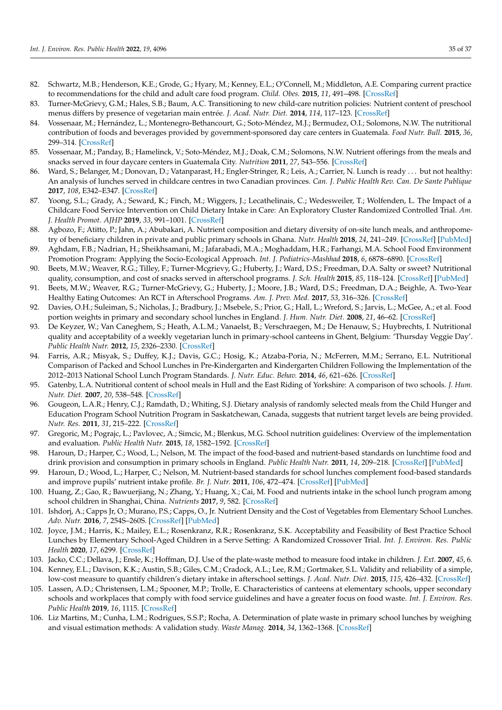- <span id="page-36-28"></span><span id="page-36-9"></span><span id="page-36-8"></span><span id="page-36-7"></span><span id="page-36-6"></span><span id="page-36-5"></span><span id="page-36-4"></span><span id="page-36-3"></span><span id="page-36-2"></span><span id="page-36-1"></span><span id="page-36-0"></span>82. Schwartz, M.B.; Henderson, K.E.; Grode, G.; Hyary, M.; Kenney, E.L.; O'Connell, M.; Middleton, A.E. Comparing current practice to recommendations for the child and adult care food program. *Child. Obes.* **2015**, *11*, 491–498. [\[CrossRef\]](http://doi.org/10.1089/chi.2015.0041)
- <span id="page-36-25"></span><span id="page-36-10"></span>83. Turner-McGrievy, G.M.; Hales, S.B.; Baum, A.C. Transitioning to new child-care nutrition policies: Nutrient content of preschool menus differs by presence of vegetarian main entrée. *J. Acad. Nutr. Diet.* **2014**, *114*, 117–123. [\[CrossRef\]](http://doi.org/10.1016/j.jand.2013.07.036)
- <span id="page-36-11"></span>84. Vossenaar, M.; Hernández, L.; Montenegro-Bethancourt, G.; Soto-Méndez, M.J.; Bermudez, O.I.; Solomons, N.W. The nutritional contribution of foods and beverages provided by government-sponsored day care centers in Guatemala. *Food Nutr. Bull.* **2015**, *36*, 299–314. [\[CrossRef\]](http://doi.org/10.1177/0379572115596634)
- <span id="page-36-33"></span><span id="page-36-12"></span>85. Vossenaar, M.; Panday, B.; Hamelinck, V.; Soto-Méndez, M.J.; Doak, C.M.; Solomons, N.W. Nutrient offerings from the meals and snacks served in four daycare centers in Guatemala City. *Nutrition* **2011**, *27*, 543–556. [\[CrossRef\]](http://doi.org/10.1016/j.nut.2010.06.007)
- <span id="page-36-13"></span>86. Ward, S.; Belanger, M.; Donovan, D.; Vatanparast, H.; Engler-Stringer, R.; Leis, A.; Carrier, N. Lunch is ready . . . but not healthy: An analysis of lunches served in childcare centres in two Canadian provinces. *Can. J. Public Health Rev. Can. De Sante Publique* **2017**, *108*, E342–E347. [\[CrossRef\]](http://doi.org/10.17269/CJPH.108.5688)
- <span id="page-36-36"></span><span id="page-36-14"></span>87. Yoong, S.L.; Grady, A.; Seward, K.; Finch, M.; Wiggers, J.; Lecathelinais, C.; Wedesweiler, T.; Wolfenden, L. The Impact of a Childcare Food Service Intervention on Child Dietary Intake in Care: An Exploratory Cluster Randomized Controlled Trial. *Am. J. Health Promot. AJHP* **2019**, *33*, 991–1001. [\[CrossRef\]](http://doi.org/10.1177/0890117119837461)
- <span id="page-36-15"></span>88. Agbozo, F.; Atitto, P.; Jahn, A.; Abubakari, A. Nutrient composition and dietary diversity of on-site lunch meals, and anthropometry of beneficiary children in private and public primary schools in Ghana. *Nutr. Health* **2018**, *24*, 241–249. [\[CrossRef\]](http://doi.org/10.1177/0260106018793048) [\[PubMed\]](http://www.ncbi.nlm.nih.gov/pubmed/30092704)
- <span id="page-36-39"></span><span id="page-36-16"></span>89. Aghdam, F.B.; Nadrian, H.; Sheikhsamani, M.; Jafarabadi, M.A.; Moghaddam, H.R.; Farhangi, M.A. School Food Environment Promotion Program: Applying the Socio-Ecological Approach. *Int. J. Pediatrics-Mashhad* **2018**, *6*, 6878–6890. [\[CrossRef\]](http://doi.org/10.22038/ijp.2017.23870.2018)
- <span id="page-36-29"></span><span id="page-36-17"></span>90. Beets, M.W.; Weaver, R.G.; Tilley, F.; Turner-Mcgrievy, G.; Huberty, J.; Ward, D.S.; Freedman, D.A. Salty or sweet? Nutritional quality, consumption, and cost of snacks served in afterschool programs. *J. Sch. Health* **2015**, *85*, 118–124. [\[CrossRef\]](http://doi.org/10.1111/josh.12224) [\[PubMed\]](http://www.ncbi.nlm.nih.gov/pubmed/25564980)
- <span id="page-36-30"></span><span id="page-36-18"></span>91. Beets, M.W.; Weaver, R.G.; Turner-McGrievy, G.; Huberty, J.; Moore, J.B.; Ward, D.S.; Freedman, D.A.; Beighle, A. Two-Year Healthy Eating Outcomes: An RCT in Afterschool Programs. *Am. J. Prev. Med.* **2017**, *53*, 316–326. [\[CrossRef\]](http://doi.org/10.1016/j.amepre.2017.03.009)
- <span id="page-36-38"></span><span id="page-36-19"></span>92. Davies, O.H.; Suleiman, S.; Nicholas, J.; Bradbury, J.; Msebele, S.; Prior, G.; Hall, L.; Wreford, S.; Jarvis, L.; McGee, A.; et al. Food portion weights in primary and secondary school lunches in England. *J. Hum. Nutr. Diet.* **2008**, *21*, 46–62. [\[CrossRef\]](http://doi.org/10.1111/j.1365-277X.2007.00846.x)
- <span id="page-36-20"></span>93. De Keyzer, W.; Van Caneghem, S.; Heath, A.L.M.; Vanaelst, B.; Verschraegen, M.; De Henauw, S.; Huybrechts, I. Nutritional quality and acceptability of a weekly vegetarian lunch in primary-school canteens in Ghent, Belgium: 'Thursday Veggie Day'. *Public Health Nutr.* **2012**, *15*, 2326–2330. [\[CrossRef\]](http://doi.org/10.1017/S1368980012000870)
- <span id="page-36-31"></span><span id="page-36-22"></span><span id="page-36-21"></span>94. Farris, A.R.; Misyak, S.; Duffey, K.J.; Davis, G.C.; Hosig, K.; Atzaba-Poria, N.; McFerren, M.M.; Serrano, E.L. Nutritional Comparison of Packed and School Lunches in Pre-Kindergarten and Kindergarten Children Following the Implementation of the 2012–2013 National School Lunch Program Standards. *J. Nutr. Educ. Behav.* **2014**, *46*, 621–626. [\[CrossRef\]](http://doi.org/10.1016/j.jneb.2014.07.007)
- <span id="page-36-23"></span>95. Gatenby, L.A. Nutritional content of school meals in Hull and the East Riding of Yorkshire: A comparison of two schools. *J. Hum. Nutr. Diet.* **2007**, *20*, 538–548. [\[CrossRef\]](http://doi.org/10.1111/j.1365-277X.2007.00829.x)
- <span id="page-36-24"></span>96. Gougeon, L.A.R.; Henry, C.J.; Ramdath, D.; Whiting, S.J. Dietary analysis of randomly selected meals from the Child Hunger and Education Program School Nutrition Program in Saskatchewan, Canada, suggests that nutrient target levels are being provided. *Nutr. Res.* **2011**, *31*, 215–222. [\[CrossRef\]](http://doi.org/10.1016/j.nutres.2011.03.002)
- 97. Gregoric, M.; Pograjc, L.; Pavlovec, A.; Simcic, M.; Blenkus, M.G. School nutrition guidelines: Overview of the implementation and evaluation. *Public Health Nutr.* **2015**, *18*, 1582–1592. [\[CrossRef\]](http://doi.org/10.1017/S1368980014003310)
- <span id="page-36-37"></span>98. Haroun, D.; Harper, C.; Wood, L.; Nelson, M. The impact of the food-based and nutrient-based standards on lunchtime food and drink provision and consumption in primary schools in England. *Public Health Nutr.* **2011**, *14*, 209–218. [\[CrossRef\]](http://doi.org/10.1017/S1368980010002132) [\[PubMed\]](http://www.ncbi.nlm.nih.gov/pubmed/20701821)
- <span id="page-36-34"></span>99. Haroun, D.; Wood, L.; Harper, C.; Nelson, M. Nutrient-based standards for school lunches complement food-based standards and improve pupils' nutrient intake profile. *Br. J. Nutr.* **2011**, *106*, 472–474. [\[CrossRef\]](http://doi.org/10.1017/S0007114511002297) [\[PubMed\]](http://www.ncbi.nlm.nih.gov/pubmed/21736822)
- 100. Huang, Z.; Gao, R.; Bawuerjiang, N.; Zhang, Y.; Huang, X.; Cai, M. Food and nutrients intake in the school lunch program among school children in Shanghai, China. *Nutrients* **2017**, *9*, 582. [\[CrossRef\]](http://doi.org/10.3390/nu9060582)
- <span id="page-36-35"></span>101. Ishdorj, A.; Capps Jr, O.; Murano, P.S.; Capps, O., Jr. Nutrient Density and the Cost of Vegetables from Elementary School Lunches. *Adv. Nutr.* **2016**, *7*, 254S–260S. [\[CrossRef\]](http://doi.org/10.3945/an.115.008698) [\[PubMed\]](http://www.ncbi.nlm.nih.gov/pubmed/26773034)
- 102. Joyce, J.M.; Harris, K.; Mailey, E.L.; Rosenkranz, R.R.; Rosenkranz, S.K. Acceptability and Feasibility of Best Practice School Lunches by Elementary School-Aged Children in a Serve Setting: A Randomized Crossover Trial. *Int. J. Environ. Res. Public Health* **2020**, *17*, 6299. [\[CrossRef\]](http://doi.org/10.3390/ijerph17176299)
- <span id="page-36-40"></span>103. Jacko, C.C.; Dellava, J.; Ensle, K.; Hoffman, D.J. Use of the plate-waste method to measure food intake in children. *J. Ext.* **2007**, *45*, 6.
- <span id="page-36-26"></span>104. Kenney, E.L.; Davison, K.K.; Austin, S.B.; Giles, C.M.; Cradock, A.L.; Lee, R.M.; Gortmaker, S.L. Validity and reliability of a simple, low-cost measure to quantify children's dietary intake in afterschool settings. *J. Acad. Nutr. Diet.* **2015**, *115*, 426–432. [\[CrossRef\]](http://doi.org/10.1016/j.jand.2014.11.012)
- <span id="page-36-32"></span>105. Lassen, A.D.; Christensen, L.M.; Spooner, M.P.; Trolle, E. Characteristics of canteens at elementary schools, upper secondary schools and workplaces that comply with food service guidelines and have a greater focus on food waste. *Int. J. Environ. Res. Public Health* **2019**, *16*, 1115. [\[CrossRef\]](http://doi.org/10.3390/ijerph16071115)
- <span id="page-36-27"></span>106. Liz Martins, M.; Cunha, L.M.; Rodrigues, S.S.P.; Rocha, A. Determination of plate waste in primary school lunches by weighing and visual estimation methods: A validation study. *Waste Manag.* **2014**, *34*, 1362–1368. [\[CrossRef\]](http://doi.org/10.1016/j.wasman.2014.03.020)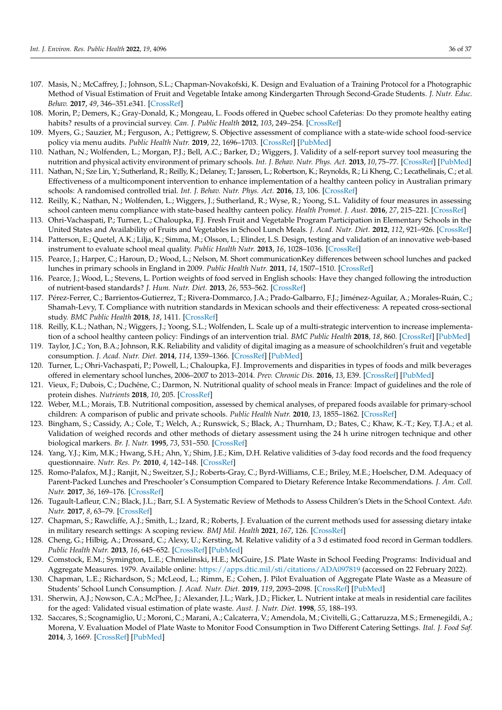- <span id="page-37-23"></span><span id="page-37-10"></span><span id="page-37-9"></span><span id="page-37-8"></span><span id="page-37-7"></span><span id="page-37-6"></span><span id="page-37-5"></span><span id="page-37-4"></span><span id="page-37-3"></span><span id="page-37-2"></span><span id="page-37-1"></span><span id="page-37-0"></span>107. Masis, N.; McCaffrey, J.; Johnson, S.L.; Chapman-Novakofski, K. Design and Evaluation of a Training Protocol for a Photographic Method of Visual Estimation of Fruit and Vegetable Intake among Kindergarten Through Second-Grade Students. *J. Nutr. Educ. Behav.* **2017**, *49*, 346–351.e341. [\[CrossRef\]](http://doi.org/10.1016/j.jneb.2017.01.004)
- <span id="page-37-21"></span><span id="page-37-11"></span>108. Morin, P.; Demers, K.; Gray-Donald, K.; Mongeau, L. Foods offered in Quebec school Cafeterias: Do they promote healthy eating habits? results of a provincial survey. *Can. J. Public Health* **2012**, *103*, 249–254. [\[CrossRef\]](http://doi.org/10.1007/BF03404229)
- <span id="page-37-24"></span><span id="page-37-12"></span>109. Myers, G.; Sauzier, M.; Ferguson, A.; Pettigrew, S. Objective assessment of compliance with a state-wide school food-service policy via menu audits. *Public Health Nutr.* **2019**, *22*, 1696–1703. [\[CrossRef\]](http://doi.org/10.1017/S1368980019000156) [\[PubMed\]](http://www.ncbi.nlm.nih.gov/pubmed/30793678)
- <span id="page-37-22"></span><span id="page-37-13"></span>110. Nathan, N.; Wolfenden, L.; Morgan, P.J.; Bell, A.C.; Barker, D.; Wiggers, J. Validity of a self-report survey tool measuring the nutrition and physical activity environment of primary schools. *Int. J. Behav. Nutr. Phys. Act.* **2013**, *10*, 75–77. [\[CrossRef\]](http://doi.org/10.1186/1479-5868-10-75) [\[PubMed\]](http://www.ncbi.nlm.nih.gov/pubmed/23758936)
- <span id="page-37-35"></span><span id="page-37-14"></span>111. Nathan, N.; Sze Lin, Y.; Sutherland, R.; Reilly, K.; Delaney, T.; Janssen, L.; Robertson, K.; Reynolds, R.; Li Kheng, C.; Lecathelinais, C.; et al. Effectiveness of a multicomponent intervention to enhance implementation of a healthy canteen policy in Australian primary schools: A randomised controlled trial. *Int. J. Behav. Nutr. Phys. Act.* **2016**, *13*, 106. [\[CrossRef\]](http://doi.org/10.1186/s12966-016-0431-5)
- <span id="page-37-19"></span><span id="page-37-15"></span>112. Reilly, K.; Nathan, N.; Wolfenden, L.; Wiggers, J.; Sutherland, R.; Wyse, R.; Yoong, S.L. Validity of four measures in assessing school canteen menu compliance with state-based healthy canteen policy. *Health Promot. J. Aust.* **2016**, *27*, 215–221. [\[CrossRef\]](http://doi.org/10.1071/HE16053)
- 113. Ohri-Vachaspati, P.; Turner, L.; Chaloupka, F.J. Fresh Fruit and Vegetable Program Participation in Elementary Schools in the United States and Availability of Fruits and Vegetables in School Lunch Meals. *J. Acad. Nutr. Diet.* **2012**, *112*, 921–926. [\[CrossRef\]](http://doi.org/10.1016/j.jand.2012.02.025)
- <span id="page-37-20"></span>114. Patterson, E.; Quetel, A.K.; Lilja, K.; Simma, M.; Olsson, L.; Elinder, L.S. Design, testing and validation of an innovative web-based instrument to evaluate school meal quality. *Public Health Nutr.* **2013**, *16*, 1028–1036. [\[CrossRef\]](http://doi.org/10.1017/S1368980012004211)
- 115. Pearce, J.; Harper, C.; Haroun, D.; Wood, L.; Nelson, M. Short communicationKey differences between school lunches and packed lunches in primary schools in England in 2009. *Public Health Nutr.* **2011**, *14*, 1507–1510. [\[CrossRef\]](http://doi.org/10.1017/S1368980010003605)
- <span id="page-37-29"></span>116. Pearce, J.; Wood, L.; Stevens, L. Portion weights of food served in English schools: Have they changed following the introduction of nutrient-based standards? *J. Hum. Nutr. Diet.* **2013**, *26*, 553–562. [\[CrossRef\]](http://doi.org/10.1111/jhn.12067)
- 117. Pérez-Ferrer, C.; Barrientos-Gutierrez, T.; Rivera-Dommarco, J.A.; Prado-Galbarro, F.J.; Jiménez-Aguilar, A.; Morales-Ruán, C.; Shamah-Levy, T. Compliance with nutrition standards in Mexican schools and their effectiveness: A repeated cross-sectional study. *BMC Public Health* **2018**, *18*, 1411. [\[CrossRef\]](http://doi.org/10.1186/s12889-018-6330-8)
- <span id="page-37-36"></span>118. Reilly, K.L.; Nathan, N.; Wiggers, J.; Yoong, S.L.; Wolfenden, L. Scale up of a multi-strategic intervention to increase implementation of a school healthy canteen policy: Findings of an intervention trial. *BMC Public Health* **2018**, *18*, 860. [\[CrossRef\]](http://doi.org/10.1186/s12889-018-5786-x) [\[PubMed\]](http://www.ncbi.nlm.nih.gov/pubmed/29996817)
- <span id="page-37-18"></span>119. Taylor, J.C.; Yon, B.A.; Johnson, R.K. Reliability and validity of digital imaging as a measure of schoolchildren's fruit and vegetable consumption. *J. Acad. Nutr. Diet.* **2014**, *114*, 1359–1366. [\[CrossRef\]](http://doi.org/10.1016/j.jand.2014.02.029) [\[PubMed\]](http://www.ncbi.nlm.nih.gov/pubmed/24751663)
- <span id="page-37-34"></span>120. Turner, L.; Ohri-Vachaspati, P.; Powell, L.; Chaloupka, F.J. Improvements and disparities in types of foods and milk beverages offered in elementary school lunches, 2006–2007 to 2013–2014. *Prev. Chronic Dis.* **2016**, *13*, E39. [\[CrossRef\]](http://doi.org/10.5888/pcd13.150395) [\[PubMed\]](http://www.ncbi.nlm.nih.gov/pubmed/26986542)
- 121. Vieux, F.; Dubois, C.; Duchêne, C.; Darmon, N. Nutritional quality of school meals in France: Impact of guidelines and the role of protein dishes. *Nutrients* **2018**, *10*, 205. [\[CrossRef\]](http://doi.org/10.3390/nu10020205)
- 122. Weber, M.L.; Morais, T.B. Nutritional composition, assessed by chemical analyses, of prepared foods available for primary-school children: A comparison of public and private schools. *Public Health Nutr.* **2010**, *13*, 1855–1862. [\[CrossRef\]](http://doi.org/10.1017/S1368980010000534)
- <span id="page-37-16"></span>123. Bingham, S.; Cassidy, A.; Cole, T.; Welch, A.; Runswick, S.; Black, A.; Thurnham, D.; Bates, C.; Khaw, K.-T.; Key, T.J.A.; et al. Validation of weighed records and other methods of dietary assessment using the 24 h urine nitrogen technique and other biological markers. *Br. J. Nutr.* **1995**, *73*, 531–550. [\[CrossRef\]](http://doi.org/10.1079/BJN19950057)
- <span id="page-37-17"></span>124. Yang, Y.J.; Kim, M.K.; Hwang, S.H.; Ahn, Y.; Shim, J.E.; Kim, D.H. Relative validities of 3-day food records and the food frequency questionnaire. *Nutr. Res. Pr.* **2010**, *4*, 142–148. [\[CrossRef\]](http://doi.org/10.4162/nrp.2010.4.2.142)
- <span id="page-37-25"></span>125. Romo-Palafox, M.J.; Ranjit, N.; Sweitzer, S.J.; Roberts-Gray, C.; Byrd-Williams, C.E.; Briley, M.E.; Hoelscher, D.M. Adequacy of Parent-Packed Lunches and Preschooler's Consumption Compared to Dietary Reference Intake Recommendations. *J. Am. Coll. Nutr.* **2017**, *36*, 169–176. [\[CrossRef\]](http://doi.org/10.1080/07315724.2016.1240634)
- <span id="page-37-26"></span>126. Tugault-Lafleur, C.N.; Black, J.L.; Barr, S.I. A Systematic Review of Methods to Assess Children's Diets in the School Context. *Adv. Nutr.* **2017**, *8*, 63–79. [\[CrossRef\]](http://doi.org/10.3945/an.116.013144)
- <span id="page-37-27"></span>127. Chapman, S.; Rawcliffe, A.J.; Smith, L.; Izard, R.; Roberts, J. Evaluation of the current methods used for assessing dietary intake in military research settings: A scoping review. *BMJ Mil. Health* **2021**, *167*, 126. [\[CrossRef\]](http://doi.org/10.1136/bmjmilitary-2020-001436)
- <span id="page-37-28"></span>128. Cheng, G.; Hilbig, A.; Drossard, C.; Alexy, U.; Kersting, M. Relative validity of a 3 d estimated food record in German toddlers. *Public Health Nutr.* **2013**, *16*, 645–652. [\[CrossRef\]](http://doi.org/10.1017/S1368980012003230) [\[PubMed\]](http://www.ncbi.nlm.nih.gov/pubmed/22874634)
- <span id="page-37-30"></span>129. Comstock, E.M.; Symington, L.E.; Chmielinski, H.E.; McGuire, J.S. Plate Waste in School Feeding Programs: Individual and Aggregate Measures. 1979. Available online: <https://apps.dtic.mil/sti/citations/ADA097819> (accessed on 22 February 2022).
- <span id="page-37-31"></span>130. Chapman, L.E.; Richardson, S.; McLeod, L.; Rimm, E.; Cohen, J. Pilot Evaluation of Aggregate Plate Waste as a Measure of Students' School Lunch Consumption. *J. Acad. Nutr. Diet.* **2019**, *119*, 2093–2098. [\[CrossRef\]](http://doi.org/10.1016/j.jand.2019.04.001) [\[PubMed\]](http://www.ncbi.nlm.nih.gov/pubmed/31153958)
- <span id="page-37-32"></span>131. Sherwin, A.J.; Nowson, C.A.; McPhee, J.; Alexander, J.L.; Wark, J.D.; Flicker, L. Nutrient intake at meals in residential care facilites for the aged: Validated visual estimation of plate waste. *Aust. J. Nutr. Diet.* **1998**, *55*, 188–193.
- <span id="page-37-33"></span>132. Saccares, S.; Scognamiglio, U.; Moroni, C.; Marani, A.; Calcaterra, V.; Amendola, M.; Civitelli, G.; Cattaruzza, M.S.; Ermenegildi, A.; Morena, V. Evaluation Model of Plate Waste to Monitor Food Consumption in Two Different Catering Settings. *Ital. J. Food Saf.* **2014**, *3*, 1669. [\[CrossRef\]](http://doi.org/10.4081/ijfs.2014.1669) [\[PubMed\]](http://www.ncbi.nlm.nih.gov/pubmed/27800337)